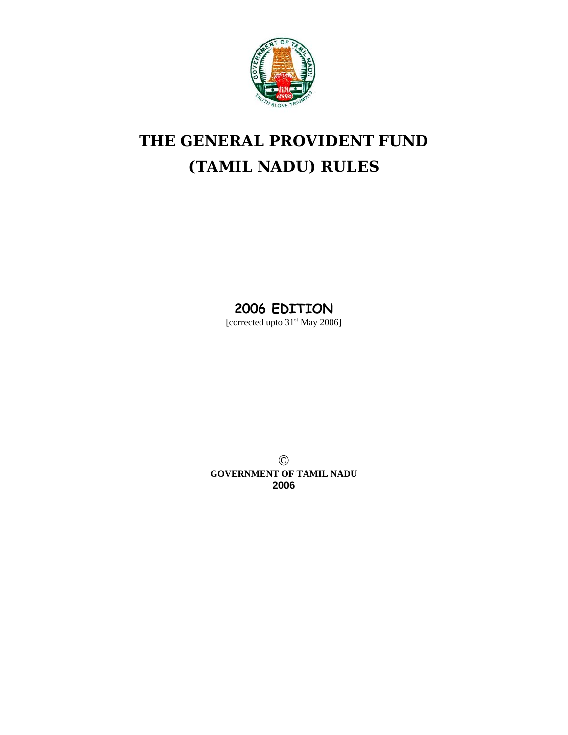

# **THE GENERAL PROVIDENT FUND (TAMIL NADU) RULES**

# **2006 EDITION**

[corrected upto 31<sup>st</sup> May 2006]

© **GOVERNMENT OF TAMIL NADU 2006**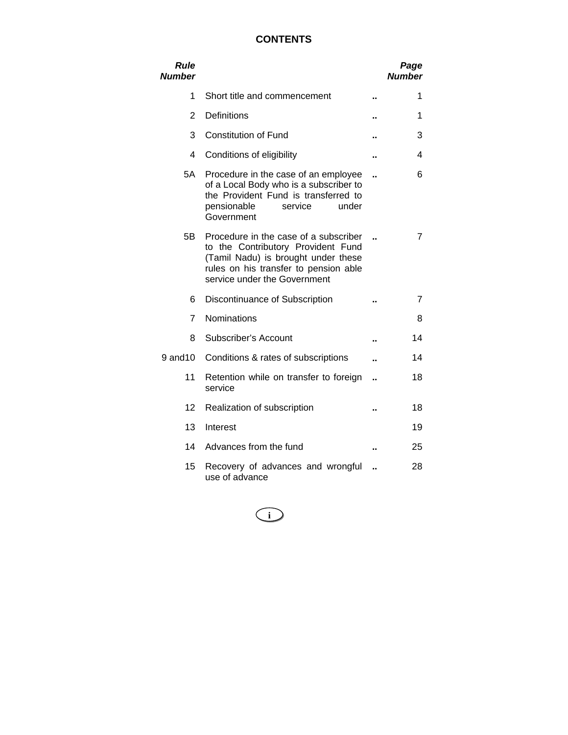# **CONTENTS**

| Rule<br><b>Number</b> |                                                                                                                                                                                             |                      | Page<br><b>Number</b> |
|-----------------------|---------------------------------------------------------------------------------------------------------------------------------------------------------------------------------------------|----------------------|-----------------------|
| 1                     | Short title and commencement                                                                                                                                                                | ٠.                   | 1                     |
| $\overline{2}$        | Definitions                                                                                                                                                                                 |                      | 1                     |
| 3                     | <b>Constitution of Fund</b>                                                                                                                                                                 |                      | 3                     |
| 4                     | Conditions of eligibility                                                                                                                                                                   |                      | 4                     |
| 5A                    | Procedure in the case of an employee<br>of a Local Body who is a subscriber to<br>the Provident Fund is transferred to<br>pensionable<br>service<br>under<br>Government                     |                      | 6                     |
| 5B                    | Procedure in the case of a subscriber<br>to the Contributory Provident Fund<br>(Tamil Nadu) is brought under these<br>rules on his transfer to pension able<br>service under the Government | $\ddot{\phantom{a}}$ | 7                     |
| 6                     | Discontinuance of Subscription                                                                                                                                                              |                      | 7                     |
| $\overline{7}$        | Nominations                                                                                                                                                                                 |                      | 8                     |
| 8                     | Subscriber's Account                                                                                                                                                                        |                      | 14                    |
| 9 and 10              | Conditions & rates of subscriptions                                                                                                                                                         |                      | 14                    |
| 11                    | Retention while on transfer to foreign<br>service                                                                                                                                           |                      | 18                    |
| 12                    | Realization of subscription                                                                                                                                                                 |                      | 18                    |
| 13                    | Interest                                                                                                                                                                                    |                      | 19                    |
| 14                    | Advances from the fund                                                                                                                                                                      |                      | 25                    |
| 15                    | Recovery of advances and wrongful<br>use of advance                                                                                                                                         |                      | 28                    |

**i**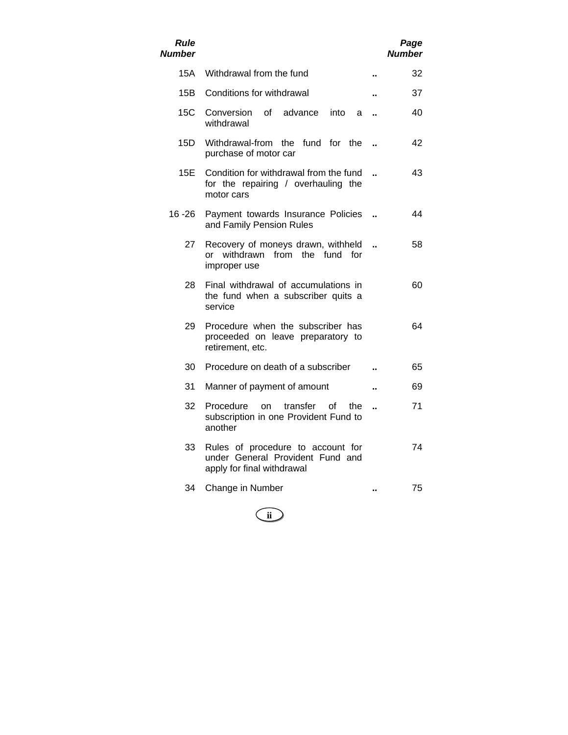| <i><b>Rule</b></i><br>Number |                                                                                                     |                      | Page<br>Number |
|------------------------------|-----------------------------------------------------------------------------------------------------|----------------------|----------------|
| 15A                          | Withdrawal from the fund                                                                            |                      | 32             |
| 15B                          | Conditions for withdrawal                                                                           |                      | 37             |
| 15C                          | Conversion<br>οf<br>advance<br>into<br>a<br>withdrawal                                              |                      | 40             |
| 15D                          | Withdrawal-from the fund for the<br>purchase of motor car                                           |                      | 42             |
| 15E                          | Condition for withdrawal from the fund<br>for the repairing / overhauling the<br>motor cars         |                      | 43             |
| 16 - 26                      | Payment towards Insurance Policies<br>and Family Pension Rules                                      |                      | 44             |
| 27                           | Recovery of moneys drawn, withheld<br>or withdrawn from the fund for<br>improper use                |                      | 58             |
| 28                           | Final withdrawal of accumulations in<br>the fund when a subscriber quits a<br>service               |                      | 60             |
| 29                           | Procedure when the subscriber has<br>proceeded on leave preparatory to<br>retirement, etc.          |                      | 64             |
| 30                           | Procedure on death of a subscriber                                                                  |                      | 65             |
| 31                           | Manner of payment of amount                                                                         |                      | 69             |
| 32                           | Procedure<br>transfer<br>on<br>Ωf<br>the<br>subscription in one Provident Fund to<br>another        | $\ddot{\phantom{a}}$ | 71             |
| 33                           | Rules of procedure to account for<br>under General Provident Fund and<br>apply for final withdrawal |                      | 74             |
| 34                           | Change in Number                                                                                    |                      | 75             |

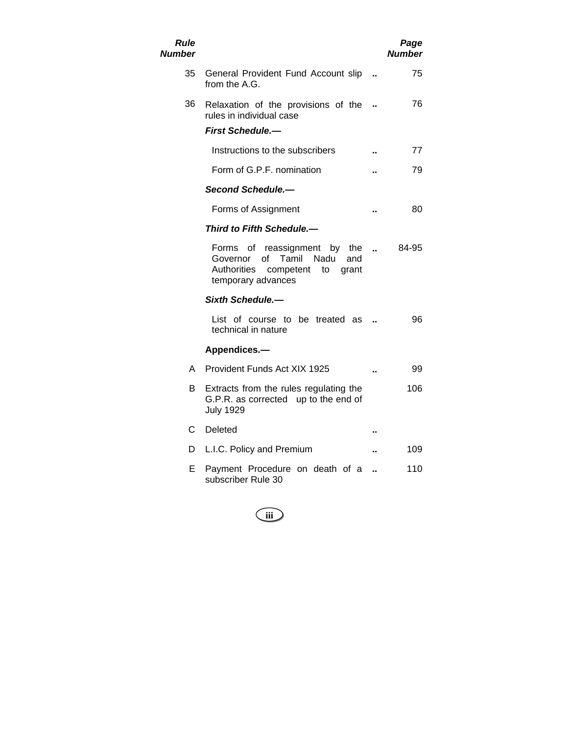| Rule<br>Number |                                                                                                                                         |                      | Page<br>Number |
|----------------|-----------------------------------------------------------------------------------------------------------------------------------------|----------------------|----------------|
| 35             | General Provident Fund Account slip<br>from the A.G.                                                                                    |                      | 75             |
| 36             | Relaxation of the provisions of the<br>rules in individual case                                                                         |                      | 76             |
|                | <b>First Schedule.-</b>                                                                                                                 |                      |                |
|                | Instructions to the subscribers                                                                                                         |                      | 77             |
|                | Form of G.P.F. nomination                                                                                                               |                      | 79             |
|                | Second Schedule.-                                                                                                                       |                      |                |
|                | Forms of Assignment                                                                                                                     |                      | 80             |
|                | Third to Fifth Schedule.—                                                                                                               |                      |                |
|                | Forms of reassignment by the<br>Tamil<br>οf<br>Nadu<br>and<br>Governor<br>Authorities<br>competent<br>to<br>grant<br>temporary advances | $\ddot{\phantom{a}}$ | 84-95          |
|                | Sixth Schedule.-                                                                                                                        |                      |                |
|                | List of course to be treated as<br>technical in nature                                                                                  |                      | 96             |
|                | Appendices.-                                                                                                                            |                      |                |
| A              | Provident Funds Act XIX 1925                                                                                                            |                      | 99             |
| В              | Extracts from the rules regulating the<br>G.P.R. as corrected up to the end of<br><b>July 1929</b>                                      |                      | 106            |
| С              | Deleted                                                                                                                                 | ٠.                   |                |
| D              | L.I.C. Policy and Premium                                                                                                               |                      | 109            |
| Е              | Payment Procedure on death of a<br>subscriber Rule 30                                                                                   |                      | 110            |

**iii**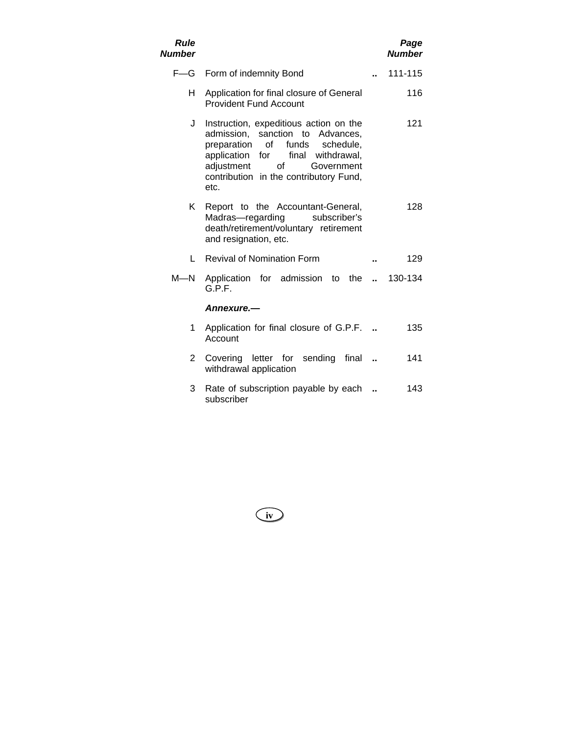| <b>Rule</b><br><b>Number</b> |                                                                                                                                                                                                                                                         |               | Page<br><b>Number</b> |
|------------------------------|---------------------------------------------------------------------------------------------------------------------------------------------------------------------------------------------------------------------------------------------------------|---------------|-----------------------|
| $F = G$                      | Form of indemnity Bond                                                                                                                                                                                                                                  |               | 111-115               |
| н                            | Application for final closure of General<br><b>Provident Fund Account</b>                                                                                                                                                                               |               | 116                   |
| J                            | Instruction, expeditious action on the<br>admission,<br>sanction to Advances,<br>of<br>preparation<br>funds<br>schedule,<br>application<br>for<br>final withdrawal,<br>of<br>adjustment<br>Government<br>contribution in the contributory Fund,<br>etc. |               | 121                   |
| Κ                            | Report to the Accountant-General,<br>Madras-regarding<br>subscriber's<br>death/retirement/voluntary retirement<br>and resignation, etc.                                                                                                                 |               | 128                   |
| L                            | <b>Revival of Nomination Form</b>                                                                                                                                                                                                                       |               | 129                   |
| $M$ —N                       | Application for admission to the<br>G.P.F.                                                                                                                                                                                                              | $\sim$ $\sim$ | 130-134               |
|                              | Annexure.—                                                                                                                                                                                                                                              |               |                       |
| 1                            | Application for final closure of G.P.F.<br>Account                                                                                                                                                                                                      |               | 135                   |
| 2                            | Covering letter for sending<br>final<br>withdrawal application                                                                                                                                                                                          |               | 141                   |
| 3                            | Rate of subscription payable by each<br>subscriber                                                                                                                                                                                                      |               | 143                   |

**iv**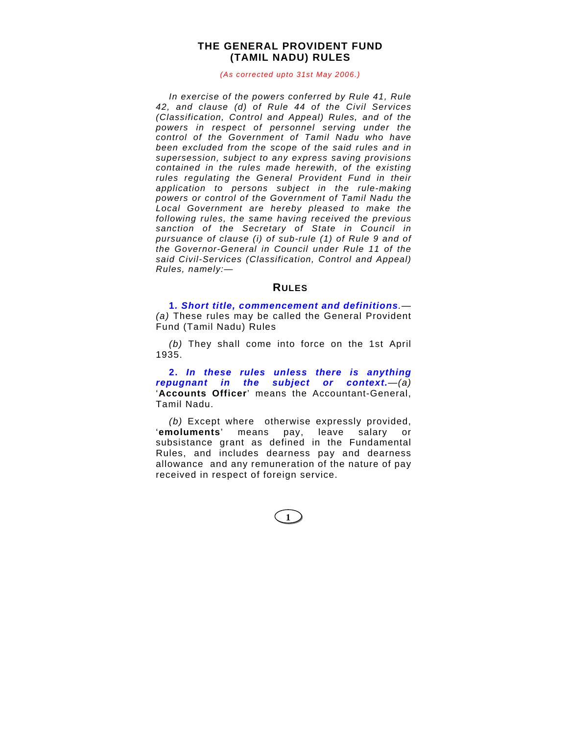# **THE GENERAL PROVIDENT FUND (TAMIL NADU) RULES**

#### *(As corrected upto 31st May 2006.)*

*In exercise of the powers conferred by Rule 41, Rule 42, and clause (d) of Rule 44 of the Civil Services (Classification, Control and Appeal) Rules, and of the powers in respect of personnel serving under the control of the Government of Tamil Nadu who have been excluded from the scope of the said rules and in supersession, subject to any express saving provisions contained in the rules made herewith, of the existing rules regulating the General Provident Fund in their application to persons subject in the rule-making powers or control of the Government of Tamil Nadu the Local Government are hereby pleased to make the following rules, the same having received the previous sanction of the Secretary of State in Council in pursuance of clause (i) of sub-rule (1) of Rule 9 and of the Governor-General in Council under Rule 11 of the said Civil-Services (Classification, Control and Appeal) Rules, namely:—* 

# **RULES**

**1***. Short title, commencement and definitions.— (a)* These rules may be called the General Provident Fund (Tamil Nadu) Rules

*(b)* They shall come into force on the 1st April 1935.

**2.** *In these rules unless there is anything repugnant in the subject or context.—(a)* '**Accounts Officer**' means the Accountant-General, Tamil Nadu.

*(b)* Except where otherwise expressly provided, '**emoluments**' means pay, leave salary or subsistance grant as defined in the Fundamental Rules, and includes dearness pay and dearness allowance and any remuneration of the nature of pay received in respect of foreign service.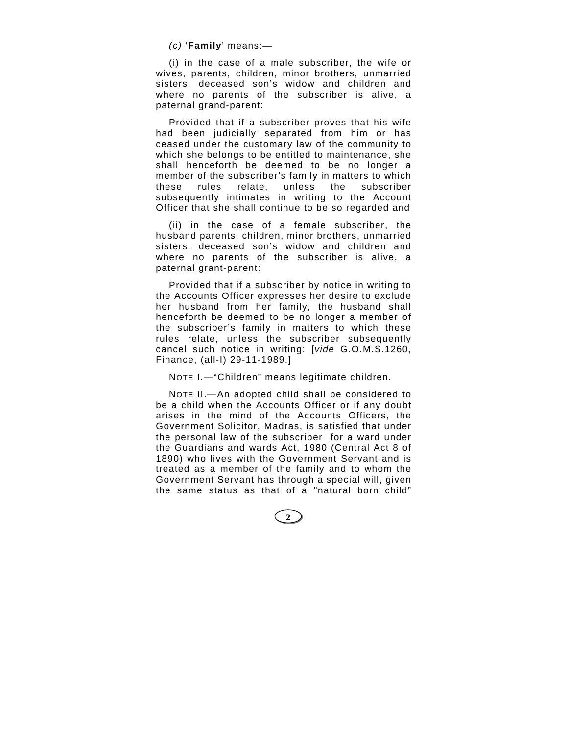*(c)* '**Family**' means:—

(i) in the case of a male subscriber, the wife or wives, parents, children, minor brothers, unmarried sisters, deceased son's widow and children and where no parents of the subscriber is alive, a paternal grand-parent:

Provided that if a subscriber proves that his wife had been judicially separated from him or has ceased under the customary law of the community to which she belongs to be entitled to maintenance, she shall henceforth be deemed to be no longer a member of the subscriber's family in matters to which these rules relate, unless the subscriber subsequently intimates in writing to the Account Officer that she shall continue to be so regarded and

(ii) in the case of a female subscriber, the husband parents, children, minor brothers, unmarried sisters, deceased son's widow and children and where no parents of the subscriber is alive, a paternal grant-parent:

Provided that if a subscriber by notice in writing to the Accounts Officer expresses her desire to exclude her husband from her family, the husband shall henceforth be deemed to be no longer a member of the subscriber's family in matters to which these rules relate, unless the subscriber subsequently cancel such notice in writing: [*vide* G.O.M.S.1260, Finance, (all-I) 29-11-1989.]

NOTE I.—"Children" means legitimate children.

NOTE II.—An adopted child shall be considered to be a child when the Accounts Officer or if any doubt arises in the mind of the Accounts Officers, the Government Solicitor, Madras, is satisfied that under the personal law of the subscriber for a ward under the Guardians and wards Act, 1980 (Central Act 8 of 1890) who lives with the Government Servant and is treated as a member of the family and to whom the Government Servant has through a special will, given the same status as that of a "natural born child"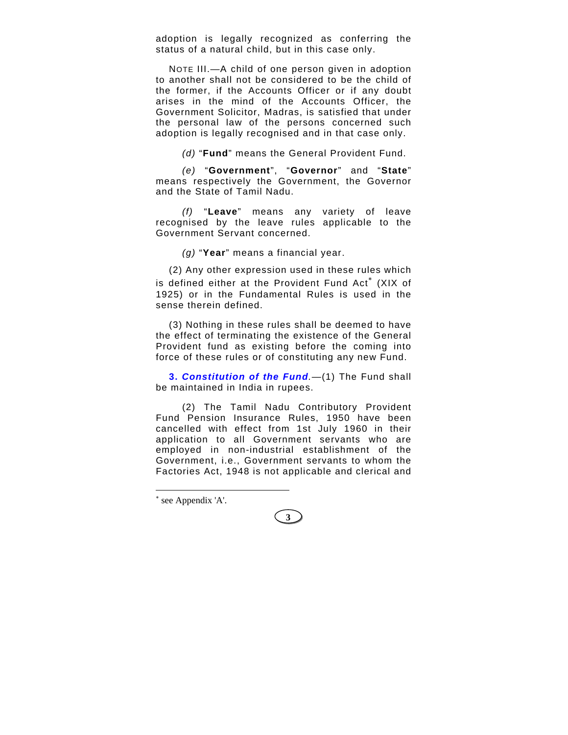adoption is legally recognized as conferring the status of a natural child, but in this case only.

NOTE III.—A child of one person given in adoption to another shall not be considered to be the child of the former, if the Accounts Officer or if any doubt arises in the mind of the Accounts Officer, the Government Solicitor, Madras, is satisfied that under the personal law of the persons concerned such adoption is legally recognised and in that case only.

*(d)* "**Fund**" means the General Provident Fund.

*(e)* "**Government**", "**Governor**" and "**State**" means respectively the Government, the Governor and the State of Tamil Nadu.

*(f)* "**Leave**" means any variety of leave recognised by the leave rules applicable to the Government Servant concerned.

*(g)* "**Year**" means a financial year.

(2) Any other expression used in these rules which is defined either at the Provident Fund Act<sup>\*</sup> (XIX of 1925) or in the Fundamental Rules is used in the sense therein defined.

(3) Nothing in these rules shall be deemed to have the effect of terminating the existence of the General Provident fund as existing before the coming into force of these rules or of constituting any new Fund.

**3.** *Constitution of the Fund.—*(1) The Fund shall be maintained in India in rupees.

(2) The Tamil Nadu Contributory Provident Fund Pension Insurance Rules, 1950 have been cancelled with effect from 1st July 1960 in their application to all Government servants who are employed in non-industrial establishment of the Government, i.e., Government servants to whom the Factories Act, 1948 is not applicable and clerical and

∗ see Appendix 'A'.

 $\overline{a}$ 

**3**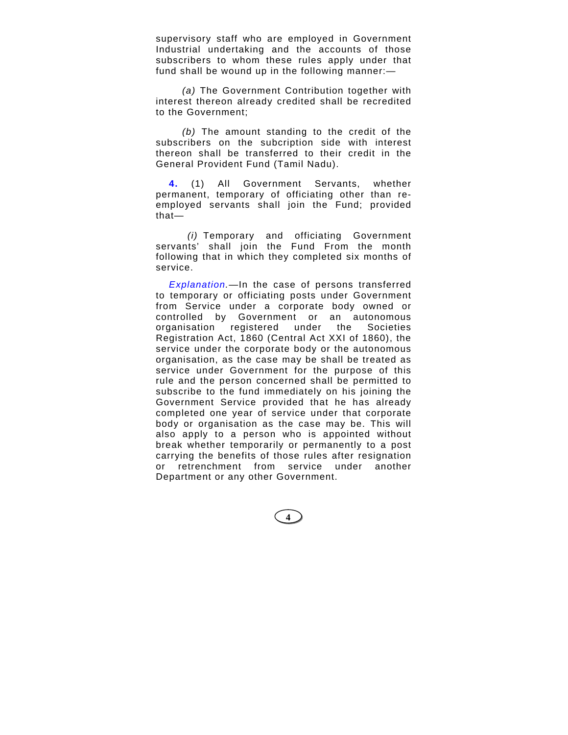supervisory staff who are employed in Government Industrial undertaking and the accounts of those subscribers to whom these rules apply under that fund shall be wound up in the following manner:—

*(a)* The Government Contribution together with interest thereon already credited shall be recredited to the Government;

*(b)* The amount standing to the credit of the subscribers on the subcription side with interest thereon shall be transferred to their credit in the General Provident Fund (Tamil Nadu).

**4.** (1) All Government Servants, whether permanent, temporary of officiating other than reemployed servants shall join the Fund; provided that—

*(i)* Temporary and officiating Government servants' shall join the Fund From the month following that in which they completed six months of service.

*Explanation.—*In the case of persons transferred to temporary or officiating posts under Government from Service under a corporate body owned or controlled by Government or an autonomous organisation registered under the Societies Registration Act, 1860 (Central Act XXI of 1860), the service under the corporate body or the autonomous organisation, as the case may be shall be treated as service under Government for the purpose of this rule and the person concerned shall be permitted to subscribe to the fund immediately on his joining the Government Service provided that he has already completed one year of service under that corporate body or organisation as the case may be. This will also apply to a person who is appointed without break whether temporarily or permanently to a post carrying the benefits of those rules after resignation or retrenchment from service under another Department or any other Government.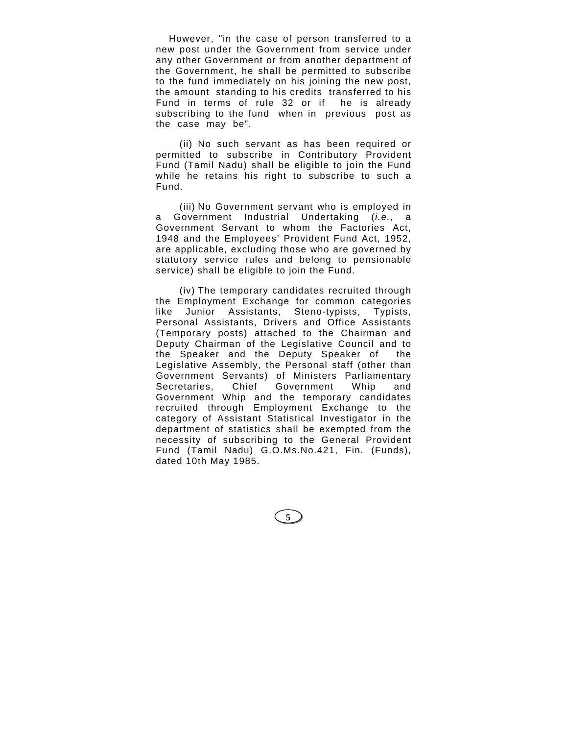However, "in the case of person transferred to a new post under the Government from service under any other Government or from another department of the Government, he shall be permitted to subscribe to the fund immediately on his joining the new post, the amount standing to his credits transferred to his Fund in terms of rule 32 or if he is already subscribing to the fund when in previous post as the case may be".

(ii) No such servant as has been required or permitted to subscribe in Contributory Provident Fund (Tamil Nadu) shall be eligible to join the Fund while he retains his right to subscribe to such a Fund.

(iii) No Government servant who is employed in a Government Industrial Undertaking (*i.e.,* a Government Servant to whom the Factories Act, 1948 and the Employees' Provident Fund Act, 1952, are applicable, excluding those who are governed by statutory service rules and belong to pensionable service) shall be eligible to join the Fund.

(iv) The temporary candidates recruited through the Employment Exchange for common categories like Junior Assistants, Steno-typists, Typists, Personal Assistants, Drivers and Office Assistants (Temporary posts) attached to the Chairman and Deputy Chairman of the Legislative Council and to the Speaker and the Deputy Speaker of the Legislative Assembly, the Personal staff (other than Government Servants) of Ministers Parliamentary Secretaries, Chief Government Whip and Government Whip and the temporary candidates recruited through Employment Exchange to the category of Assistant Statistical Investigator in the department of statistics shall be exempted from the necessity of subscribing to the General Provident Fund (Tamil Nadu) G.O.Ms.No.421, Fin. (Funds), dated 10th May 1985.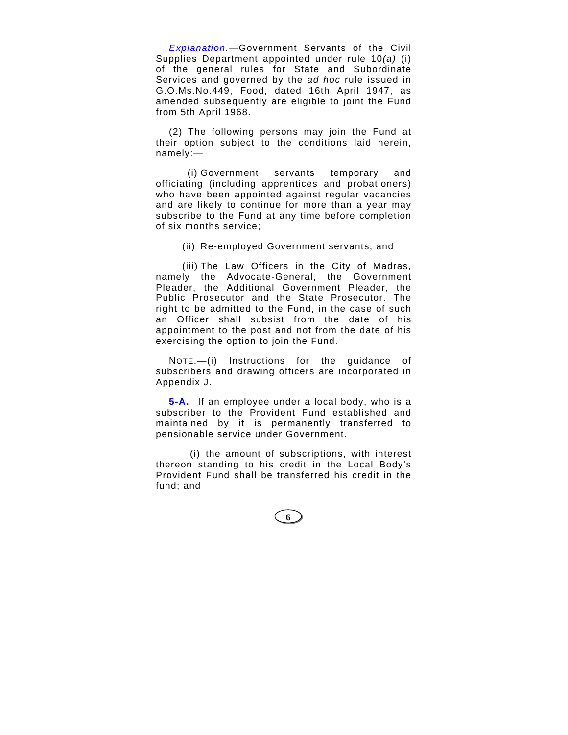*Explanation.*—Government Servants of the Civil Supplies Department appointed under rule 10*(a)* (i) of the general rules for State and Subordinate Services and governed by the *ad hoc* rule issued in G.O.Ms.No.449, Food, dated 16th April 1947, as amended subsequently are eligible to joint the Fund from 5th April 1968.

(2) The following persons may join the Fund at their option subject to the conditions laid herein, namely:—

(i) Government servants temporary and officiating (including apprentices and probationers) who have been appointed against regular vacancies and are likely to continue for more than a year may subscribe to the Fund at any time before completion of six months service;

(ii) Re-employed Government servants; and

(iii) The Law Officers in the City of Madras, namely the Advocate-General, the Government Pleader, the Additional Government Pleader, the Public Prosecutor and the State Prosecutor. The right to be admitted to the Fund, in the case of such an Officer shall subsist from the date of his appointment to the post and not from the date of his exercising the option to join the Fund.

NOTE.—(i) Instructions for the guidance of subscribers and drawing officers are incorporated in Appendix J.

**5-A.** If an employee under a local body, who is a subscriber to the Provident Fund established and maintained by it is permanently transferred to pensionable service under Government.

(i) the amount of subscriptions, with interest thereon standing to his credit in the Local Body's Provident Fund shall be transferred his credit in the fund; and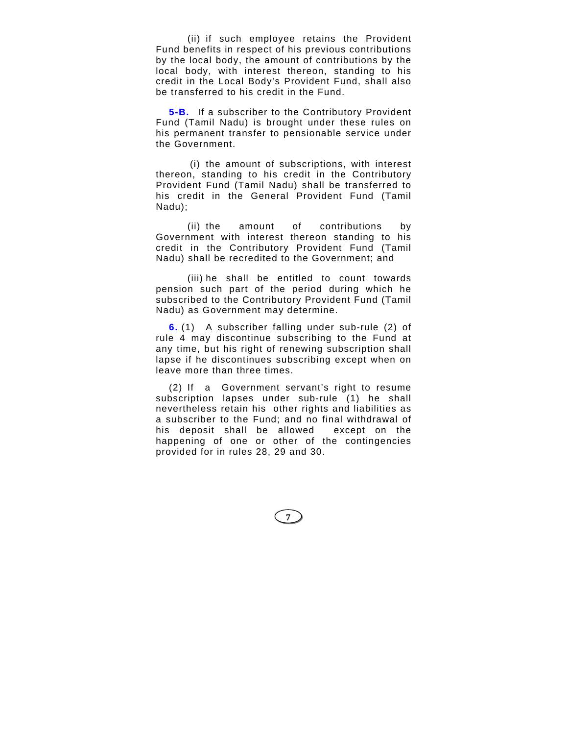(ii) if such employee retains the Provident Fund benefits in respect of his previous contributions by the local body, the amount of contributions by the local body, with interest thereon, standing to his credit in the Local Body's Provident Fund, shall also be transferred to his credit in the Fund.

**5-B.** If a subscriber to the Contributory Provident Fund (Tamil Nadu) is brought under these rules on his permanent transfer to pensionable service under the Government.

(i) the amount of subscriptions, with interest thereon, standing to his credit in the Contributory Provident Fund (Tamil Nadu) shall be transferred to his credit in the General Provident Fund (Tamil Nadu);

(ii) the amount of contributions by Government with interest thereon standing to his credit in the Contributory Provident Fund (Tamil Nadu) shall be recredited to the Government; and

(iii) he shall be entitled to count towards pension such part of the period during which he subscribed to the Contributory Provident Fund (Tamil Nadu) as Government may determine.

**6.** (1) A subscriber falling under sub-rule (2) of rule 4 may discontinue subscribing to the Fund at any time, but his right of renewing subscription shall lapse if he discontinues subscribing except when on leave more than three times.

(2) If a Government servant's right to resume subscription lapses under sub-rule (1) he shall nevertheless retain his other rights and liabilities as a subscriber to the Fund; and no final withdrawal of his deposit shall be allowed except on the happening of one or other of the contingencies provided for in rules 28, 29 and 30.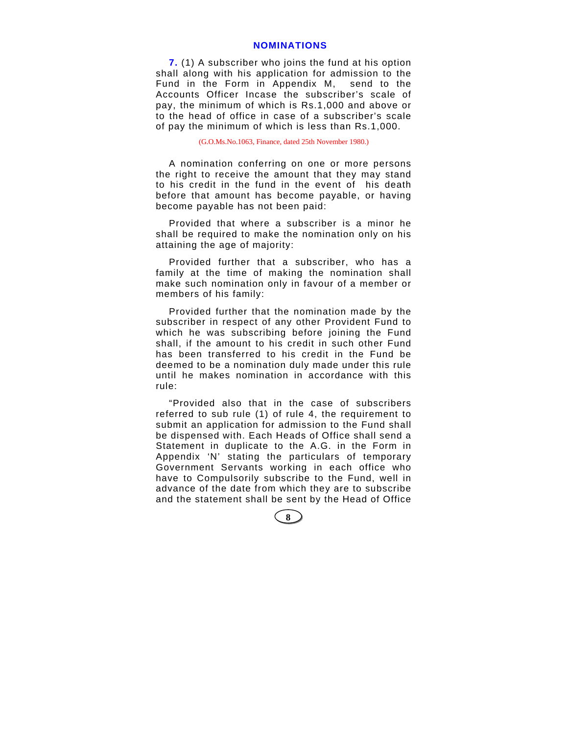# **NOMINATIONS**

**7.** (1) A subscriber who joins the fund at his option shall along with his application for admission to the Fund in the Form in Appendix M, send to the Accounts Officer Incase the subscriber's scale of pay, the minimum of which is Rs.1,000 and above or to the head of office in case of a subscriber's scale of pay the minimum of which is less than Rs.1,000.

(G.O.Ms.No.1063, Finance, dated 25th November 1980.)

A nomination conferring on one or more persons the right to receive the amount that they may stand to his credit in the fund in the event of his death before that amount has become payable, or having become payable has not been paid:

Provided that where a subscriber is a minor he shall be required to make the nomination only on his attaining the age of majority:

Provided further that a subscriber, who has a family at the time of making the nomination shall make such nomination only in favour of a member or members of his family:

Provided further that the nomination made by the subscriber in respect of any other Provident Fund to which he was subscribing before joining the Fund shall, if the amount to his credit in such other Fund has been transferred to his credit in the Fund be deemed to be a nomination duly made under this rule until he makes nomination in accordance with this rule:

"Provided also that in the case of subscribers referred to sub rule (1) of rule 4, the requirement to submit an application for admission to the Fund shall be dispensed with. Each Heads of Office shall send a Statement in duplicate to the A.G. in the Form in Appendix 'N' stating the particulars of temporary Government Servants working in each office who have to Compulsorily subscribe to the Fund, well in advance of the date from which they are to subscribe and the statement shall be sent by the Head of Office

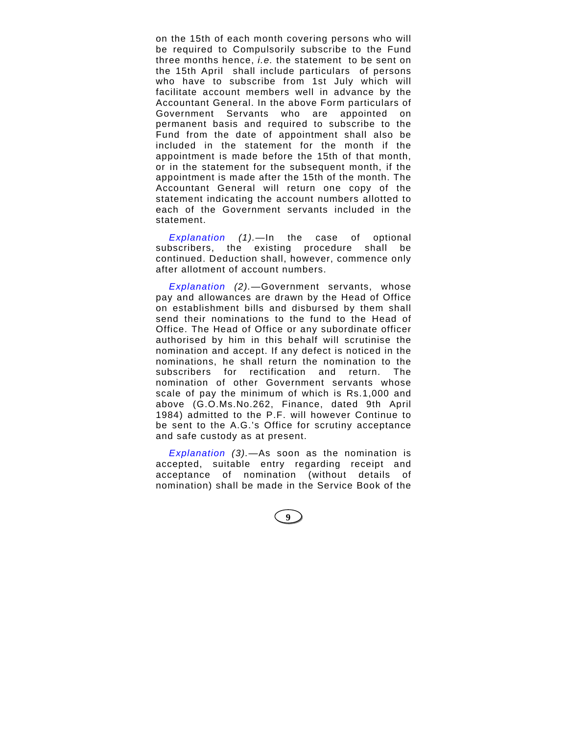on the 15th of each month covering persons who will be required to Compulsorily subscribe to the Fund three months hence, *i.e.* the statement to be sent on the 15th April shall include particulars of persons who have to subscribe from 1st July which will facilitate account members well in advance by the Accountant General. In the above Form particulars of Government Servants who are appointed on permanent basis and required to subscribe to the Fund from the date of appointment shall also be included in the statement for the month if the appointment is made before the 15th of that month, or in the statement for the subsequent month, if the appointment is made after the 15th of the month. The Accountant General will return one copy of the statement indicating the account numbers allotted to each of the Government servants included in the statement.

*Explanation (1).*—In the case of optional subscribers, the existing procedure shall be continued. Deduction shall, however, commence only after allotment of account numbers.

*Explanation (2).*—Government servants, whose pay and allowances are drawn by the Head of Office on establishment bills and disbursed by them shall send their nominations to the fund to the Head of Office. The Head of Office or any subordinate officer authorised by him in this behalf will scrutinise the nomination and accept. If any defect is noticed in the nominations, he shall return the nomination to the subscribers for rectification and return. The nomination of other Government servants whose scale of pay the minimum of which is Rs.1,000 and above (G.O.Ms.No.262, Finance, dated 9th April 1984) admitted to the P.F. will however Continue to be sent to the A.G.'s Office for scrutiny acceptance and safe custody as at present.

*Explanation (3).*—As soon as the nomination is accepted, suitable entry regarding receipt and acceptance of nomination (without details of nomination) shall be made in the Service Book of the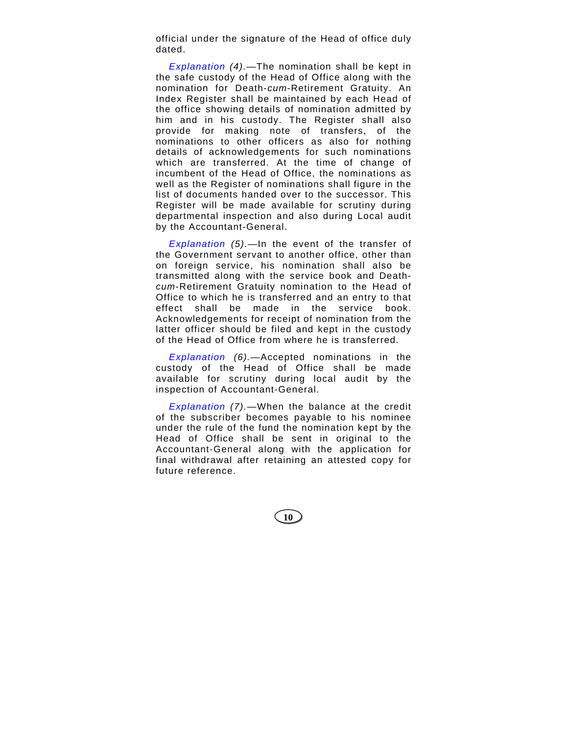official under the signature of the Head of office duly dated.

*Explanation (4).*—The nomination shall be kept in the safe custody of the Head of Office along with the nomination for Death-*cum*-Retirement Gratuity. An Index Register shall be maintained by each Head of the office showing details of nomination admitted by him and in his custody. The Register shall also provide for making note of transfers, of the nominations to other officers as also for nothing details of acknowledgements for such nominations which are transferred. At the time of change of incumbent of the Head of Office, the nominations as well as the Register of nominations shall figure in the list of documents handed over to the successor. This Register will be made available for scrutiny during departmental inspection and also during Local audit by the Accountant-General.

*Explanation (5).*—In the event of the transfer of the Government servant to another office, other than on foreign service, his nomination shall also be transmitted along with the service book and Death*cum*-Retirement Gratuity nomination to the Head of Office to which he is transferred and an entry to that effect shall be made in the service book. Acknowledgements for receipt of nomination from the latter officer should be filed and kept in the custody of the Head of Office from where he is transferred.

*Explanation (6).*—Accepted nominations in the custody of the Head of Office shall be made available for scrutiny during local audit by the inspection of Accountant-General.

*Explanation (7).*—When the balance at the credit of the subscriber becomes payable to his nominee under the rule of the fund the nomination kept by the Head of Office shall be sent in original to the Accountant-General along with the application for final withdrawal after retaining an attested copy for future reference.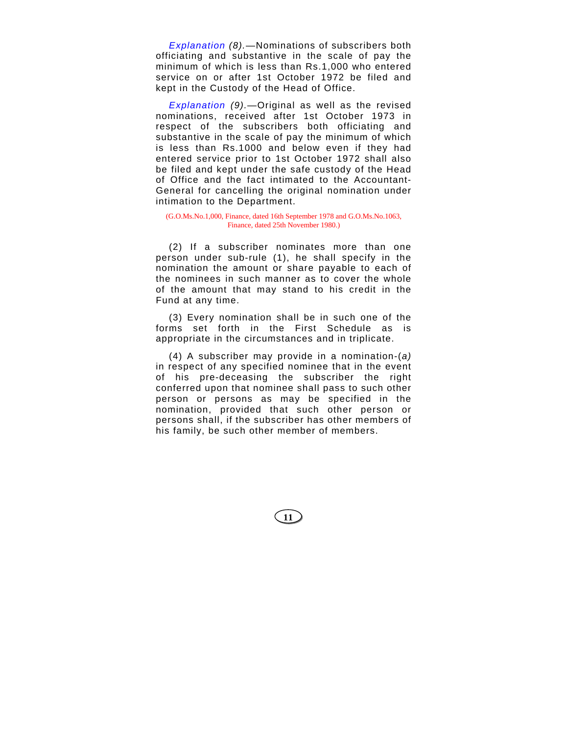*Explanation (8).*—Nominations of subscribers both officiating and substantive in the scale of pay the minimum of which is less than Rs.1,000 who entered service on or after 1st October 1972 be filed and kept in the Custody of the Head of Office.

*Explanation (9).*—Original as well as the revised nominations, received after 1st October 1973 in respect of the subscribers both officiating and substantive in the scale of pay the minimum of which is less than Rs.1000 and below even if they had entered service prior to 1st October 1972 shall also be filed and kept under the safe custody of the Head of Office and the fact intimated to the Accountant-General for cancelling the original nomination under intimation to the Department.

(G.O.Ms.No.1,000, Finance, dated 16th September 1978 and G.O.Ms.No.1063, Finance, dated 25th November 1980.)

(2) If a subscriber nominates more than one person under sub-rule (1), he shall specify in the nomination the amount or share payable to each of the nominees in such manner as to cover the whole of the amount that may stand to his credit in the Fund at any time.

(3) Every nomination shall be in such one of the forms set forth in the First Schedule as is appropriate in the circumstances and in triplicate.

(4) A subscriber may provide in a nomination-(*a)* in respect of any specified nominee that in the event of his pre-deceasing the subscriber the right conferred upon that nominee shall pass to such other person or persons as may be specified in the nomination, provided that such other person or persons shall, if the subscriber has other members of his family, be such other member of members.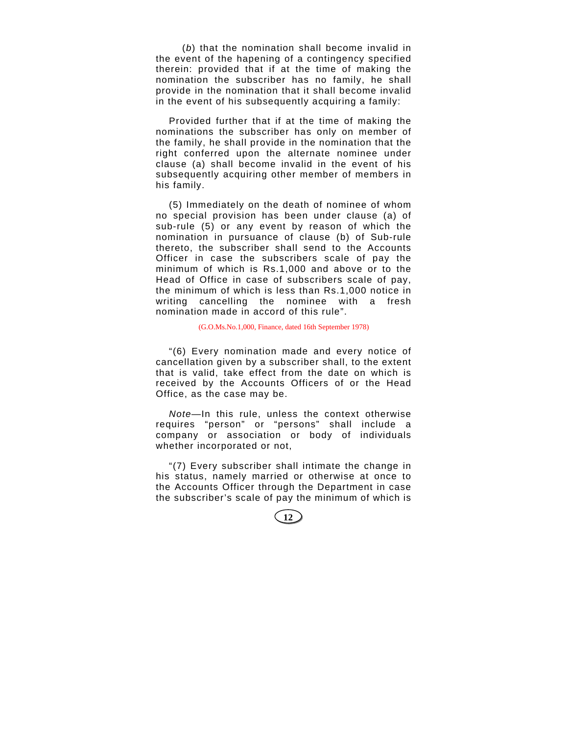(*b*) that the nomination shall become invalid in the event of the hapening of a contingency specified therein: provided that if at the time of making the nomination the subscriber has no family, he shall provide in the nomination that it shall become invalid in the event of his subsequently acquiring a family:

Provided further that if at the time of making the nominations the subscriber has only on member of the family, he shall provide in the nomination that the right conferred upon the alternate nominee under clause (a) shall become invalid in the event of his subsequently acquiring other member of members in his family.

(5) Immediately on the death of nominee of whom no special provision has been under clause (a) of sub-rule (5) or any event by reason of which the nomination in pursuance of clause (b) of Sub-rule thereto, the subscriber shall send to the Accounts Officer in case the subscribers scale of pay the minimum of which is Rs.1,000 and above or to the Head of Office in case of subscribers scale of pay, the minimum of which is less than Rs.1,000 notice in writing cancelling the nominee with a fresh nomination made in accord of this rule".

### (G.O.Ms.No.1,000, Finance, dated 16th September 1978)

"(6) Every nomination made and every notice of cancellation given by a subscriber shall, to the extent that is valid, take effect from the date on which is received by the Accounts Officers of or the Head Office, as the case may be.

*Note*—In this rule, unless the context otherwise requires "person" or "persons" shall include a company or association or body of individuals whether incorporated or not,

"(7) Every subscriber shall intimate the change in his status, namely married or otherwise at once to the Accounts Officer through the Department in case the subscriber's scale of pay the minimum of which is

**12**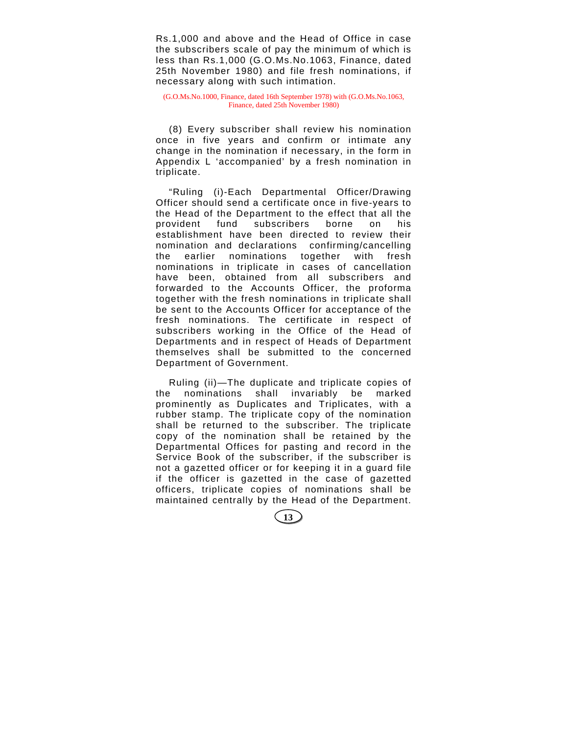Rs.1,000 and above and the Head of Office in case the subscribers scale of pay the minimum of which is less than Rs.1,000 (G.O.Ms.No.1063, Finance, dated 25th November 1980) and file fresh nominations, if necessary along with such intimation.

(G.O.Ms.No.1000, Finance, dated 16th September 1978) with (G.O.Ms.No.1063, Finance, dated 25th November 1980)

(8) Every subscriber shall review his nomination once in five years and confirm or intimate any change in the nomination if necessary, in the form in Appendix L 'accompanied' by a fresh nomination in triplicate.

"Ruling (i)-Each Departmental Officer/Drawing Officer should send a certificate once in five-years to the Head of the Department to the effect that all the provident fund subscribers borne on his establishment have been directed to review their nomination and declarations confirming/cancelling the earlier nominations together with fresh nominations in triplicate in cases of cancellation have been, obtained from all subscribers and forwarded to the Accounts Officer, the proforma together with the fresh nominations in triplicate shall be sent to the Accounts Officer for acceptance of the fresh nominations. The certificate in respect of subscribers working in the Office of the Head of Departments and in respect of Heads of Department themselves shall be submitted to the concerned Department of Government.

Ruling (ii)—The duplicate and triplicate copies of the nominations shall invariably be marked prominently as Duplicates and Triplicates, with a rubber stamp. The triplicate copy of the nomination shall be returned to the subscriber. The triplicate copy of the nomination shall be retained by the Departmental Offices for pasting and record in the Service Book of the subscriber, if the subscriber is not a gazetted officer or for keeping it in a guard file if the officer is gazetted in the case of gazetted officers, triplicate copies of nominations shall be maintained centrally by the Head of the Department.

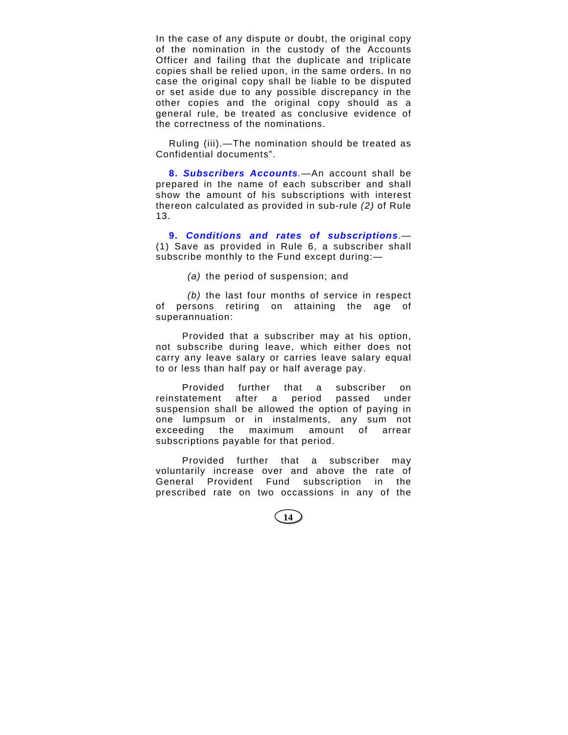In the case of any dispute or doubt, the original copy of the nomination in the custody of the Accounts Officer and failing that the duplicate and triplicate copies shall be relied upon, in the same orders. In no case the original copy shall be liable to be disputed or set aside due to any possible discrepancy in the other copies and the original copy should as a general rule, be treated as conclusive evidence of the correctness of the nominations.

Ruling (iii).—The nomination should be treated as Confidential documents".

**8.** *Subscribers Accounts.*—An account shall be prepared in the name of each subscriber and shall show the amount of his subscriptions with interest thereon calculated as provided in sub-rule *(2)* of Rule 13.

**9.** *Conditions and rates of subscriptions*.— (1) Save as provided in Rule 6, a subscriber shall subscribe monthly to the Fund except during:—

*(a)* the period of suspension; and

*(b)* the last four months of service in respect of persons retiring on attaining the age of superannuation:

Provided that a subscriber may at his option, not subscribe during leave, which either does not carry any leave salary or carries leave salary equal to or less than half pay or half average pay.

Provided further that a subscriber on reinstatement after a period passed under suspension shall be allowed the option of paying in one lumpsum or in instalments, any sum not exceeding the maximum amount of arrear subscriptions payable for that period.

Provided further that a subscriber may voluntarily increase over and above the rate of General Provident Fund subscription in the prescribed rate on two occassions in any of the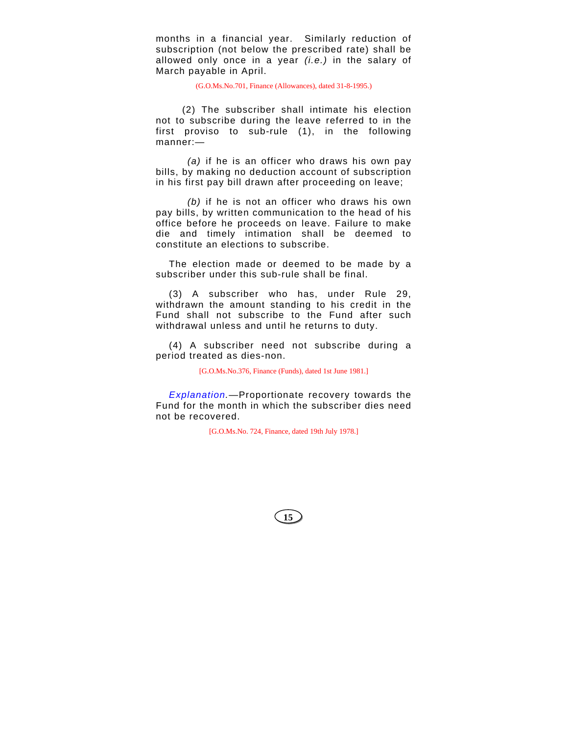months in a financial year. Similarly reduction of subscription (not below the prescribed rate) shall be allowed only once in a year *(i.e.)* in the salary of March payable in April.

(G.O.Ms.No.701, Finance (Allowances), dated 31-8-1995.)

(2) The subscriber shall intimate his election not to subscribe during the leave referred to in the first proviso to sub-rule (1), in the following manner:—

*(a)* if he is an officer who draws his own pay bills, by making no deduction account of subscription in his first pay bill drawn after proceeding on leave;

*(b)* if he is not an officer who draws his own pay bills, by written communication to the head of his office before he proceeds on leave. Failure to make die and timely intimation shall be deemed to constitute an elections to subscribe.

The election made or deemed to be made by a subscriber under this sub-rule shall be final.

(3) A subscriber who has, under Rule 29, withdrawn the amount standing to his credit in the Fund shall not subscribe to the Fund after such withdrawal unless and until he returns to duty.

(4) A subscriber need not subscribe during a period treated as dies-non.

[G.O.Ms.No.376, Finance (Funds), dated 1st June 1981.]

*Explanation.*—Proportionate recovery towards the Fund for the month in which the subscriber dies need not be recovered.

[G.O.Ms.No. 724, Finance, dated 19th July 1978.]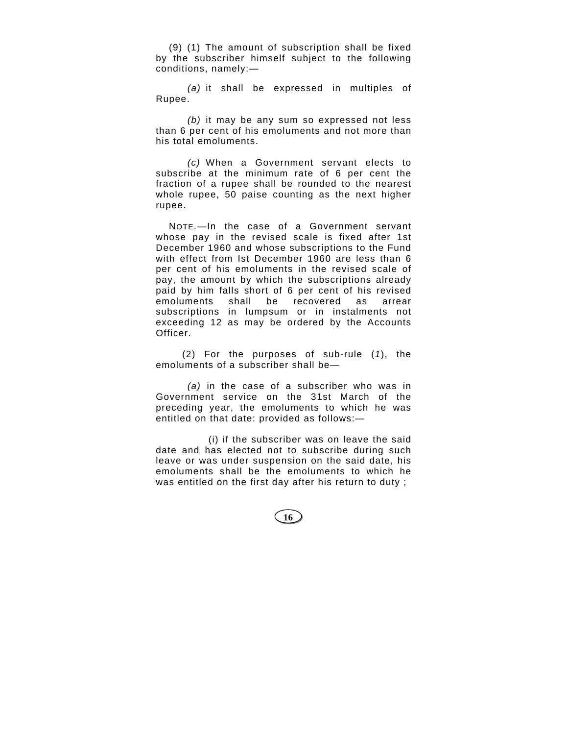(9) (1) The amount of subscription shall be fixed by the subscriber himself subject to the following conditions, namely:—

*(a)* it shall be expressed in multiples of Rupee.

*(b)* it may be any sum so expressed not less than 6 per cent of his emoluments and not more than his total emoluments.

*(c)* When a Government servant elects to subscribe at the minimum rate of 6 per cent the fraction of a rupee shall be rounded to the nearest whole rupee, 50 paise counting as the next higher rupee.

NOTE.—In the case of a Government servant whose pay in the revised scale is fixed after 1st December 1960 and whose subscriptions to the Fund with effect from Ist December 1960 are less than 6 per cent of his emoluments in the revised scale of pay, the amount by which the subscriptions already paid by him falls short of 6 per cent of his revised emoluments shall be recovered as arrear subscriptions in lumpsum or in instalments not exceeding 12 as may be ordered by the Accounts Officer.

(2) For the purposes of sub-rule (*1*), the emoluments of a subscriber shall be—

*(a)* in the case of a subscriber who was in Government service on the 31st March of the preceding year, the emoluments to which he was entitled on that date: provided as follows:—

(i) if the subscriber was on leave the said date and has elected not to subscribe during such leave or was under suspension on the said date, his emoluments shall be the emoluments to which he was entitled on the first day after his return to duty ;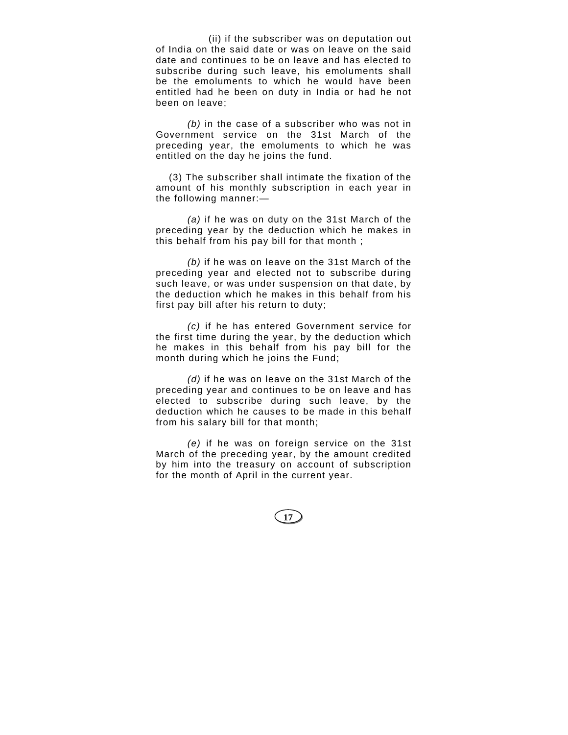(ii) if the subscriber was on deputation out of India on the said date or was on leave on the said date and continues to be on leave and has elected to subscribe during such leave, his emoluments shall be the emoluments to which he would have been entitled had he been on duty in India or had he not been on leave;

*(b)* in the case of a subscriber who was not in Government service on the 31st March of the preceding year, the emoluments to which he was entitled on the day he joins the fund.

(3) The subscriber shall intimate the fixation of the amount of his monthly subscription in each year in the following manner:—

*(a)* if he was on duty on the 31st March of the preceding year by the deduction which he makes in this behalf from his pay bill for that month ;

*(b)* if he was on leave on the 31st March of the preceding year and elected not to subscribe during such leave, or was under suspension on that date, by the deduction which he makes in this behalf from his first pay bill after his return to duty;

*(c)* if he has entered Government service for the first time during the year, by the deduction which he makes in this behalf from his pay bill for the month during which he joins the Fund;

*(d)* if he was on leave on the 31st March of the preceding year and continues to be on leave and has elected to subscribe during such leave, by the deduction which he causes to be made in this behalf from his salary bill for that month;

*(e)* if he was on foreign service on the 31st March of the preceding year, by the amount credited by him into the treasury on account of subscription for the month of April in the current year.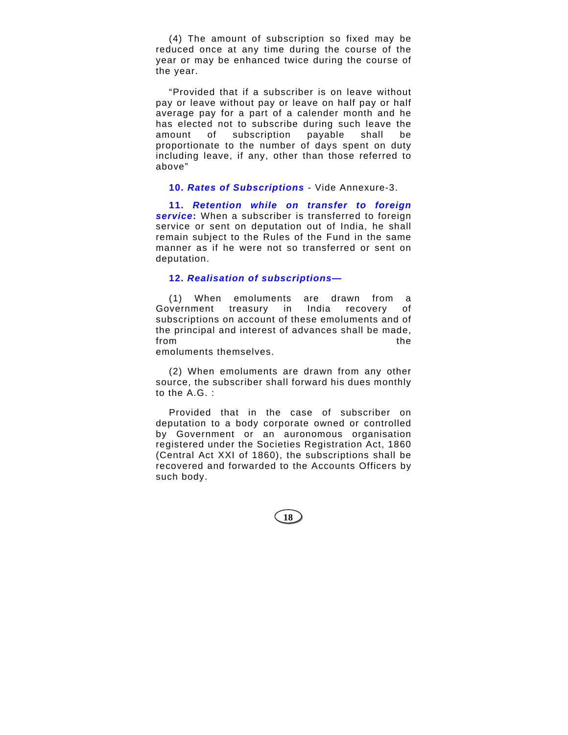(4) The amount of subscription so fixed may be reduced once at any time during the course of the year or may be enhanced twice during the course of the year.

"Provided that if a subscriber is on leave without pay or leave without pay or leave on half pay or half average pay for a part of a calender month and he has elected not to subscribe during such leave the amount of subscription payable shall be proportionate to the number of days spent on duty including leave, if any, other than those referred to above"

## **10.** *Rates of Subscriptions* - Vide Annexure-3.

**11.** *Retention while on transfer to foreign service***:** When a subscriber is transferred to foreign service or sent on deputation out of India, he shall remain subject to the Rules of the Fund in the same manner as if he were not so transferred or sent on deputation.

# **12.** *Realisation of subscriptions***—**

(1) When emoluments are drawn from a Government treasury in India recovery of subscriptions on account of these emoluments and of the principal and interest of advances shall be made, from the contract of the contract of the contract of the contract of the contract of the contract of the contract of the contract of the contract of the contract of the contract of the contract of the contract of the contr

emoluments themselves.

(2) When emoluments are drawn from any other source, the subscriber shall forward his dues monthly to the A.G. :

Provided that in the case of subscriber on deputation to a body corporate owned or controlled by Government or an auronomous organisation registered under the Societies Registration Act, 1860 (Central Act XXI of 1860), the subscriptions shall be recovered and forwarded to the Accounts Officers by such body.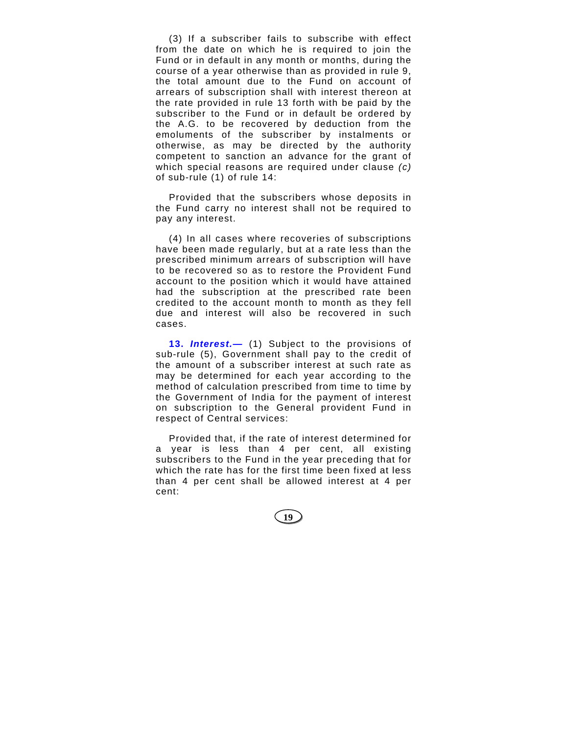(3) If a subscriber fails to subscribe with effect from the date on which he is required to join the Fund or in default in any month or months, during the course of a year otherwise than as provided in rule 9, the total amount due to the Fund on account of arrears of subscription shall with interest thereon at the rate provided in rule 13 forth with be paid by the subscriber to the Fund or in default be ordered by the A.G. to be recovered by deduction from the emoluments of the subscriber by instalments or otherwise, as may be directed by the authority competent to sanction an advance for the grant of which special reasons are required under clause *(c)* of sub-rule (1) of rule 14:

Provided that the subscribers whose deposits in the Fund carry no interest shall not be required to pay any interest.

(4) In all cases where recoveries of subscriptions have been made regularly, but at a rate less than the prescribed minimum arrears of subscription will have to be recovered so as to restore the Provident Fund account to the position which it would have attained had the subscription at the prescribed rate been credited to the account month to month as they fell due and interest will also be recovered in such cases.

**13.** *Interest.***—** (1) Subject to the provisions of sub-rule (5), Government shall pay to the credit of the amount of a subscriber interest at such rate as may be determined for each year according to the method of calculation prescribed from time to time by the Government of India for the payment of interest on subscription to the General provident Fund in respect of Central services:

Provided that, if the rate of interest determined for a year is less than 4 per cent, all existing subscribers to the Fund in the year preceding that for which the rate has for the first time been fixed at less than 4 per cent shall be allowed interest at 4 per cent: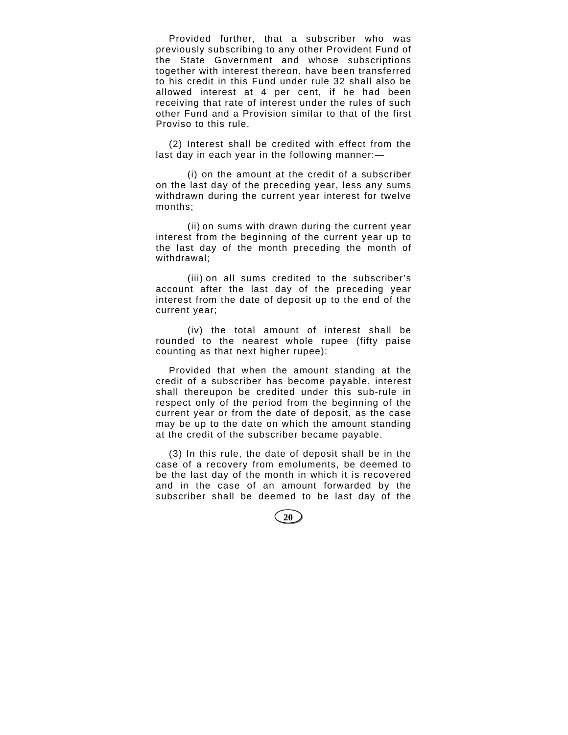Provided further, that a subscriber who was previously subscribing to any other Provident Fund of the State Government and whose subscriptions together with interest thereon, have been transferred to his credit in this Fund under rule 32 shall also be allowed interest at 4 per cent, if he had been receiving that rate of interest under the rules of such other Fund and a Provision similar to that of the first Proviso to this rule.

(2) Interest shall be credited with effect from the last day in each year in the following manner:—

(i) on the amount at the credit of a subscriber on the last day of the preceding year, less any sums withdrawn during the current year interest for twelve months;

(ii) on sums with drawn during the current year interest from the beginning of the current year up to the last day of the month preceding the month of withdrawal;

(iii) on all sums credited to the subscriber's account after the last day of the preceding year interest from the date of deposit up to the end of the current year;

(iv) the total amount of interest shall be rounded to the nearest whole rupee (fifty paise counting as that next higher rupee):

Provided that when the amount standing at the credit of a subscriber has become payable, interest shall thereupon be credited under this sub-rule in respect only of the period from the beginning of the current year or from the date of deposit, as the case may be up to the date on which the amount standing at the credit of the subscriber became payable.

(3) In this rule, the date of deposit shall be in the case of a recovery from emoluments, be deemed to be the last day of the month in which it is recovered and in the case of an amount forwarded by the subscriber shall be deemed to be last day of the

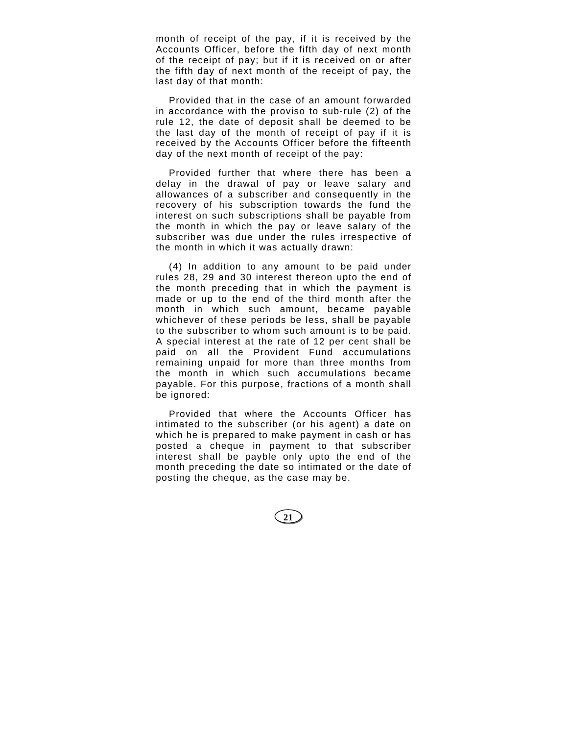month of receipt of the pay, if it is received by the Accounts Officer, before the fifth day of next month of the receipt of pay; but if it is received on or after the fifth day of next month of the receipt of pay, the last day of that month:

Provided that in the case of an amount forwarded in accordance with the proviso to sub-rule (2) of the rule 12, the date of deposit shall be deemed to be the last day of the month of receipt of pay if it is received by the Accounts Officer before the fifteenth day of the next month of receipt of the pay:

Provided further that where there has been a delay in the drawal of pay or leave salary and allowances of a subscriber and consequently in the recovery of his subscription towards the fund the interest on such subscriptions shall be payable from the month in which the pay or leave salary of the subscriber was due under the rules irrespective of the month in which it was actually drawn:

(4) In addition to any amount to be paid under rules 28, 29 and 30 interest thereon upto the end of the month preceding that in which the payment is made or up to the end of the third month after the month in which such amount, became payable whichever of these periods be less, shall be payable to the subscriber to whom such amount is to be paid. A special interest at the rate of 12 per cent shall be paid on all the Provident Fund accumulations remaining unpaid for more than three months from the month in which such accumulations became payable. For this purpose, fractions of a month shall be ignored:

Provided that where the Accounts Officer has intimated to the subscriber (or his agent) a date on which he is prepared to make payment in cash or has posted a cheque in payment to that subscriber interest shall be payble only upto the end of the month preceding the date so intimated or the date of posting the cheque, as the case may be.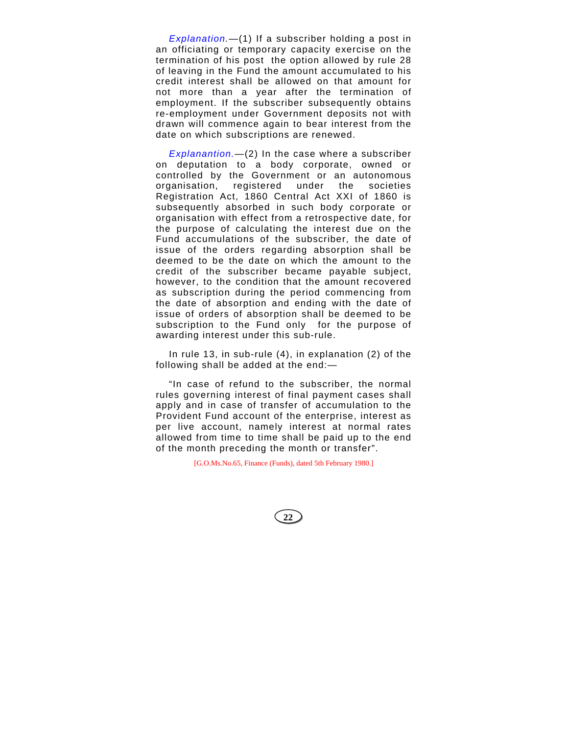*Explanation.—*(1) If a subscriber holding a post in an officiating or temporary capacity exercise on the termination of his post the option allowed by rule 28 of leaving in the Fund the amount accumulated to his credit interest shall be allowed on that amount for not more than a year after the termination of employment. If the subscriber subsequently obtains re-employment under Government deposits not with drawn will commence again to bear interest from the date on which subscriptions are renewed.

*Explanantion.—*(2) In the case where a subscriber on deputation to a body corporate, owned or controlled by the Government or an autonomous organisation, registered under the societies Registration Act, 1860 Central Act XXI of 1860 is subsequently absorbed in such body corporate or organisation with effect from a retrospective date, for the purpose of calculating the interest due on the Fund accumulations of the subscriber, the date of issue of the orders regarding absorption shall be deemed to be the date on which the amount to the credit of the subscriber became payable subject, however, to the condition that the amount recovered as subscription during the period commencing from the date of absorption and ending with the date of issue of orders of absorption shall be deemed to be subscription to the Fund only for the purpose of awarding interest under this sub-rule.

In rule 13, in sub-rule (4), in explanation (2) of the following shall be added at the end:—

"In case of refund to the subscriber, the normal rules governing interest of final payment cases shall apply and in case of transfer of accumulation to the Provident Fund account of the enterprise, interest as per live account, namely interest at normal rates allowed from time to time shall be paid up to the end of the month preceding the month or transfer".

[G.O.Ms.No.65, Finance (Funds), dated 5th February 1980.]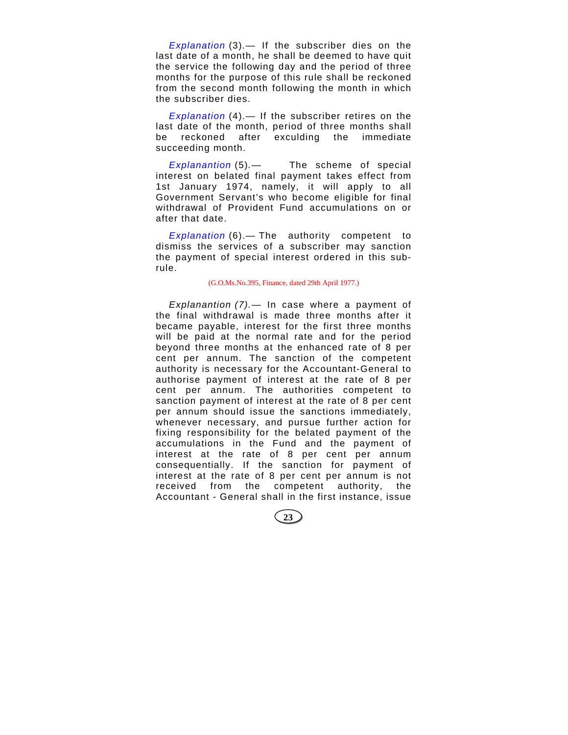*Explanation* (3)*.—* If the subscriber dies on the last date of a month, he shall be deemed to have quit the service the following day and the period of three months for the purpose of this rule shall be reckoned from the second month following the month in which the subscriber dies.

*Explanation* (4)*.—* If the subscriber retires on the last date of the month, period of three months shall be reckoned after exculding the immediate succeeding month.

*Explanantion* (5)*.—* The scheme of special interest on belated final payment takes effect from 1st January 1974, namely, it will apply to all Government Servant's who become eligible for final withdrawal of Provident Fund accumulations on or after that date.

*Explanation* (6).*—* The authority competent to dismiss the services of a subscriber may sanction the payment of special interest ordered in this subrule.

#### (G.O.Ms.No.395, Finance, dated 29th April 1977.)

*Explanantion (7).—* In case where a payment of the final withdrawal is made three months after it became payable, interest for the first three months will be paid at the normal rate and for the period beyond three months at the enhanced rate of 8 per cent per annum. The sanction of the competent authority is necessary for the Accountant-General to authorise payment of interest at the rate of 8 per cent per annum. The authorities competent to sanction payment of interest at the rate of 8 per cent per annum should issue the sanctions immediately, whenever necessary, and pursue further action for fixing responsibility for the belated payment of the accumulations in the Fund and the payment of interest at the rate of 8 per cent per annum consequentially. If the sanction for payment of interest at the rate of 8 per cent per annum is not received from the competent authority, the Accountant - General shall in the first instance, issue

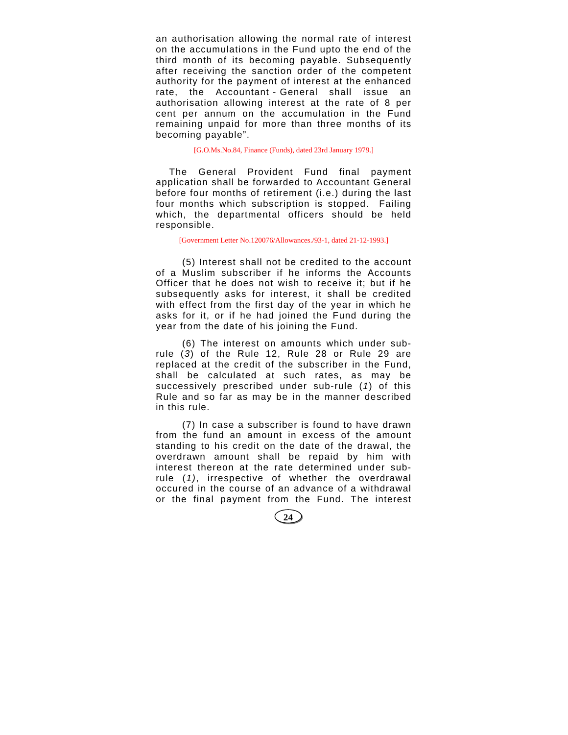an authorisation allowing the normal rate of interest on the accumulations in the Fund upto the end of the third month of its becoming payable. Subsequently after receiving the sanction order of the competent authority for the payment of interest at the enhanced rate, the Accountant - General shall issue an authorisation allowing interest at the rate of 8 per cent per annum on the accumulation in the Fund remaining unpaid for more than three months of its becoming payable".

[G.O.Ms.No.84, Finance (Funds), dated 23rd January 1979.]

The General Provident Fund final payment application shall be forwarded to Accountant General before four months of retirement (i.e.) during the last four months which subscription is stopped. Failing which, the departmental officers should be held responsible.

#### [Government Letter No.120076/Allowances./93-1, dated 21-12-1993.]

(5) Interest shall not be credited to the account of a Muslim subscriber if he informs the Accounts Officer that he does not wish to receive it; but if he subsequently asks for interest, it shall be credited with effect from the first day of the year in which he asks for it, or if he had joined the Fund during the year from the date of his joining the Fund.

(6) The interest on amounts which under subrule (*3*) of the Rule 12, Rule 28 or Rule 29 are replaced at the credit of the subscriber in the Fund, shall be calculated at such rates, as may be successively prescribed under sub-rule (*1*) of this Rule and so far as may be in the manner described in this rule.

(7) In case a subscriber is found to have drawn from the fund an amount in excess of the amount standing to his credit on the date of the drawal, the overdrawn amount shall be repaid by him with interest thereon at the rate determined under subrule (*1)*, irrespective of whether the overdrawal occured in the course of an advance of a withdrawal or the final payment from the Fund. The interest

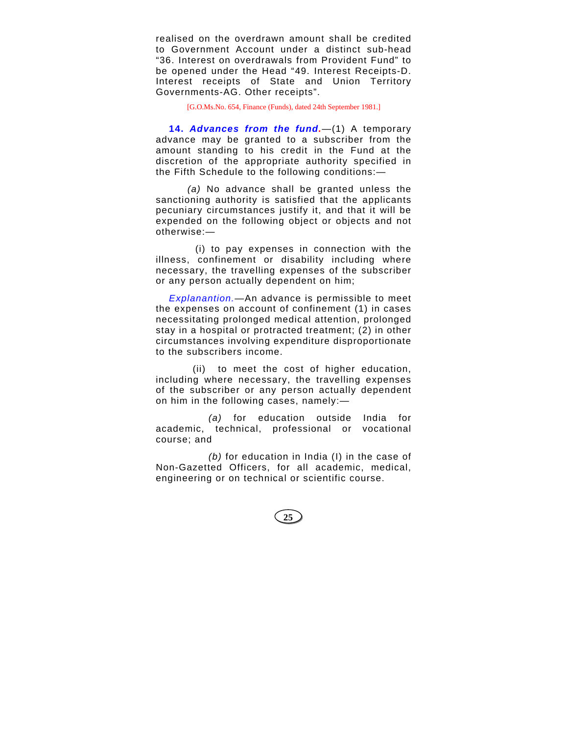realised on the overdrawn amount shall be credited to Government Account under a distinct sub-head "36. Interest on overdrawals from Provident Fund" to be opened under the Head "49. Interest Receipts-D. Interest receipts of State and Union Territory Governments-AG. Other receipts".

[G.O.Ms.No. 654, Finance (Funds), dated 24th September 1981.]

**14.** *Advances from the fund.*—(1) A temporary advance may be granted to a subscriber from the amount standing to his credit in the Fund at the discretion of the appropriate authority specified in the Fifth Schedule to the following conditions:—

*(a)* No advance shall be granted unless the sanctioning authority is satisfied that the applicants pecuniary circumstances justify it, and that it will be expended on the following object or objects and not otherwise:—

(i) to pay expenses in connection with the illness, confinement or disability including where necessary, the travelling expenses of the subscriber or any person actually dependent on him;

*Explanantion.—*An advance is permissible to meet the expenses on account of confinement (1) in cases necessitating prolonged medical attention, prolonged stay in a hospital or protracted treatment; (2) in other circumstances involving expenditure disproportionate to the subscribers income.

(ii) to meet the cost of higher education, including where necessary, the travelling expenses of the subscriber or any person actually dependent on him in the following cases, namely:—

*(a)* for education outside India for academic, technical, professional or vocational course; and

*(b)* for education in India (I) in the case of Non-Gazetted Officers, for all academic, medical, engineering or on technical or scientific course.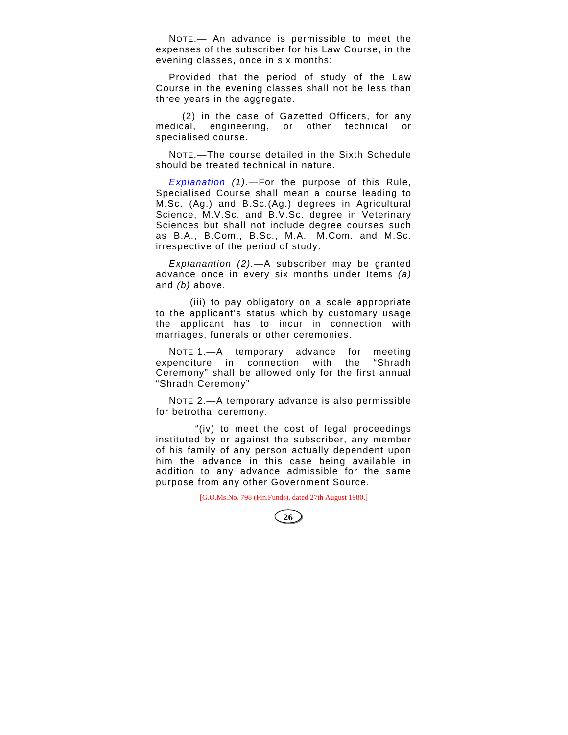NOTE.— An advance is permissible to meet the expenses of the subscriber for his Law Course, in the evening classes, once in six months:

Provided that the period of study of the Law Course in the evening classes shall not be less than three years in the aggregate.

(2) in the case of Gazetted Officers, for any medical, engineering, or other technical or specialised course.

NOTE.—The course detailed in the Sixth Schedule should be treated technical in nature.

*Explanation (1).*—For the purpose of this Rule, Specialised Course shall mean a course leading to M.Sc. (Ag.) and B.Sc.(Ag.) degrees in Agricultural Science, M.V.Sc. and B.V.Sc. degree in Veterinary Sciences but shall not include degree courses such as B.A., B.Com., B.Sc., M.A., M.Com. and M.Sc. irrespective of the period of study.

*Explanantion (2).—*A subscriber may be granted advance once in every six months under Items *(a)* and *(b)* above.

(iii) to pay obligatory on a scale appropriate to the applicant's status which by customary usage the applicant has to incur in connection with marriages, funerals or other ceremonies.

NOTE 1.—A temporary advance for meeting expenditure in connection with the "Shradh Ceremony" shall be allowed only for the first annual "Shradh Ceremony"

NOTE 2.—A temporary advance is also permissible for betrothal ceremony.

"(iv) to meet the cost of legal proceedings instituted by or against the subscriber, any member of his family of any person actually dependent upon him the advance in this case being available in addition to any advance admissible for the same purpose from any other Government Source.

[G.O.Ms.No. 798 (Fin.Funds), dated 27th August 1980.]

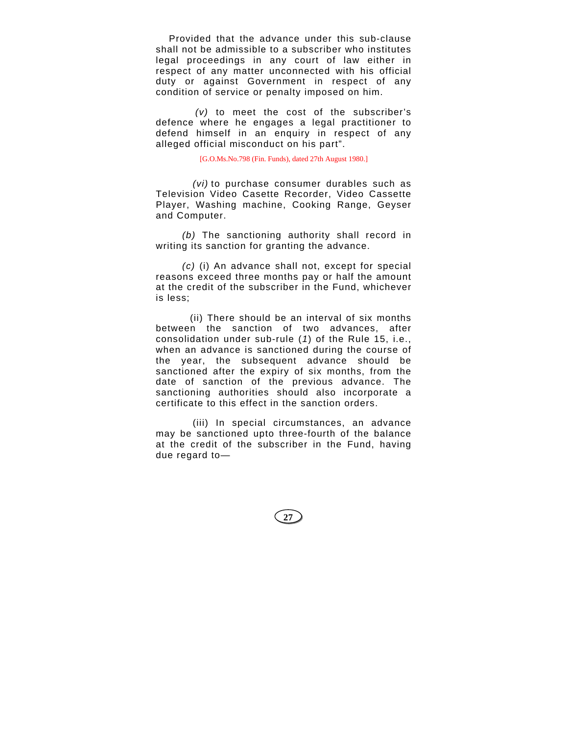Provided that the advance under this sub-clause shall not be admissible to a subscriber who institutes legal proceedings in any court of law either in respect of any matter unconnected with his official duty or against Government in respect of any condition of service or penalty imposed on him.

*(v)* to meet the cost of the subscriber's defence where he engages a legal practitioner to defend himself in an enquiry in respect of any alleged official misconduct on his part".

[G.O.Ms.No.798 (Fin. Funds), dated 27th August 1980.]

*(vi)* to purchase consumer durables such as Television Video Casette Recorder, Video Cassette Player, Washing machine, Cooking Range, Geyser and Computer.

*(b)* The sanctioning authority shall record in writing its sanction for granting the advance.

*(c)* (i) An advance shall not, except for special reasons exceed three months pay or half the amount at the credit of the subscriber in the Fund, whichever is less;

(ii) There should be an interval of six months between the sanction of two advances, after consolidation under sub-rule (*1*) of the Rule 15, i.e., when an advance is sanctioned during the course of the year, the subsequent advance should be sanctioned after the expiry of six months, from the date of sanction of the previous advance. The sanctioning authorities should also incorporate a certificate to this effect in the sanction orders.

(iii) In special circumstances, an advance may be sanctioned upto three-fourth of the balance at the credit of the subscriber in the Fund, having due regard to—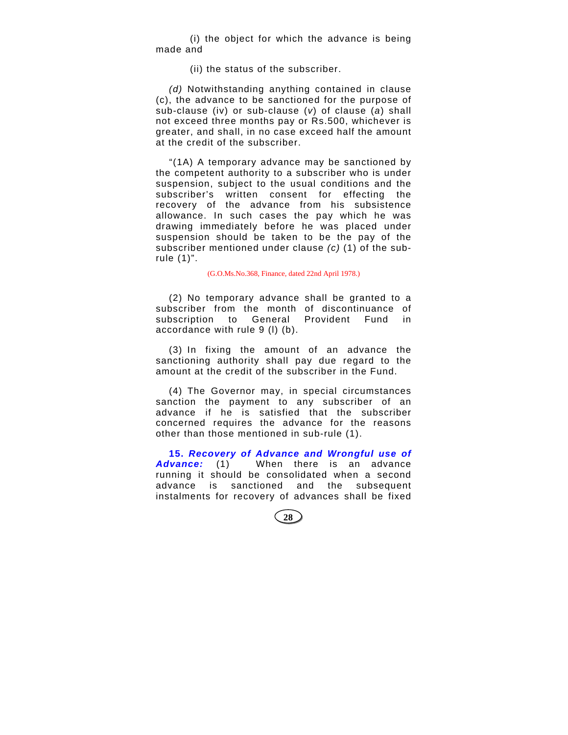(i) the object for which the advance is being made and

(ii) the status of the subscriber.

*(d)* Notwithstanding anything contained in clause (c), the advance to be sanctioned for the purpose of sub-clause (iv) or sub-clause (*v*) of clause (*a*) shall not exceed three months pay or Rs.500, whichever is greater, and shall, in no case exceed half the amount at the credit of the subscriber.

"(1A) A temporary advance may be sanctioned by the competent authority to a subscriber who is under suspension, subject to the usual conditions and the subscriber's written consent for effecting the recovery of the advance from his subsistence allowance. In such cases the pay which he was drawing immediately before he was placed under suspension should be taken to be the pay of the subscriber mentioned under clause *(c)* (1) of the subrule (1)".

(G.O.Ms.No.368, Finance, dated 22nd April 1978.)

(2) No temporary advance shall be granted to a subscriber from the month of discontinuance of subscription to General Provident Fund in accordance with rule 9 (l) (b).

(3) In fixing the amount of an advance the sanctioning authority shall pay due regard to the amount at the credit of the subscriber in the Fund.

(4) The Governor may, in special circumstances sanction the payment to any subscriber of an advance if he is satisfied that the subscriber concerned requires the advance for the reasons other than those mentioned in sub-rule (1).

**15.** *Recovery of Advance and Wrongful use of Advance:* (1) When there is an advance running it should be consolidated when a second advance is sanctioned and the subsequent instalments for recovery of advances shall be fixed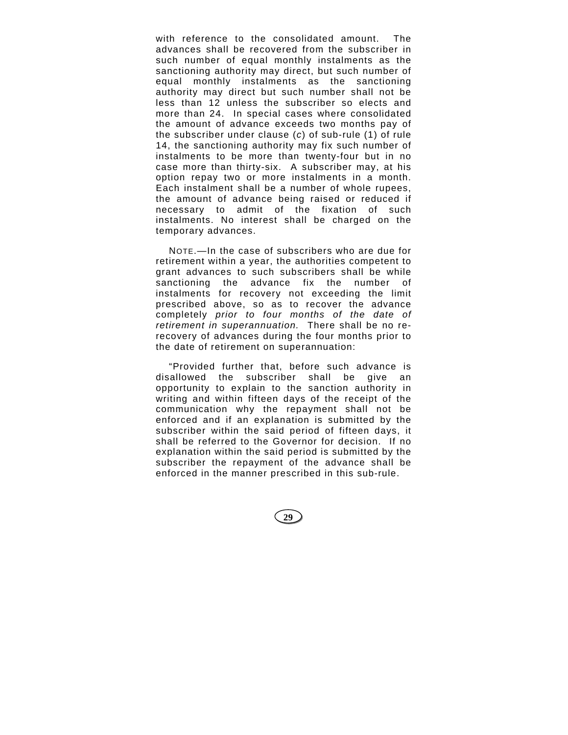with reference to the consolidated amount. The advances shall be recovered from the subscriber in such number of equal monthly instalments as the sanctioning authority may direct, but such number of equal monthly instalments as the sanctioning authority may direct but such number shall not be less than 12 unless the subscriber so elects and more than 24. In special cases where consolidated the amount of advance exceeds two months pay of the subscriber under clause (*c*) of sub-rule (1) of rule 14, the sanctioning authority may fix such number of instalments to be more than twenty-four but in no case more than thirty-six. A subscriber may, at his option repay two or more instalments in a month. Each instalment shall be a number of whole rupees, the amount of advance being raised or reduced if necessary to admit of the fixation of such instalments. No interest shall be charged on the temporary advances.

NOTE.—In the case of subscribers who are due for retirement within a year, the authorities competent to grant advances to such subscribers shall be while sanctioning the advance fix the number of instalments for recovery not exceeding the limit prescribed above, so as to recover the advance completely *prior to four months of the date of retirement in superannuation.* There shall be no rerecovery of advances during the four months prior to the date of retirement on superannuation:

"Provided further that, before such advance is disallowed the subscriber shall be give an opportunity to explain to the sanction authority in writing and within fifteen days of the receipt of the communication why the repayment shall not be enforced and if an explanation is submitted by the subscriber within the said period of fifteen days, it shall be referred to the Governor for decision. If no explanation within the said period is submitted by the subscriber the repayment of the advance shall be enforced in the manner prescribed in this sub-rule.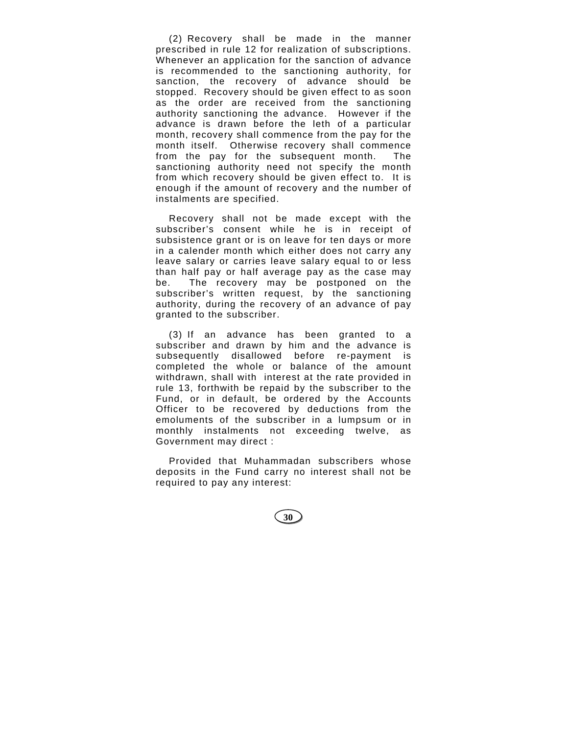(2) Recovery shall be made in the manner prescribed in rule 12 for realization of subscriptions. Whenever an application for the sanction of advance is recommended to the sanctioning authority, for sanction, the recovery of advance should be stopped. Recovery should be given effect to as soon as the order are received from the sanctioning authority sanctioning the advance. However if the advance is drawn before the leth of a particular month, recovery shall commence from the pay for the month itself. Otherwise recovery shall commence from the pay for the subsequent month. The sanctioning authority need not specify the month from which recovery should be given effect to. It is enough if the amount of recovery and the number of instalments are specified.

Recovery shall not be made except with the subscriber's consent while he is in receipt of subsistence grant or is on leave for ten days or more in a calender month which either does not carry any leave salary or carries leave salary equal to or less than half pay or half average pay as the case may be. The recovery may be postponed on the subscriber's written request, by the sanctioning authority, during the recovery of an advance of pay granted to the subscriber.

(3) If an advance has been granted to a subscriber and drawn by him and the advance is subsequently disallowed before re-payment is completed the whole or balance of the amount withdrawn, shall with interest at the rate provided in rule 13, forthwith be repaid by the subscriber to the Fund, or in default, be ordered by the Accounts Officer to be recovered by deductions from the emoluments of the subscriber in a lumpsum or in monthly instalments not exceeding twelve, as Government may direct :

Provided that Muhammadan subscribers whose deposits in the Fund carry no interest shall not be required to pay any interest: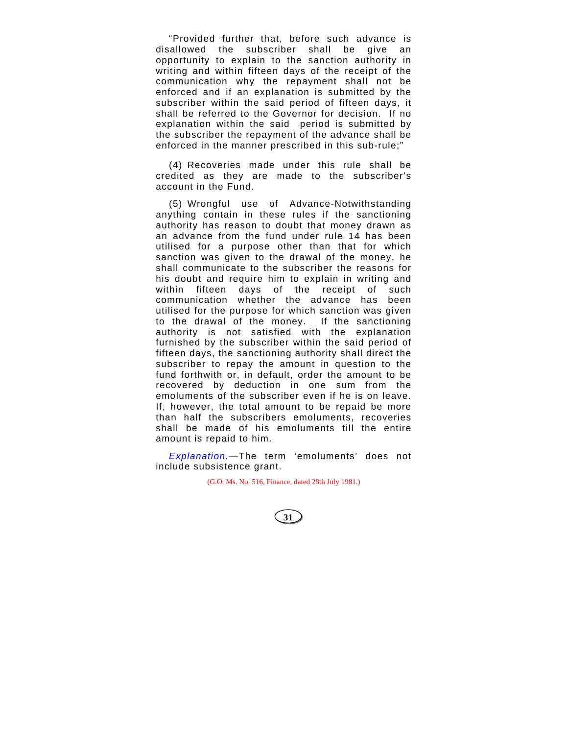"Provided further that, before such advance is disallowed the subscriber shall be give an opportunity to explain to the sanction authority in writing and within fifteen days of the receipt of the communication why the repayment shall not be enforced and if an explanation is submitted by the subscriber within the said period of fifteen days, it shall be referred to the Governor for decision. If no explanation within the said period is submitted by the subscriber the repayment of the advance shall be enforced in the manner prescribed in this sub-rule;"

(4) Recoveries made under this rule shall be credited as they are made to the subscriber's account in the Fund.

(5) Wrongful use of Advance-Notwithstanding anything contain in these rules if the sanctioning authority has reason to doubt that money drawn as an advance from the fund under rule 14 has been utilised for a purpose other than that for which sanction was given to the drawal of the money, he shall communicate to the subscriber the reasons for his doubt and require him to explain in writing and within fifteen days of the receipt of such communication whether the advance has been utilised for the purpose for which sanction was given to the drawal of the money. If the sanctioning authority is not satisfied with the explanation furnished by the subscriber within the said period of fifteen days, the sanctioning authority shall direct the subscriber to repay the amount in question to the fund forthwith or, in default, order the amount to be recovered by deduction in one sum from the emoluments of the subscriber even if he is on leave. If, however, the total amount to be repaid be more than half the subscribers emoluments, recoveries shall be made of his emoluments till the entire amount is repaid to him.

*Explanation.—*The term 'emoluments' does not include subsistence grant.

(G.O. Ms. No. 516, Finance, dated 28th July 1981.)

$$
\bigcircled{31}
$$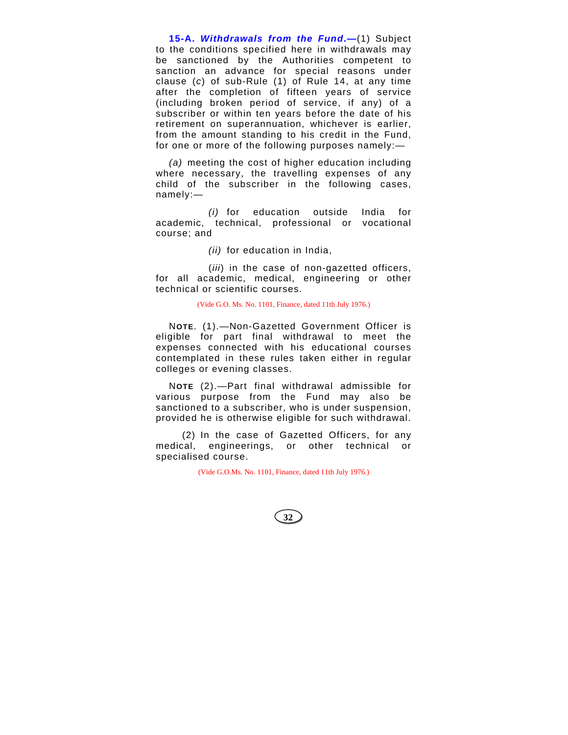**15-A.** *Withdrawals from the Fund***.—**(1) Subject to the conditions specified here in withdrawals may be sanctioned by the Authorities competent to sanction an advance for special reasons under clause (*c*) of sub-Rule (1) of Rule 14, at any time after the completion of fifteen years of service (including broken period of service, if any) of a subscriber or within ten years before the date of his retirement on superannuation, whichever is earlier, from the amount standing to his credit in the Fund, for one or more of the following purposes namely:—

*(a)* meeting the cost of higher education including where necessary, the travelling expenses of any child of the subscriber in the following cases, namely:—

*(i)* for education outside India for academic, technical, professional or vocational course; and

*(ii)* for education in India,

(*iii*) in the case of non-gazetted officers, for all academic, medical, engineering or other technical or scientific courses.

(Vide G.O. Ms. No. 1101, Finance, dated 11th July 1976.)

N**OTE**. (1).—Non-Gazetted Government Officer is eligible for part final withdrawal to meet the expenses connected with his educational courses contemplated in these rules taken either in regular colleges or evening classes.

N**OTE** (2).—Part final withdrawal admissible for various purpose from the Fund may also be sanctioned to a subscriber, who is under suspension, provided he is otherwise eligible for such withdrawal.

(2) In the case of Gazetted Officers, for any medical, engineerings, or other technical or specialised course.

(Vide G.O.Ms. No. 1101, Finance, dated 11th July 1976.)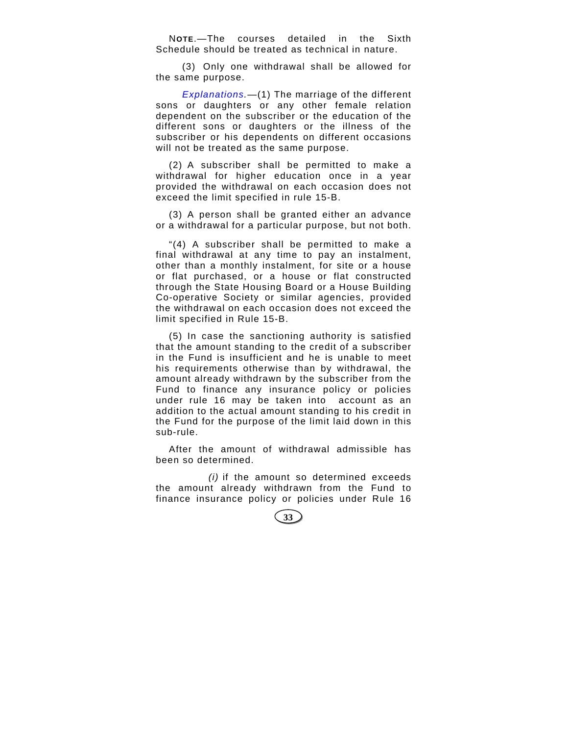N**OTE**.—The courses detailed in the Sixth Schedule should be treated as technical in nature.

(3) Only one withdrawal shall be allowed for the same purpose.

*Explanations.—*(1) The marriage of the different sons or daughters or any other female relation dependent on the subscriber or the education of the different sons or daughters or the illness of the subscriber or his dependents on different occasions will not be treated as the same purpose.

(2) A subscriber shall be permitted to make a withdrawal for higher education once in a year provided the withdrawal on each occasion does not exceed the limit specified in rule 15-B.

(3) A person shall be granted either an advance or a withdrawal for a particular purpose, but not both.

"(4) A subscriber shall be permitted to make a final withdrawal at any time to pay an instalment, other than a monthly instalment, for site or a house or flat purchased, or a house or flat constructed through the State Housing Board or a House Building Co-operative Society or similar agencies, provided the withdrawal on each occasion does not exceed the limit specified in Rule 15-B.

(5) In case the sanctioning authority is satisfied that the amount standing to the credit of a subscriber in the Fund is insufficient and he is unable to meet his requirements otherwise than by withdrawal, the amount already withdrawn by the subscriber from the Fund to finance any insurance policy or policies under rule 16 may be taken into account as an addition to the actual amount standing to his credit in the Fund for the purpose of the limit laid down in this sub-rule.

After the amount of withdrawal admissible has been so determined.

*(i)* if the amount so determined exceeds the amount already withdrawn from the Fund to finance insurance policy or policies under Rule 16

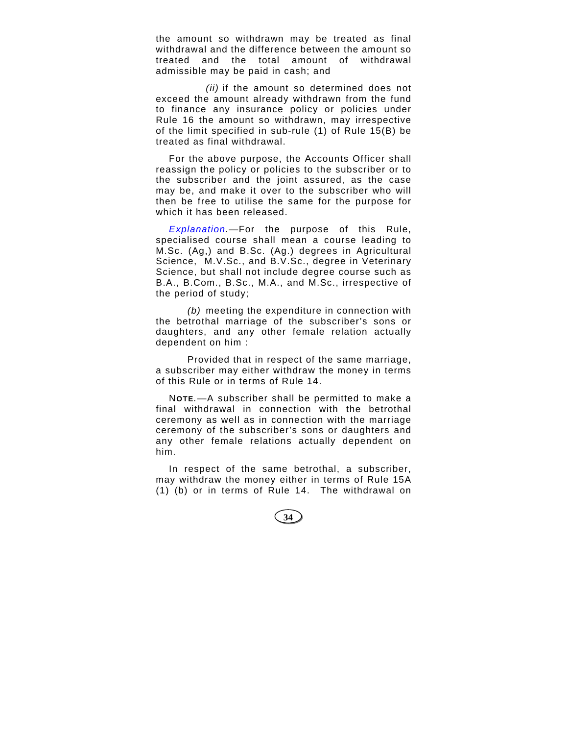the amount so withdrawn may be treated as final withdrawal and the difference between the amount so treated and the total amount of withdrawal admissible may be paid in cash; and

*(ii)* if the amount so determined does not exceed the amount already withdrawn from the fund to finance any insurance policy or policies under Rule 16 the amount so withdrawn, may irrespective of the limit specified in sub-rule (1) of Rule 15(B) be treated as final withdrawal.

For the above purpose, the Accounts Officer shall reassign the policy or policies to the subscriber or to the subscriber and the joint assured, as the case may be, and make it over to the subscriber who will then be free to utilise the same for the purpose for which it has been released.

*Explanation.—*For the purpose of this Rule, specialised course shall mean a course leading to M.Sc. (Ag,) and B.Sc. (Ag.) degrees in Agricultural Science, M.V.Sc., and B.V.Sc., degree in Veterinary Science, but shall not include degree course such as B.A., B.Com., B.Sc., M.A., and M.Sc., irrespective of the period of study;

*(b)* meeting the expenditure in connection with the betrothal marriage of the subscriber's sons or daughters, and any other female relation actually dependent on him :

Provided that in respect of the same marriage, a subscriber may either withdraw the money in terms of this Rule or in terms of Rule 14.

N**OTE***.*—A subscriber shall be permitted to make a final withdrawal in connection with the betrothal ceremony as well as in connection with the marriage ceremony of the subscriber's sons or daughters and any other female relations actually dependent on him.

In respect of the same betrothal, a subscriber, may withdraw the money either in terms of Rule 15A (1) (b) or in terms of Rule 14. The withdrawal on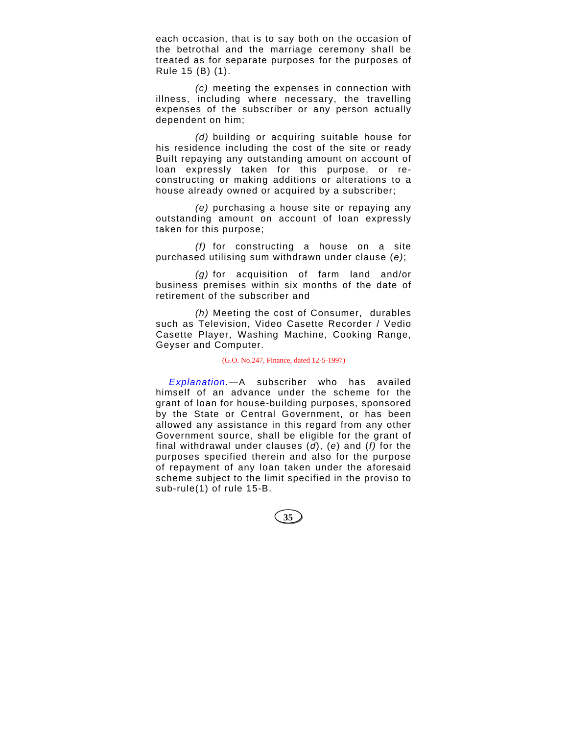each occasion, that is to say both on the occasion of the betrothal and the marriage ceremony shall be treated as for separate purposes for the purposes of Rule 15 (B) (1).

*(c)* meeting the expenses in connection with illness, including where necessary, the travelling expenses of the subscriber or any person actually dependent on him;

*(d)* building or acquiring suitable house for his residence including the cost of the site or ready Built repaying any outstanding amount on account of loan expressly taken for this purpose, or reconstructing or making additions or alterations to a house already owned or acquired by a subscriber;

*(e)* purchasing a house site or repaying any outstanding amount on account of loan expressly taken for this purpose;

*(f)* for constructing a house on a site purchased utilising sum withdrawn under clause (*e)*;

*(g)* for acquisition of farm land and/or business premises within six months of the date of retirement of the subscriber and

*(h)* Meeting the cost of Consumer, durables such as Television, Video Casette Recorder / Vedio Casette Player, Washing Machine, Cooking Range, Geyser and Computer.

#### (G.O. No.247, Finance, dated 12-5-1997)

*Explanation.*—A subscriber who has availed himself of an advance under the scheme for the grant of loan for house-building purposes, sponsored by the State or Central Government, or has been allowed any assistance in this regard from any other Government source, shall be eligible for the grant of final withdrawal under clauses (*d*), (*e*) and (*f)* for the purposes specified therein and also for the purpose of repayment of any loan taken under the aforesaid scheme subject to the limit specified in the proviso to sub-rule(1) of rule 15-B.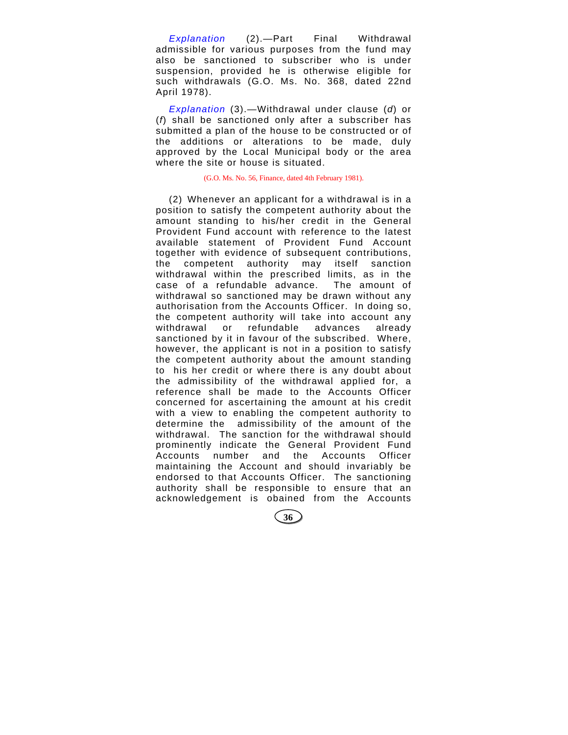*Explanation* (2).—Part Final Withdrawal admissible for various purposes from the fund may also be sanctioned to subscriber who is under suspension, provided he is otherwise eligible for such withdrawals (G.O. Ms. No. 368, dated 22nd April 1978).

*Explanation* (3).—Withdrawal under clause (*d*) or (*f*) shall be sanctioned only after a subscriber has submitted a plan of the house to be constructed or of the additions or alterations to be made, duly approved by the Local Municipal body or the area where the site or house is situated.

# (G.O. Ms. No. 56, Finance, dated 4th February 1981).

(2) Whenever an applicant for a withdrawal is in a position to satisfy the competent authority about the amount standing to his/her credit in the General Provident Fund account with reference to the latest available statement of Provident Fund Account together with evidence of subsequent contributions, the competent authority may itself sanction withdrawal within the prescribed limits, as in the case of a refundable advance. The amount of withdrawal so sanctioned may be drawn without any authorisation from the Accounts Officer. In doing so, the competent authority will take into account any withdrawal or refundable advances already sanctioned by it in favour of the subscribed. Where, however, the applicant is not in a position to satisfy the competent authority about the amount standing to his her credit or where there is any doubt about the admissibility of the withdrawal applied for, a reference shall be made to the Accounts Officer concerned for ascertaining the amount at his credit with a view to enabling the competent authority to determine the admissibility of the amount of the withdrawal. The sanction for the withdrawal should prominently indicate the General Provident Fund Accounts number and the Accounts Officer maintaining the Account and should invariably be endorsed to that Accounts Officer. The sanctioning authority shall be responsible to ensure that an acknowledgement is obained from the Accounts

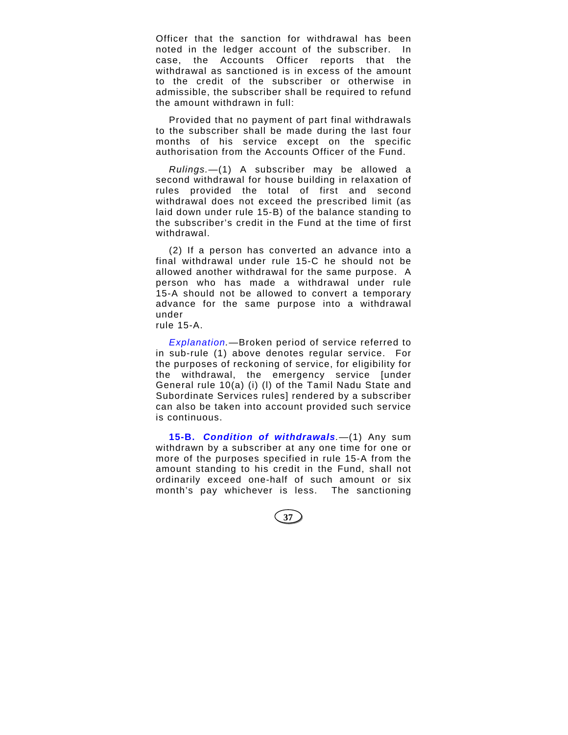Officer that the sanction for withdrawal has been noted in the ledger account of the subscriber. In case, the Accounts Officer reports that the withdrawal as sanctioned is in excess of the amount to the credit of the subscriber or otherwise in admissible, the subscriber shall be required to refund the amount withdrawn in full:

Provided that no payment of part final withdrawals to the subscriber shall be made during the last four months of his service except on the specific authorisation from the Accounts Officer of the Fund.

*Rulings.—*(1) A subscriber may be allowed a second withdrawal for house building in relaxation of rules provided the total of first and second withdrawal does not exceed the prescribed limit (as laid down under rule 15-B) of the balance standing to the subscriber's credit in the Fund at the time of first withdrawal.

(2) If a person has converted an advance into a final withdrawal under rule 15-C he should not be allowed another withdrawal for the same purpose. A person who has made a withdrawal under rule 15-A should not be allowed to convert a temporary advance for the same purpose into a withdrawal under

rule 15-A.

*Explanation.*—Broken period of service referred to in sub-rule (1) above denotes regular service. For the purposes of reckoning of service, for eligibility for the withdrawal, the emergency service [under General rule 10(a) (i) (l) of the Tamil Nadu State and Subordinate Services rules] rendered by a subscriber can also be taken into account provided such service is continuous.

**15-B.** *Condition of withdrawals.*—(1) Any sum withdrawn by a subscriber at any one time for one or more of the purposes specified in rule 15-A from the amount standing to his credit in the Fund, shall not ordinarily exceed one-half of such amount or six month's pay whichever is less. The sanctioning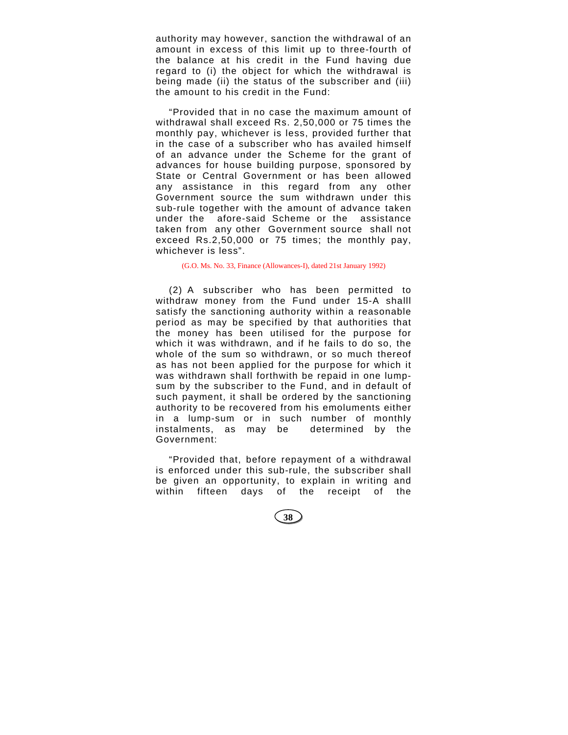authority may however, sanction the withdrawal of an amount in excess of this limit up to three-fourth of the balance at his credit in the Fund having due regard to (i) the object for which the withdrawal is being made (ii) the status of the subscriber and (iii) the amount to his credit in the Fund:

"Provided that in no case the maximum amount of withdrawal shall exceed Rs. 2,50,000 or 75 times the monthly pay, whichever is less, provided further that in the case of a subscriber who has availed himself of an advance under the Scheme for the grant of advances for house building purpose, sponsored by State or Central Government or has been allowed any assistance in this regard from any other Government source the sum withdrawn under this sub-rule together with the amount of advance taken under the afore-said Scheme or the assistance taken from any other Government source shall not exceed Rs.2,50,000 or 75 times; the monthly pay, whichever is less".

(G.O. Ms. No. 33, Finance (Allowances-I), dated 21st January 1992)

(2) A subscriber who has been permitted to withdraw money from the Fund under 15-A shalll satisfy the sanctioning authority within a reasonable period as may be specified by that authorities that the money has been utilised for the purpose for which it was withdrawn, and if he fails to do so, the whole of the sum so withdrawn, or so much thereof as has not been applied for the purpose for which it was withdrawn shall forthwith be repaid in one lumpsum by the subscriber to the Fund, and in default of such payment, it shall be ordered by the sanctioning authority to be recovered from his emoluments either in a lump-sum or in such number of monthly instalments, as may be determined by the Government:

"Provided that, before repayment of a withdrawal is enforced under this sub-rule, the subscriber shall be given an opportunity, to explain in writing and within fifteen days of the receipt of the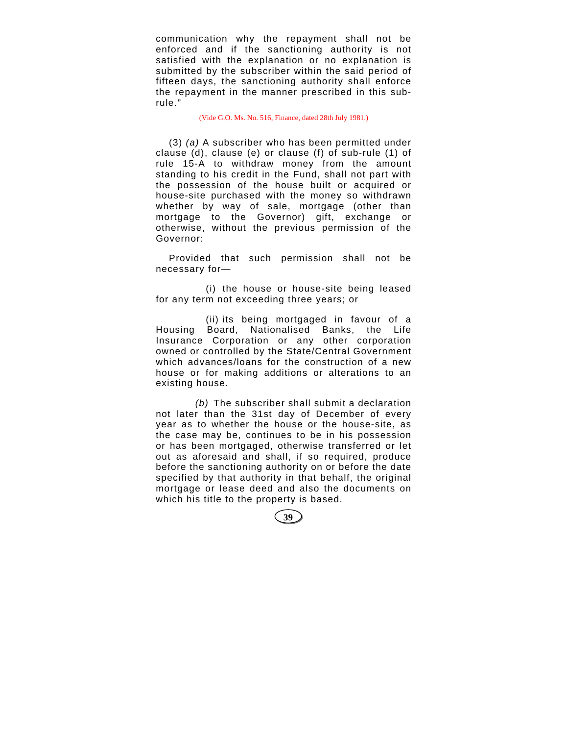communication why the repayment shall not be enforced and if the sanctioning authority is not satisfied with the explanation or no explanation is submitted by the subscriber within the said period of fifteen days, the sanctioning authority shall enforce the repayment in the manner prescribed in this subrule."

### (Vide G.O. Ms. No. 516, Finance, dated 28th July 1981.)

(3) *(a)* A subscriber who has been permitted under clause (d), clause (e) or clause (f) of sub-rule (1) of rule 15-A to withdraw money from the amount standing to his credit in the Fund, shall not part with the possession of the house built or acquired or house-site purchased with the money so withdrawn whether by way of sale, mortgage (other than mortgage to the Governor) gift, exchange or otherwise, without the previous permission of the Governor:

Provided that such permission shall not be necessary for—

(i) the house or house-site being leased for any term not exceeding three years; or

(ii) its being mortgaged in favour of a Housing Board, Nationalised Banks, the Life Insurance Corporation or any other corporation owned or controlled by the State/Central Government which advances/loans for the construction of a new house or for making additions or alterations to an existing house.

*(b)* The subscriber shall submit a declaration not later than the 31st day of December of every year as to whether the house or the house-site, as the case may be, continues to be in his possession or has been mortgaged, otherwise transferred or let out as aforesaid and shall, if so required, produce before the sanctioning authority on or before the date specified by that authority in that behalf, the original mortgage or lease deed and also the documents on which his title to the property is based.

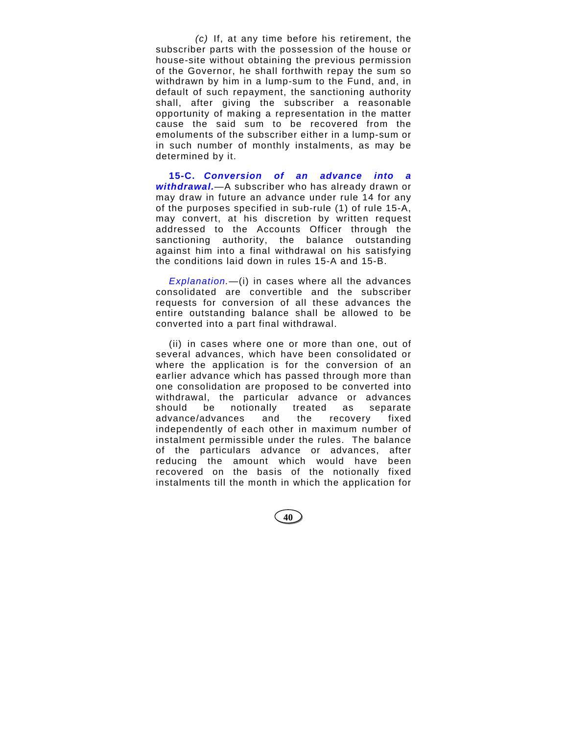*(c)* If, at any time before his retirement, the subscriber parts with the possession of the house or house-site without obtaining the previous permission of the Governor, he shall forthwith repay the sum so withdrawn by him in a lump-sum to the Fund, and, in default of such repayment, the sanctioning authority shall, after giving the subscriber a reasonable opportunity of making a representation in the matter cause the said sum to be recovered from the emoluments of the subscriber either in a lump-sum or in such number of monthly instalments, as may be determined by it.

**15-C.** *Conversion of an advance into a withdrawal.*—A subscriber who has already drawn or may draw in future an advance under rule 14 for any of the purposes specified in sub-rule (1) of rule 15-A, may convert, at his discretion by written request addressed to the Accounts Officer through the sanctioning authority, the balance outstanding against him into a final withdrawal on his satisfying the conditions laid down in rules 15-A and 15-B.

*Explanation.*—(i) in cases where all the advances consolidated are convertible and the subscriber requests for conversion of all these advances the entire outstanding balance shall be allowed to be converted into a part final withdrawal.

(ii) in cases where one or more than one, out of several advances, which have been consolidated or where the application is for the conversion of an earlier advance which has passed through more than one consolidation are proposed to be converted into withdrawal, the particular advance or advances should be notionally treated as separate advance/advances and the recovery fixed independently of each other in maximum number of instalment permissible under the rules. The balance of the particulars advance or advances, after reducing the amount which would have been recovered on the basis of the notionally fixed instalments till the month in which the application for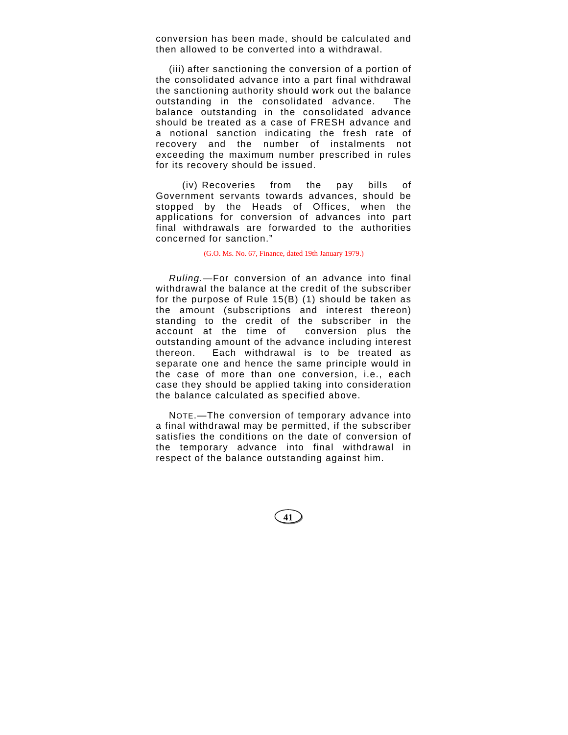conversion has been made, should be calculated and then allowed to be converted into a withdrawal.

(iii) after sanctioning the conversion of a portion of the consolidated advance into a part final withdrawal the sanctioning authority should work out the balance outstanding in the consolidated advance. The balance outstanding in the consolidated advance should be treated as a case of FRESH advance and a notional sanction indicating the fresh rate of recovery and the number of instalments not exceeding the maximum number prescribed in rules for its recovery should be issued.

(iv) Recoveries from the pay bills of Government servants towards advances, should be stopped by the Heads of Offices, when the applications for conversion of advances into part final withdrawals are forwarded to the authorities concerned for sanction."

(G.O. Ms. No. 67, Finance, dated 19th January 1979.)

*Ruling.*—For conversion of an advance into final withdrawal the balance at the credit of the subscriber for the purpose of Rule 15(B) (1) should be taken as the amount (subscriptions and interest thereon) standing to the credit of the subscriber in the account at the time of conversion plus the outstanding amount of the advance including interest thereon. Each withdrawal is to be treated as separate one and hence the same principle would in the case of more than one conversion, i.e., each case they should be applied taking into consideration the balance calculated as specified above.

NOTE.—The conversion of temporary advance into a final withdrawal may be permitted, if the subscriber satisfies the conditions on the date of conversion of the temporary advance into final withdrawal in respect of the balance outstanding against him.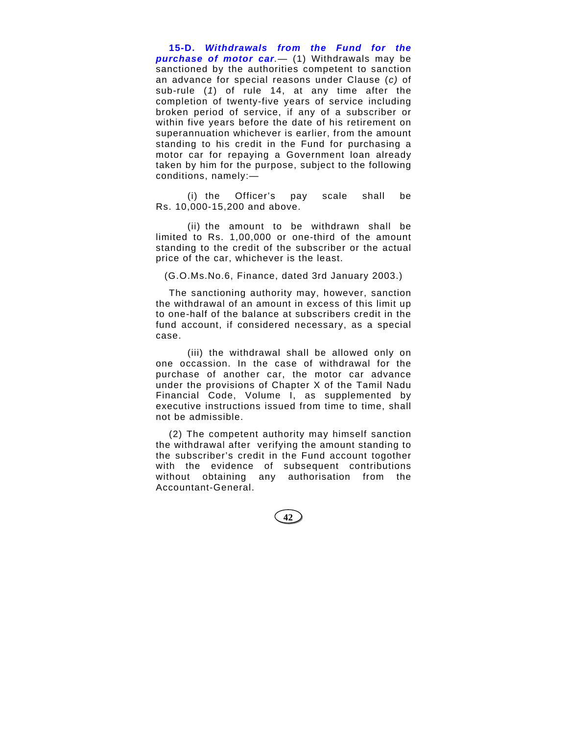**15-D.** *Withdrawals from the Fund for the purchase of motor car.*— (1) Withdrawals may be sanctioned by the authorities competent to sanction an advance for special reasons under Clause (*c)* of sub-rule (*1*) of rule 14, at any time after the completion of twenty-five years of service including broken period of service, if any of a subscriber or within five years before the date of his retirement on superannuation whichever is earlier, from the amount standing to his credit in the Fund for purchasing a motor car for repaying a Government loan already taken by him for the purpose, subject to the following conditions, namely:—

(i) the Officer's pay scale shall be Rs. 10,000-15,200 and above.

(ii) the amount to be withdrawn shall be limited to Rs. 1,00,000 or one-third of the amount standing to the credit of the subscriber or the actual price of the car, whichever is the least.

(G.O.Ms.No.6, Finance, dated 3rd January 2003.)

The sanctioning authority may, however, sanction the withdrawal of an amount in excess of this limit up to one-half of the balance at subscribers credit in the fund account, if considered necessary, as a special case.

(iii) the withdrawal shall be allowed only on one occassion. In the case of withdrawal for the purchase of another car, the motor car advance under the provisions of Chapter X of the Tamil Nadu Financial Code, Volume I, as supplemented by executive instructions issued from time to time, shall not be admissible.

(2) The competent authority may himself sanction the withdrawal after verifying the amount standing to the subscriber's credit in the Fund account togother with the evidence of subsequent contributions without obtaining any authorisation from the Accountant-General.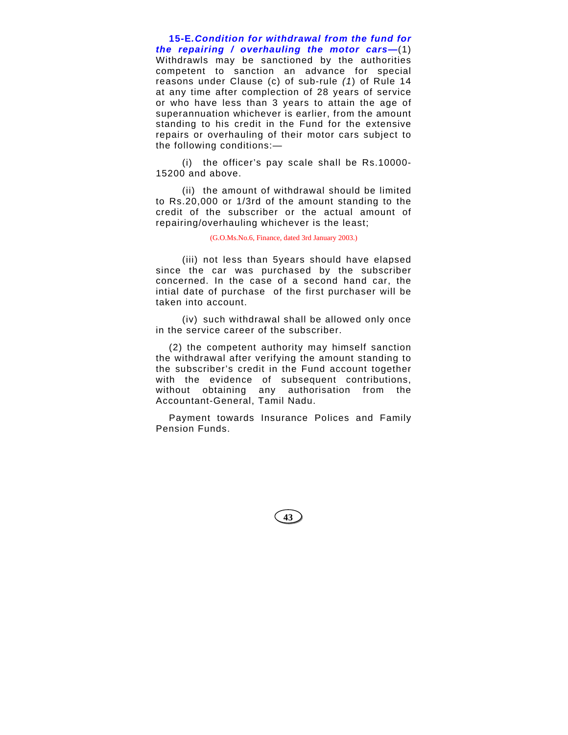**15-E***.Condition for withdrawal from the fund for the repairing / overhauling the motor cars—*(1) Withdrawls may be sanctioned by the authorities competent to sanction an advance for special reasons under Clause (c) of sub-rule *(1*) of Rule 14 at any time after complection of 28 years of service or who have less than 3 years to attain the age of superannuation whichever is earlier, from the amount standing to his credit in the Fund for the extensive repairs or overhauling of their motor cars subject to the following conditions:—

(i) the officer's pay scale shall be Rs.10000- 15200 and above.

(ii) the amount of withdrawal should be limited to Rs.20,000 or 1/3rd of the amount standing to the credit of the subscriber or the actual amount of repairing/overhauling whichever is the least;

(G.O.Ms.No.6, Finance, dated 3rd January 2003.)

(iii) not less than 5years should have elapsed since the car was purchased by the subscriber concerned. In the case of a second hand car, the intial date of purchase of the first purchaser will be taken into account.

(iv) such withdrawal shall be allowed only once in the service career of the subscriber.

(2) the competent authority may himself sanction the withdrawal after verifying the amount standing to the subscriber's credit in the Fund account together with the evidence of subsequent contributions, without obtaining any authorisation from the Accountant-General, Tamil Nadu.

Payment towards Insurance Polices and Family Pension Funds.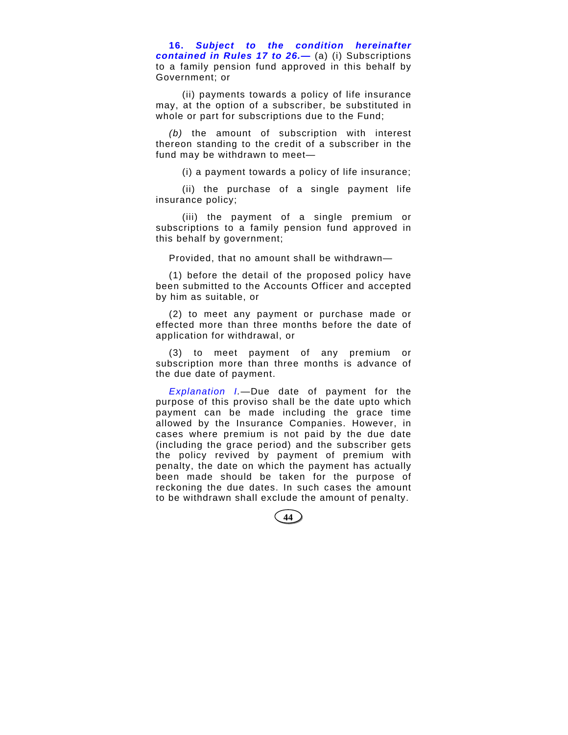**16.** *Subject to the condition hereinafter contained in Rules 17 to 26.—* (a) (i) Subscriptions to a family pension fund approved in this behalf by Government; or

(ii) payments towards a policy of life insurance may, at the option of a subscriber, be substituted in whole or part for subscriptions due to the Fund;

*(b)* the amount of subscription with interest thereon standing to the credit of a subscriber in the fund may be withdrawn to meet—

(i) a payment towards a policy of life insurance;

(ii) the purchase of a single payment life insurance policy;

(iii) the payment of a single premium or subscriptions to a family pension fund approved in this behalf by government;

Provided, that no amount shall be withdrawn—

(1) before the detail of the proposed policy have been submitted to the Accounts Officer and accepted by him as suitable, or

(2) to meet any payment or purchase made or effected more than three months before the date of application for withdrawal, or

(3) to meet payment of any premium or subscription more than three months is advance of the due date of payment.

*Explanation I.*—Due date of payment for the purpose of this proviso shall be the date upto which payment can be made including the grace time allowed by the Insurance Companies. However, in cases where premium is not paid by the due date (including the grace period) and the subscriber gets the policy revived by payment of premium with penalty, the date on which the payment has actually been made should be taken for the purpose of reckoning the due dates. In such cases the amount to be withdrawn shall exclude the amount of penalty.

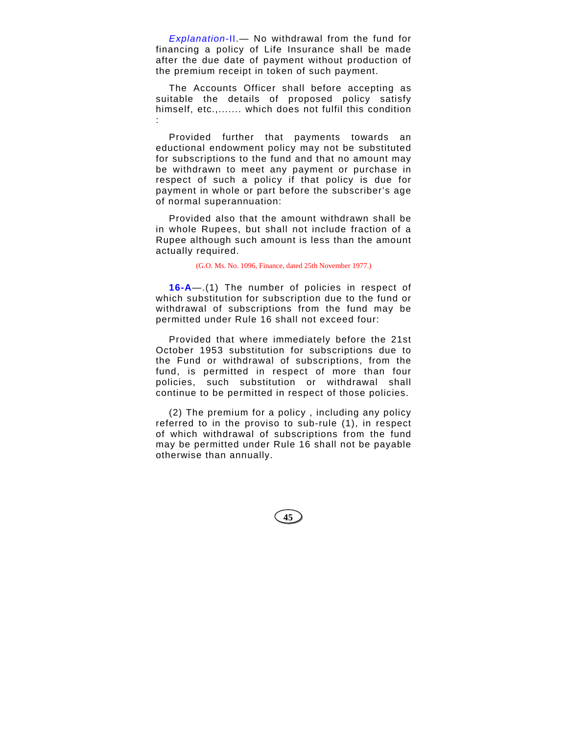*Explanation-*II.— No withdrawal from the fund for financing a policy of Life Insurance shall be made after the due date of payment without production of the premium receipt in token of such payment.

The Accounts Officer shall before accepting as suitable the details of proposed policy satisfy himself, etc.,....... which does not fulfil this condition :

Provided further that payments towards an eductional endowment policy may not be substituted for subscriptions to the fund and that no amount may be withdrawn to meet any payment or purchase in respect of such a policy if that policy is due for payment in whole or part before the subscriber's age of normal superannuation:

Provided also that the amount withdrawn shall be in whole Rupees, but shall not include fraction of a Rupee although such amount is less than the amount actually required.

(G.O. Ms. No. 1096, Finance, dated 25th November 1977.)

**16-A**—.(1) The number of policies in respect of which substitution for subscription due to the fund or withdrawal of subscriptions from the fund may be permitted under Rule 16 shall not exceed four:

Provided that where immediately before the 21st October 1953 substitution for subscriptions due to the Fund or withdrawal of subscriptions, from the fund, is permitted in respect of more than four policies, such substitution or withdrawal shall continue to be permitted in respect of those policies.

(2) The premium for a policy , including any policy referred to in the proviso to sub-rule (1), in respect of which withdrawal of subscriptions from the fund may be permitted under Rule 16 shall not be payable otherwise than annually.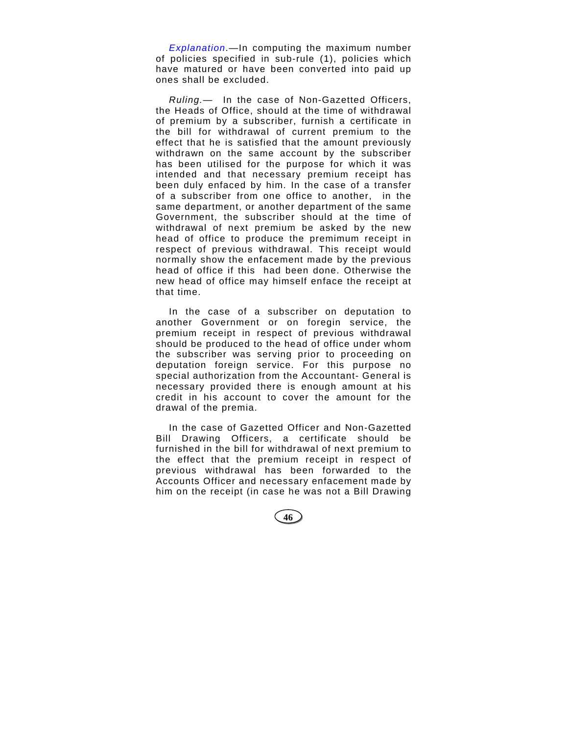*Explanation*.—In computing the maximum number of policies specified in sub-rule (1), policies which have matured or have been converted into paid up ones shall be excluded.

*Ruling.*— In the case of Non-Gazetted Officers, the Heads of Office, should at the time of withdrawal of premium by a subscriber, furnish a certificate in the bill for withdrawal of current premium to the effect that he is satisfied that the amount previously withdrawn on the same account by the subscriber has been utilised for the purpose for which it was intended and that necessary premium receipt has been duly enfaced by him. In the case of a transfer of a subscriber from one office to another, in the same department, or another department of the same Government, the subscriber should at the time of withdrawal of next premium be asked by the new head of office to produce the premimum receipt in respect of previous withdrawal. This receipt would normally show the enfacement made by the previous head of office if this had been done. Otherwise the new head of office may himself enface the receipt at that time.

In the case of a subscriber on deputation to another Government or on foregin service, the premium receipt in respect of previous withdrawal should be produced to the head of office under whom the subscriber was serving prior to proceeding on deputation foreign service. For this purpose no special authorization from the Accountant- General is necessary provided there is enough amount at his credit in his account to cover the amount for the drawal of the premia.

In the case of Gazetted Officer and Non-Gazetted Bill Drawing Officers, a certificate should be furnished in the bill for withdrawal of next premium to the effect that the premium receipt in respect of previous withdrawal has been forwarded to the Accounts Officer and necessary enfacement made by him on the receipt (in case he was not a Bill Drawing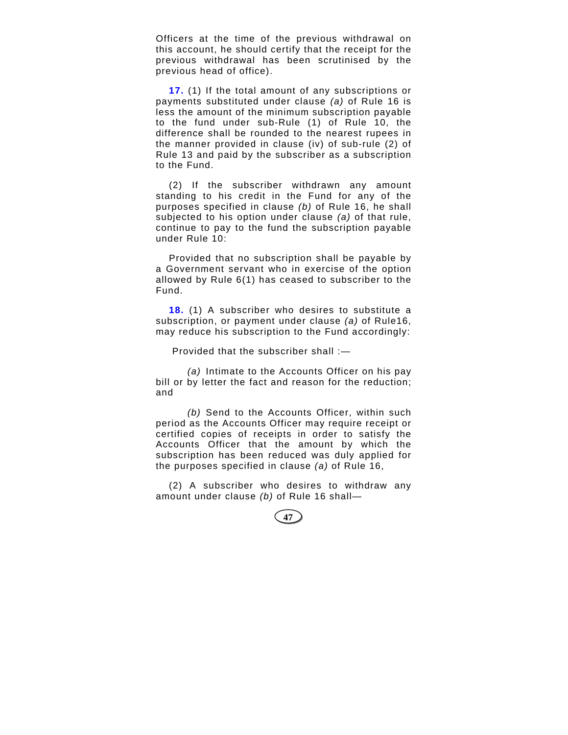Officers at the time of the previous withdrawal on this account, he should certify that the receipt for the previous withdrawal has been scrutinised by the previous head of office).

**17.** (1) If the total amount of any subscriptions or payments substituted under clause *(a)* of Rule 16 is less the amount of the minimum subscription payable to the fund under sub-Rule (1) of Rule 10, the difference shall be rounded to the nearest rupees in the manner provided in clause (iv) of sub-rule (2) of Rule 13 and paid by the subscriber as a subscription to the Fund.

(2) If the subscriber withdrawn any amount standing to his credit in the Fund for any of the purposes specified in clause *(b)* of Rule 16, he shall subjected to his option under clause *(a)* of that rule, continue to pay to the fund the subscription payable under Rule 10:

Provided that no subscription shall be payable by a Government servant who in exercise of the option allowed by Rule 6(1) has ceased to subscriber to the Fund.

**18.** (1) A subscriber who desires to substitute a subscription, or payment under clause *(a)* of Rule16, may reduce his subscription to the Fund accordingly:

Provided that the subscriber shall :—

*(a)* Intimate to the Accounts Officer on his pay bill or by letter the fact and reason for the reduction; and

*(b)* Send to the Accounts Officer, within such period as the Accounts Officer may require receipt or certified copies of receipts in order to satisfy the Accounts Officer that the amount by which the subscription has been reduced was duly applied for the purposes specified in clause *(a)* of Rule 16,

(2) A subscriber who desires to withdraw any amount under clause *(b)* of Rule 16 shall—

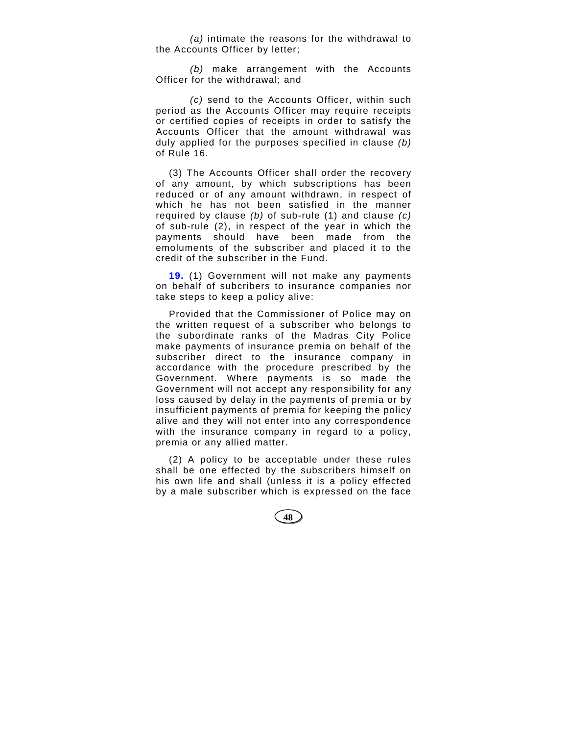*(a)* intimate the reasons for the withdrawal to the Accounts Officer by letter;

*(b)* make arrangement with the Accounts Officer for the withdrawal; and

*(c)* send to the Accounts Officer, within such period as the Accounts Officer may require receipts or certified copies of receipts in order to satisfy the Accounts Officer that the amount withdrawal was duly applied for the purposes specified in clause *(b)* of Rule 16.

(3) The Accounts Officer shall order the recovery of any amount, by which subscriptions has been reduced or of any amount withdrawn, in respect of which he has not been satisfied in the manner required by clause *(b)* of sub-rule (1) and clause *(c)* of sub-rule (2), in respect of the year in which the payments should have been made from the emoluments of the subscriber and placed it to the credit of the subscriber in the Fund.

**19.** (1) Government will not make any payments on behalf of subcribers to insurance companies nor take steps to keep a policy alive:

Provided that the Commissioner of Police may on the written request of a subscriber who belongs to the subordinate ranks of the Madras City Police make payments of insurance premia on behalf of the subscriber direct to the insurance company in accordance with the procedure prescribed by the Government. Where payments is so made the Government will not accept any responsibility for any loss caused by delay in the payments of premia or by insufficient payments of premia for keeping the policy alive and they will not enter into any correspondence with the insurance company in regard to a policy, premia or any allied matter.

(2) A policy to be acceptable under these rules shall be one effected by the subscribers himself on his own life and shall (unless it is a policy effected by a male subscriber which is expressed on the face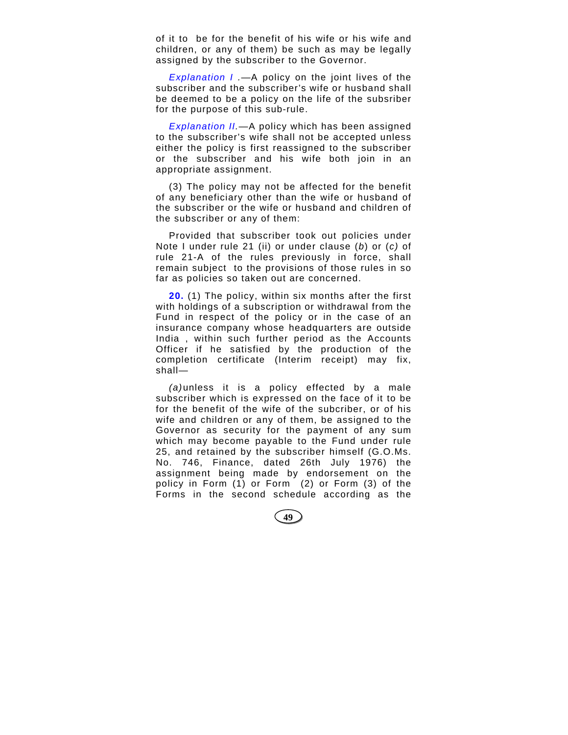of it to be for the benefit of his wife or his wife and children, or any of them) be such as may be legally assigned by the subscriber to the Governor.

*Explanation I .*—A policy on the joint lives of the subscriber and the subscriber's wife or husband shall be deemed to be a policy on the life of the subsriber for the purpose of this sub-rule.

*Explanation II.*—A policy which has been assigned to the subscriber's wife shall not be accepted unless either the policy is first reassigned to the subscriber or the subscriber and his wife both join in an appropriate assignment.

(3) The policy may not be affected for the benefit of any beneficiary other than the wife or husband of the subscriber or the wife or husband and children of the subscriber or any of them:

Provided that subscriber took out policies under Note I under rule 21 (ii) or under clause (*b*) or (*c)* of rule 21-A of the rules previously in force, shall remain subject to the provisions of those rules in so far as policies so taken out are concerned.

**20.** (1) The policy, within six months after the first with holdings of a subscription or withdrawal from the Fund in respect of the policy or in the case of an insurance company whose headquarters are outside India , within such further period as the Accounts Officer if he satisfied by the production of the completion certificate (Interim receipt) may fix, shall—

*(a)* unless it is a policy effected by a male subscriber which is expressed on the face of it to be for the benefit of the wife of the subcriber, or of his wife and children or any of them, be assigned to the Governor as security for the payment of any sum which may become payable to the Fund under rule 25, and retained by the subscriber himself (G.O.Ms. No. 746, Finance, dated 26th July 1976) the assignment being made by endorsement on the policy in Form (1) or Form (2) or Form (3) of the Forms in the second schedule according as the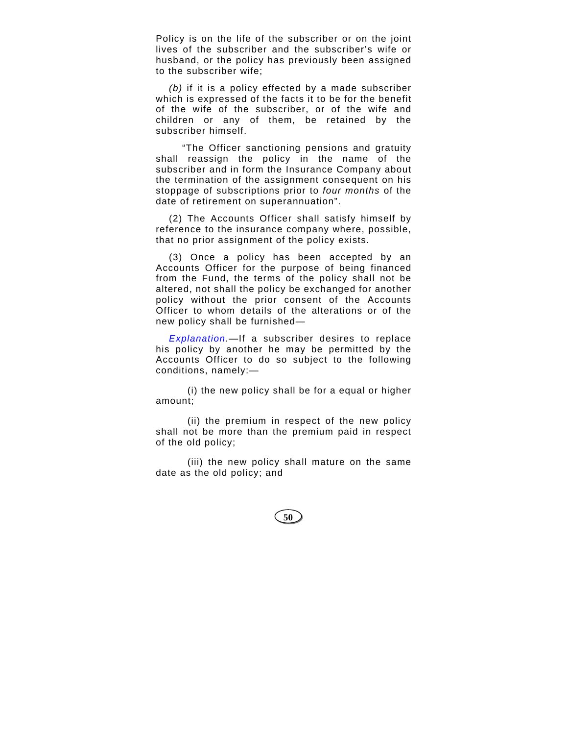Policy is on the life of the subscriber or on the joint lives of the subscriber and the subscriber's wife or husband, or the policy has previously been assigned to the subscriber wife;

*(b)* if it is a policy effected by a made subscriber which is expressed of the facts it to be for the benefit of the wife of the subscriber, or of the wife and children or any of them, be retained by the subscriber himself.

"The Officer sanctioning pensions and gratuity shall reassign the policy in the name of the subscriber and in form the Insurance Company about the termination of the assignment consequent on his stoppage of subscriptions prior to *four months* of the date of retirement on superannuation".

(2) The Accounts Officer shall satisfy himself by reference to the insurance company where, possible, that no prior assignment of the policy exists.

(3) Once a policy has been accepted by an Accounts Officer for the purpose of being financed from the Fund, the terms of the policy shall not be altered, not shall the policy be exchanged for another policy without the prior consent of the Accounts Officer to whom details of the alterations or of the new policy shall be furnished—

*Explanation.*—If a subscriber desires to replace his policy by another he may be permitted by the Accounts Officer to do so subject to the following conditions, namely:—

(i) the new policy shall be for a equal or higher amount;

(ii) the premium in respect of the new policy shall not be more than the premium paid in respect of the old policy;

(iii) the new policy shall mature on the same date as the old policy; and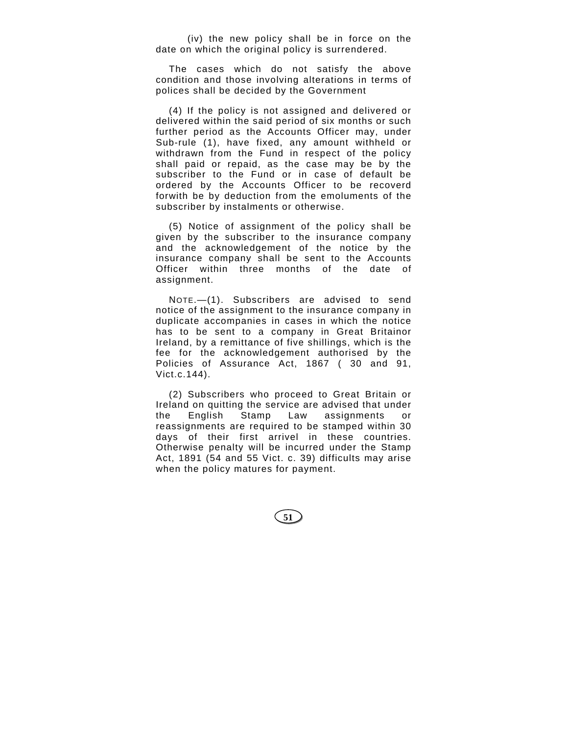(iv) the new policy shall be in force on the date on which the original policy is surrendered.

The cases which do not satisfy the above condition and those involving alterations in terms of polices shall be decided by the Government

(4) If the policy is not assigned and delivered or delivered within the said period of six months or such further period as the Accounts Officer may, under Sub-rule (1), have fixed, any amount withheld or withdrawn from the Fund in respect of the policy shall paid or repaid, as the case may be by the subscriber to the Fund or in case of default be ordered by the Accounts Officer to be recoverd forwith be by deduction from the emoluments of the subscriber by instalments or otherwise.

(5) Notice of assignment of the policy shall be given by the subscriber to the insurance company and the acknowledgement of the notice by the insurance company shall be sent to the Accounts Officer within three months of the date of assignment.

NOTE.—(1). Subscribers are advised to send notice of the assignment to the insurance company in duplicate accompanies in cases in which the notice has to be sent to a company in Great Britainor Ireland, by a remittance of five shillings, which is the fee for the acknowledgement authorised by the Policies of Assurance Act, 1867 ( 30 and 91, Vict.c.144).

(2) Subscribers who proceed to Great Britain or Ireland on quitting the service are advised that under the English Stamp Law assignments or reassignments are required to be stamped within 30 days of their first arrivel in these countries. Otherwise penalty will be incurred under the Stamp Act, 1891 (54 and 55 Vict. c. 39) difficults may arise when the policy matures for payment.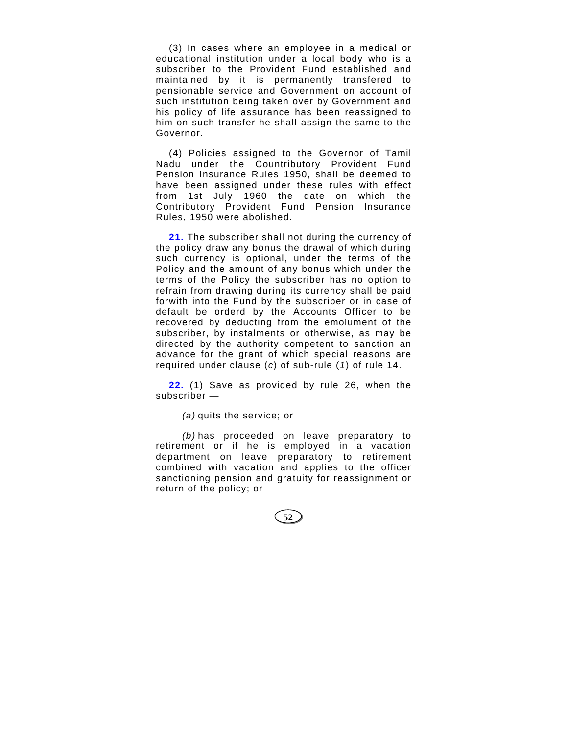(3) In cases where an employee in a medical or educational institution under a local body who is a subscriber to the Provident Fund established and maintained by it is permanently transfered to pensionable service and Government on account of such institution being taken over by Government and his policy of life assurance has been reassigned to him on such transfer he shall assign the same to the Governor.

(4) Policies assigned to the Governor of Tamil Nadu under the Countributory Provident Fund Pension Insurance Rules 1950, shall be deemed to have been assigned under these rules with effect from 1st July 1960 the date on which the Contributory Provident Fund Pension Insurance Rules, 1950 were abolished.

**21.** The subscriber shall not during the currency of the policy draw any bonus the drawal of which during such currency is optional, under the terms of the Policy and the amount of any bonus which under the terms of the Policy the subscriber has no option to refrain from drawing during its currency shall be paid forwith into the Fund by the subscriber or in case of default be orderd by the Accounts Officer to be recovered by deducting from the emolument of the subscriber, by instalments or otherwise, as may be directed by the authority competent to sanction an advance for the grant of which special reasons are required under clause (*c*) of sub-rule (*1*) of rule 14.

**22.** (1) Save as provided by rule 26, when the subscriber —

*(a)* quits the service; or

*(b)* has proceeded on leave preparatory to retirement or if he is employed in a vacation department on leave preparatory to retirement combined with vacation and applies to the officer sanctioning pension and gratuity for reassignment or return of the policy; or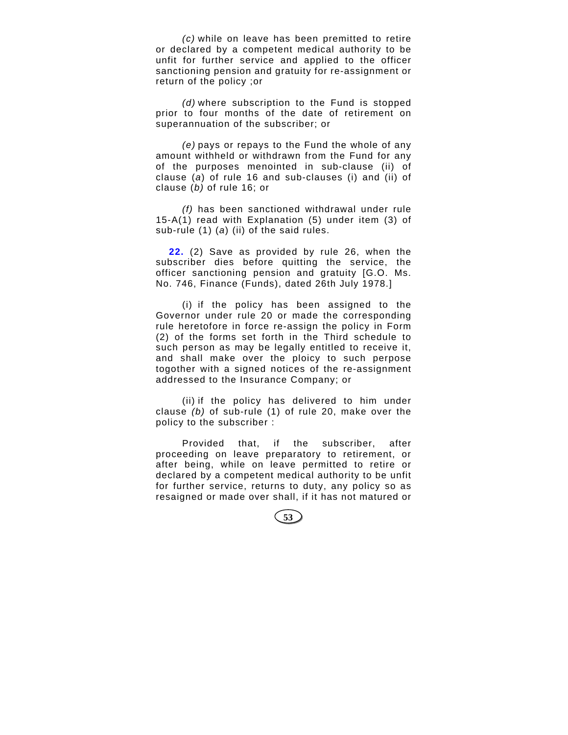*(c)* while on leave has been premitted to retire or declared by a competent medical authority to be unfit for further service and applied to the officer sanctioning pension and gratuity for re-assignment or return of the policy ;or

*(d)* where subscription to the Fund is stopped prior to four months of the date of retirement on superannuation of the subscriber; or

*(e)* pays or repays to the Fund the whole of any amount withheld or withdrawn from the Fund for any of the purposes menointed in sub-clause (ii) of clause (*a*) of rule 16 and sub-clauses (i) and (ii) of clause (*b)* of rule 16; or

*(f)* has been sanctioned withdrawal under rule 15-A(1) read with Explanation (5) under item (3) of sub-rule (1) (*a*) (ii) of the said rules.

**22.** (2) Save as provided by rule 26, when the subscriber dies before quitting the service, the officer sanctioning pension and gratuity [G.O. Ms. No. 746, Finance (Funds), dated 26th July 1978.]

(i) if the policy has been assigned to the Governor under rule 20 or made the corresponding rule heretofore in force re-assign the policy in Form (2) of the forms set forth in the Third schedule to such person as may be legally entitled to receive it, and shall make over the ploicy to such perpose togother with a signed notices of the re-assignment addressed to the Insurance Company; or

(ii) if the policy has delivered to him under clause *(b)* of sub-rule (1) of rule 20, make over the policy to the subscriber :

Provided that, if the subscriber, after proceeding on leave preparatory to retirement, or after being, while on leave permitted to retire or declared by a competent medical authority to be unfit for further service, returns to duty, any policy so as resaigned or made over shall, if it has not matured or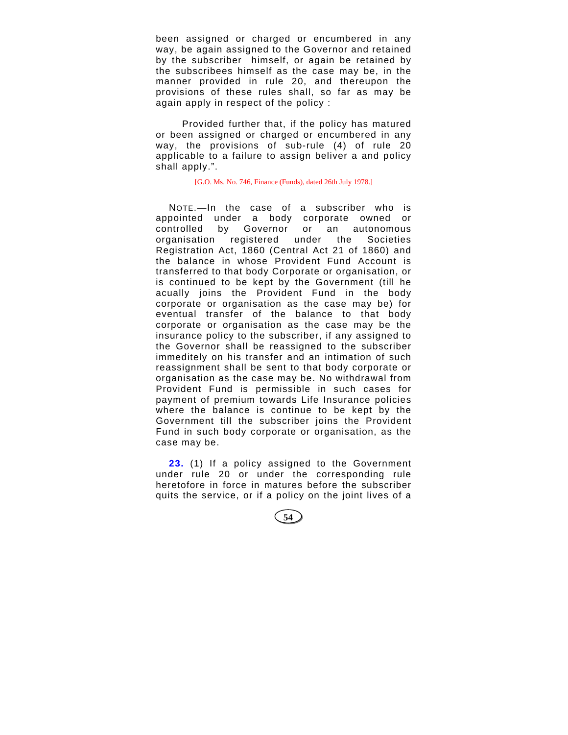been assigned or charged or encumbered in any way, be again assigned to the Governor and retained by the subscriber himself, or again be retained by the subscribees himself as the case may be, in the manner provided in rule 20, and thereupon the provisions of these rules shall, so far as may be again apply in respect of the policy :

Provided further that, if the policy has matured or been assigned or charged or encumbered in any way, the provisions of sub-rule (4) of rule 20 applicable to a failure to assign beliver a and policy shall apply.".

[G.O. Ms. No. 746, Finance (Funds), dated 26th July 1978.]

NOTE.—In the case of a subscriber who is appointed under a body corporate owned or controlled by Governor or an autonomous organisation registered under the Societies Registration Act, 1860 (Central Act 21 of 1860) and the balance in whose Provident Fund Account is transferred to that body Corporate or organisation, or is continued to be kept by the Government (till he acually joins the Provident Fund in the body corporate or organisation as the case may be) for eventual transfer of the balance to that body corporate or organisation as the case may be the insurance policy to the subscriber, if any assigned to the Governor shall be reassigned to the subscriber immeditely on his transfer and an intimation of such reassignment shall be sent to that body corporate or organisation as the case may be. No withdrawal from Provident Fund is permissible in such cases for payment of premium towards Life Insurance policies where the balance is continue to be kept by the Government till the subscriber joins the Provident Fund in such body corporate or organisation, as the case may be.

**23.** (1) If a policy assigned to the Government under rule 20 or under the corresponding rule heretofore in force in matures before the subscriber quits the service, or if a policy on the joint lives of a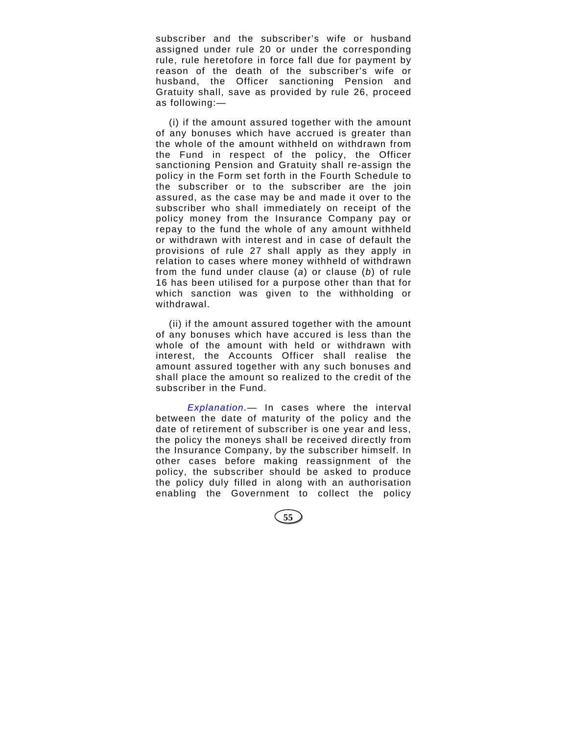subscriber and the subscriber's wife or husband assigned under rule 20 or under the corresponding rule, rule heretofore in force fall due for payment by reason of the death of the subscriber's wife or husband, the Officer sanctioning Pension and Gratuity shall, save as provided by rule 26, proceed as following:—

(i) if the amount assured together with the amount of any bonuses which have accrued is greater than the whole of the amount withheld on withdrawn from the Fund in respect of the policy, the Officer sanctioning Pension and Gratuity shall re-assign the policy in the Form set forth in the Fourth Schedule to the subscriber or to the subscriber are the join assured, as the case may be and made it over to the subscriber who shall immediately on receipt of the policy money from the Insurance Company pay or repay to the fund the whole of any amount withheld or withdrawn with interest and in case of default the provisions of rule 27 shall apply as they apply in relation to cases where money withheld of withdrawn from the fund under clause (*a*) or clause (*b*) of rule 16 has been utilised for a purpose other than that for which sanction was given to the withholding or withdrawal.

(ii) if the amount assured together with the amount of any bonuses which have accured is less than the whole of the amount with held or withdrawn with interest, the Accounts Officer shall realise the amount assured together with any such bonuses and shall place the amount so realized to the credit of the subscriber in the Fund.

 *Explanation.—* In cases where the interval between the date of maturity of the policy and the date of retirement of subscriber is one year and less, the policy the moneys shall be received directly from the Insurance Company, by the subscriber himself. In other cases before making reassignment of the policy, the subscriber should be asked to produce the policy duly filled in along with an authorisation enabling the Government to collect the policy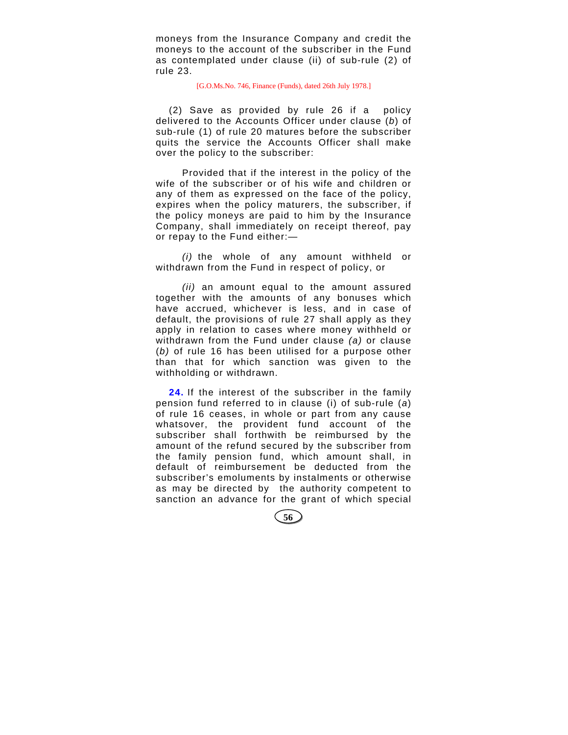moneys from the Insurance Company and credit the moneys to the account of the subscriber in the Fund as contemplated under clause (ii) of sub-rule (2) of rule 23.

# [G.O.Ms.No. 746, Finance (Funds), dated 26th July 1978.]

(2) Save as provided by rule 26 if a policy delivered to the Accounts Officer under clause (*b*) of sub-rule (1) of rule 20 matures before the subscriber quits the service the Accounts Officer shall make over the policy to the subscriber:

Provided that if the interest in the policy of the wife of the subscriber or of his wife and children or any of them as expressed on the face of the policy, expires when the policy maturers, the subscriber, if the policy moneys are paid to him by the Insurance Company, shall immediately on receipt thereof, pay or repay to the Fund either:—

*(i)* the whole of any amount withheld or withdrawn from the Fund in respect of policy, or

*(ii)* an amount equal to the amount assured together with the amounts of any bonuses which have accrued, whichever is less, and in case of default, the provisions of rule 27 shall apply as they apply in relation to cases where money withheld or withdrawn from the Fund under clause *(a)* or clause (*b)* of rule 16 has been utilised for a purpose other than that for which sanction was given to the withholding or withdrawn.

**24.** If the interest of the subscriber in the family pension fund referred to in clause (i) of sub-rule (*a*) of rule 16 ceases, in whole or part from any cause whatsover, the provident fund account of the subscriber shall forthwith be reimbursed by the amount of the refund secured by the subscriber from the family pension fund, which amount shall, in default of reimbursement be deducted from the subscriber's emoluments by instalments or otherwise as may be directed by the authority competent to sanction an advance for the grant of which special

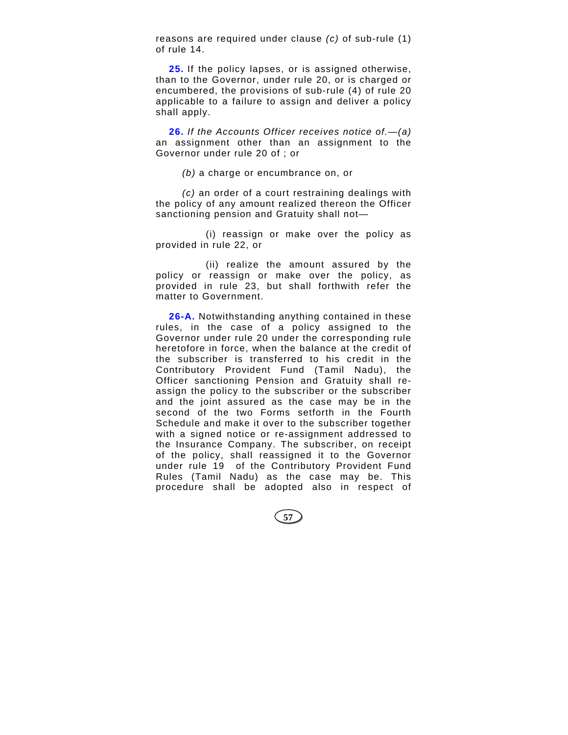reasons are required under clause *(c)* of sub-rule (1) of rule 14.

**25.** If the policy lapses, or is assigned otherwise, than to the Governor, under rule 20, or is charged or encumbered, the provisions of sub-rule (4) of rule 20 applicable to a failure to assign and deliver a policy shall apply.

**26.** *If the Accounts Officer receives notice of.*—*(a)* an assignment other than an assignment to the Governor under rule 20 of ; or

*(b)* a charge or encumbrance on, or

*(c)* an order of a court restraining dealings with the policy of any amount realized thereon the Officer sanctioning pension and Gratuity shall not—

(i) reassign or make over the policy as provided in rule 22, or

(ii) realize the amount assured by the policy or reassign or make over the policy, as provided in rule 23, but shall forthwith refer the matter to Government.

**26-A.** Notwithstanding anything contained in these rules, in the case of a policy assigned to the Governor under rule 20 under the corresponding rule heretofore in force, when the balance at the credit of the subscriber is transferred to his credit in the Contributory Provident Fund (Tamil Nadu), the Officer sanctioning Pension and Gratuity shall reassign the policy to the subscriber or the subscriber and the joint assured as the case may be in the second of the two Forms setforth in the Fourth Schedule and make it over to the subscriber together with a signed notice or re-assignment addressed to the Insurance Company. The subscriber, on receipt of the policy, shall reassigned it to the Governor under rule 19 of the Contributory Provident Fund Rules (Tamil Nadu) as the case may be. This procedure shall be adopted also in respect of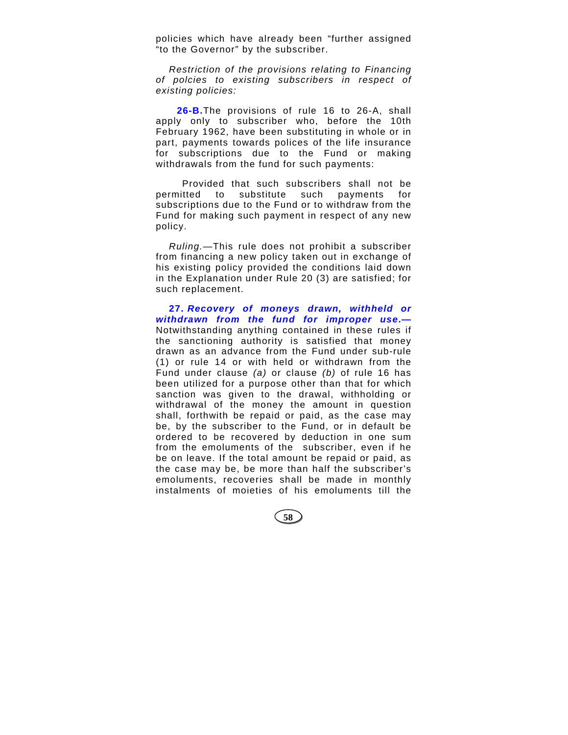policies which have already been "further assigned "to the Governor" by the subscriber.

*Restriction of the provisions relating to Financing of polcies to existing subscribers in respect of existing policies:*

**26-B.**The provisions of rule 16 to 26-A, shall apply only to subscriber who, before the 10th February 1962, have been substituting in whole or in part, payments towards polices of the life insurance for subscriptions due to the Fund or making withdrawals from the fund for such payments:

Provided that such subscribers shall not be permitted to substitute such payments for subscriptions due to the Fund or to withdraw from the Fund for making such payment in respect of any new policy.

*Ruling.*—This rule does not prohibit a subscriber from financing a new policy taken out in exchange of his existing policy provided the conditions laid down in the Explanation under Rule 20 (3) are satisfied; for such replacement.

**27.** *Recovery of moneys drawn, withheld or withdrawn from the fund for improper use***.—** Notwithstanding anything contained in these rules if the sanctioning authority is satisfied that money drawn as an advance from the Fund under sub-rule (1) or rule 14 or with held or withdrawn from the Fund under clause *(a)* or clause *(b)* of rule 16 has been utilized for a purpose other than that for which sanction was given to the drawal, withholding or withdrawal of the money the amount in question shall, forthwith be repaid or paid, as the case may be, by the subscriber to the Fund, or in default be ordered to be recovered by deduction in one sum from the emoluments of the subscriber, even if he be on leave. If the total amount be repaid or paid, as the case may be, be more than half the subscriber's emoluments, recoveries shall be made in monthly instalments of moieties of his emoluments till the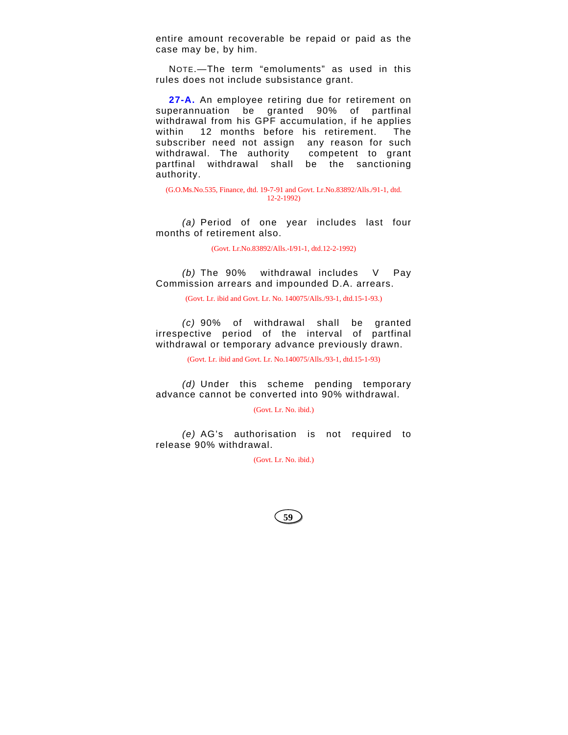entire amount recoverable be repaid or paid as the case may be, by him.

NOTE.—The term "emoluments" as used in this rules does not include subsistance grant.

27-A. An employee retiring due for retirement on superannuation be granted 90% of partfinal withdrawal from his GPF accumulation, if he applies within 12 months before his retirement. The subscriber need not assign any reason for such withdrawal. The authority competent to grant partfinal withdrawal shall be the sanctioning authority.

(G.O.Ms.No.535, Finance, dtd. 19-7-91 and Govt. Lr.No.83892/Alls./91-1, dtd. 12-2-1992)

*(a)* Period of one year includes last four months of retirement also.

(Govt. Lr.No.83892/Alls.-I/91-1, dtd.12-2-1992)

*(b)* The 90% withdrawal includes V Pay Commission arrears and impounded D.A. arrears.

(Govt. Lr. ibid and Govt. Lr. No. 140075/Alls./93-1, dtd.15-1-93.)

*(c)* 90% of withdrawal shall be granted irrespective period of the interval of partfinal withdrawal or temporary advance previously drawn.

(Govt. Lr. ibid and Govt. Lr. No.140075/Alls./93-1, dtd.15-1-93)

*(d)* Under this scheme pending temporary advance cannot be converted into 90% withdrawal.

(Govt. Lr. No. ibid.)

*(e)* AG's authorisation is not required to release 90% withdrawal.

(Govt. Lr. No. ibid.)

**59**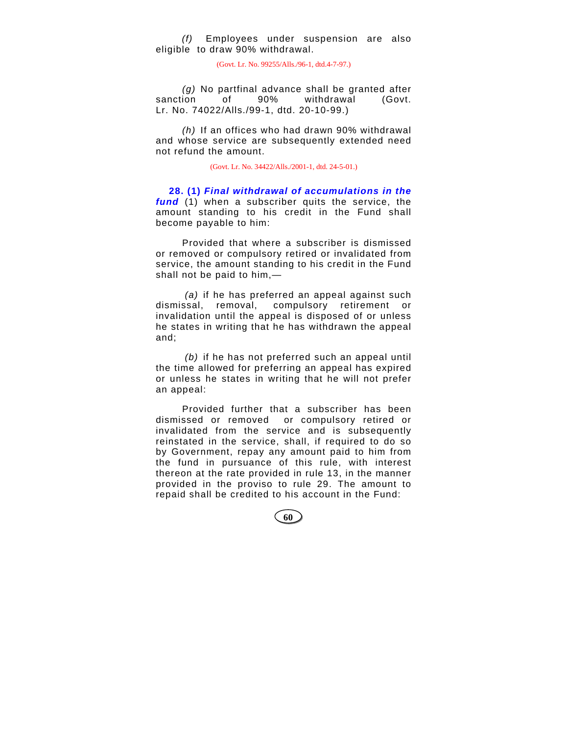*(f)* Employees under suspension are also eligible to draw 90% withdrawal.

(Govt. Lr. No. 99255/Alls./96-1, dtd.4-7-97.)

*(g)* No partfinal advance shall be granted after sanction of 90% withdrawal (Govt. Lr. No. 74022/Alls./99-1, dtd. 20-10-99.)

*(h)* If an offices who had drawn 90% withdrawal and whose service are subsequently extended need not refund the amount.

(Govt. Lr. No. 34422/Alls./2001-1, dtd. 24-5-01.)

**28. (1)** *Final withdrawal of accumulations in the fund* (1) when a subscriber quits the service, the amount standing to his credit in the Fund shall become payable to him:

Provided that where a subscriber is dismissed or removed or compulsory retired or invalidated from service, the amount standing to his credit in the Fund shall not be paid to him,—

*(a)* if he has preferred an appeal against such dismissal, removal, compulsory retirement or invalidation until the appeal is disposed of or unless he states in writing that he has withdrawn the appeal and;

*(b)* if he has not preferred such an appeal until the time allowed for preferring an appeal has expired or unless he states in writing that he will not prefer an appeal:

Provided further that a subscriber has been dismissed or removed or compulsory retired or invalidated from the service and is subsequently reinstated in the service, shall, if required to do so by Government, repay any amount paid to him from the fund in pursuance of this rule, with interest thereon at the rate provided in rule 13, in the manner provided in the proviso to rule 29. The amount to repaid shall be credited to his account in the Fund: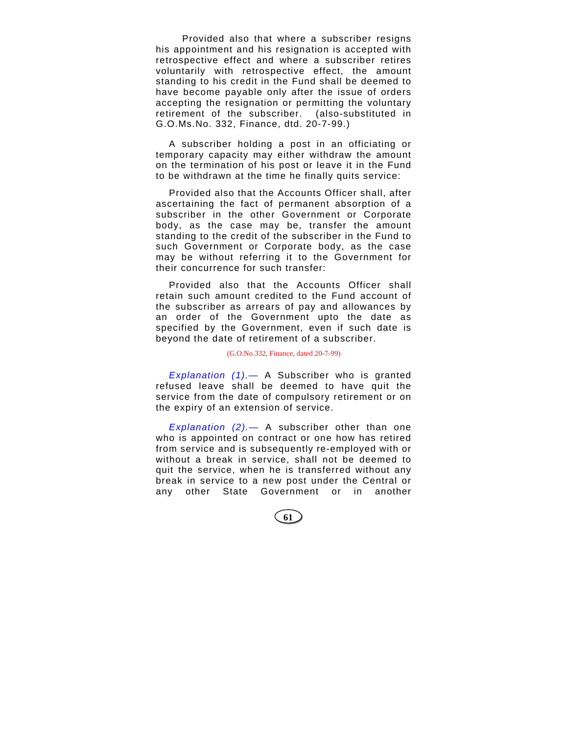Provided also that where a subscriber resigns his appointment and his resignation is accepted with retrospective effect and where a subscriber retires voluntarily with retrospective effect, the amount standing to his credit in the Fund shall be deemed to have become payable only after the issue of orders accepting the resignation or permitting the voluntary retirement of the subscriber. (also-substituted in G.O.Ms.No. 332, Finance, dtd. 20-7-99.)

A subscriber holding a post in an officiating or temporary capacity may either withdraw the amount on the termination of his post or leave it in the Fund to be withdrawn at the time he finally quits service:

Provided also that the Accounts Officer shall, after ascertaining the fact of permanent absorption of a subscriber in the other Government or Corporate body, as the case may be, transfer the amount standing to the credit of the subscriber in the Fund to such Government or Corporate body, as the case may be without referring it to the Government for their concurrence for such transfer:

Provided also that the Accounts Officer shall retain such amount credited to the Fund account of the subscriber as arrears of pay and allowances by an order of the Government upto the date as specified by the Government, even if such date is beyond the date of retirement of a subscriber.

### (G.O.No.332, Finance, dated 20-7-99)

*Explanation (1).*— A Subscriber who is granted refused leave shall be deemed to have quit the service from the date of compulsory retirement or on the expiry of an extension of service.

*Explanation (2).*— A subscriber other than one who is appointed on contract or one how has retired from service and is subsequently re-employed with or without a break in service, shall not be deemed to quit the service, when he is transferred without any break in service to a new post under the Central or any other State Government or in another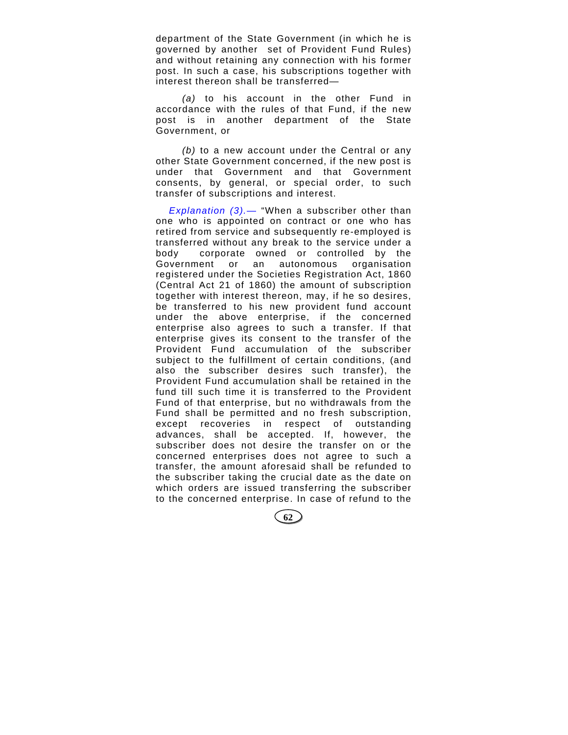department of the State Government (in which he is governed by another set of Provident Fund Rules) and without retaining any connection with his former post. In such a case, his subscriptions together with interest thereon shall be transferred—

*(a)* to his account in the other Fund in accordance with the rules of that Fund, if the new post is in another department of the State Government, or

*(b)* to a new account under the Central or any other State Government concerned, if the new post is under that Government and that Government consents, by general, or special order, to such transfer of subscriptions and interest.

*Explanation (3).*— "When a subscriber other than one who is appointed on contract or one who has retired from service and subsequently re-employed is transferred without any break to the service under a body corporate owned or controlled by the Government or an autonomous organisation registered under the Societies Registration Act, 1860 (Central Act 21 of 1860) the amount of subscription together with interest thereon, may, if he so desires, be transferred to his new provident fund account under the above enterprise, if the concerned enterprise also agrees to such a transfer. If that enterprise gives its consent to the transfer of the Provident Fund accumulation of the subscriber subject to the fulfillment of certain conditions, (and also the subscriber desires such transfer), the Provident Fund accumulation shall be retained in the fund till such time it is transferred to the Provident Fund of that enterprise, but no withdrawals from the Fund shall be permitted and no fresh subscription, except recoveries in respect of outstanding advances, shall be accepted. If, however, the subscriber does not desire the transfer on or the concerned enterprises does not agree to such a transfer, the amount aforesaid shall be refunded to the subscriber taking the crucial date as the date on which orders are issued transferring the subscriber to the concerned enterprise. In case of refund to the

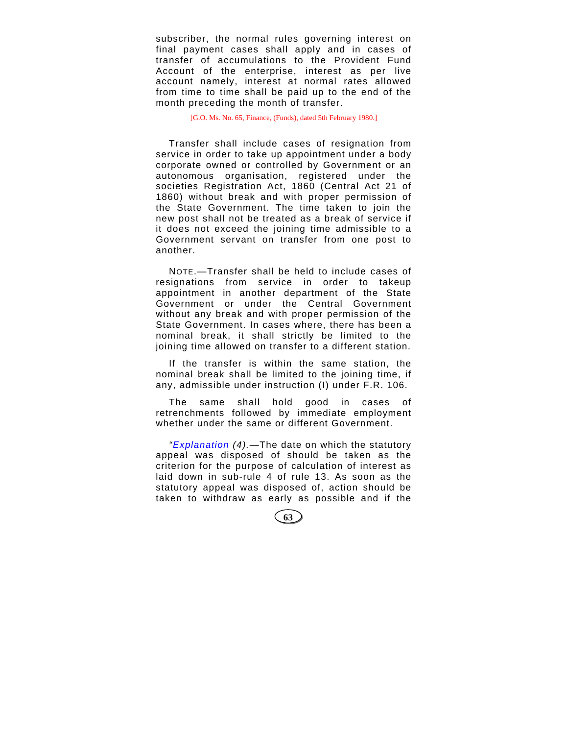subscriber, the normal rules governing interest on final payment cases shall apply and in cases of transfer of accumulations to the Provident Fund Account of the enterprise, interest as per live account namely, interest at normal rates allowed from time to time shall be paid up to the end of the month preceding the month of transfer.

[G.O. Ms. No. 65, Finance, (Funds), dated 5th February 1980.]

Transfer shall include cases of resignation from service in order to take up appointment under a body corporate owned or controlled by Government or an autonomous organisation, registered under the societies Registration Act, 1860 (Central Act 21 of 1860) without break and with proper permission of the State Government. The time taken to join the new post shall not be treated as a break of service if it does not exceed the joining time admissible to a Government servant on transfer from one post to another.

NOTE.—Transfer shall be held to include cases of resignations from service in order to takeup appointment in another department of the State Government or under the Central Government without any break and with proper permission of the State Government. In cases where, there has been a nominal break, it shall strictly be limited to the joining time allowed on transfer to a different station.

If the transfer is within the same station, the nominal break shall be limited to the joining time, if any, admissible under instruction (I) under F.R. 106.

The same shall hold good in cases of retrenchments followed by immediate employment whether under the same or different Government.

*"Explanation (4).*—The date on which the statutory appeal was disposed of should be taken as the criterion for the purpose of calculation of interest as laid down in sub-rule 4 of rule 13. As soon as the statutory appeal was disposed of, action should be taken to withdraw as early as possible and if the

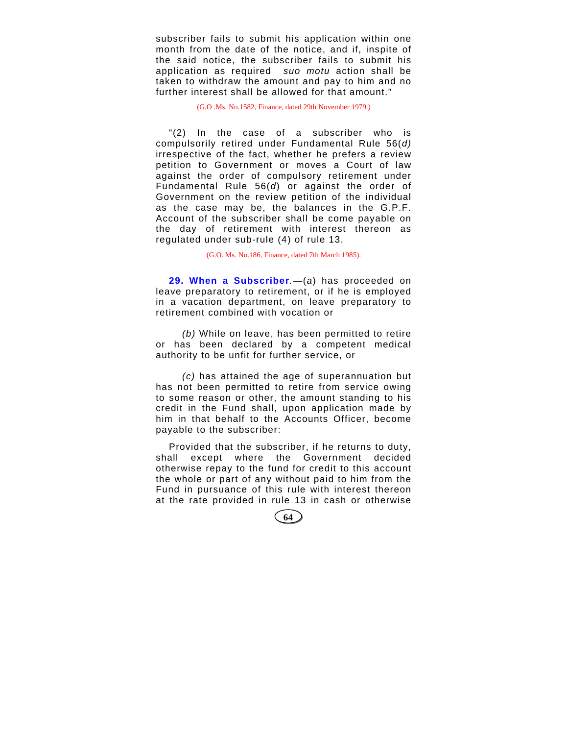subscriber fails to submit his application within one month from the date of the notice, and if, inspite of the said notice, the subscriber fails to submit his application as required *suo motu* action shall be taken to withdraw the amount and pay to him and no further interest shall be allowed for that amount."

(G.O .Ms. No.1582, Finance, dated 29th November 1979.)

"(2) In the case of a subscriber who is compulsorily retired under Fundamental Rule 56(*d)*  irrespective of the fact, whether he prefers a review petition to Government or moves a Court of law against the order of compulsory retirement under Fundamental Rule 56(*d*) or against the order of Government on the review petition of the individual as the case may be, the balances in the G.P.F. Account of the subscriber shall be come payable on the day of retirement with interest thereon as regulated under sub-rule (4) of rule 13.

(G.O. Ms. No.186, Finance, dated 7th March 1985).

**29. When a Subscriber***.*—(*a*) has proceeded on leave preparatory to retirement, or if he is employed in a vacation department, on leave preparatory to retirement combined with vocation or

*(b)* While on leave, has been permitted to retire or has been declared by a competent medical authority to be unfit for further service, or

*(c)* has attained the age of superannuation but has not been permitted to retire from service owing to some reason or other, the amount standing to his credit in the Fund shall, upon application made by him in that behalf to the Accounts Officer, become payable to the subscriber:

Provided that the subscriber, if he returns to duty, shall except where the Government decided otherwise repay to the fund for credit to this account the whole or part of any without paid to him from the Fund in pursuance of this rule with interest thereon at the rate provided in rule 13 in cash or otherwise

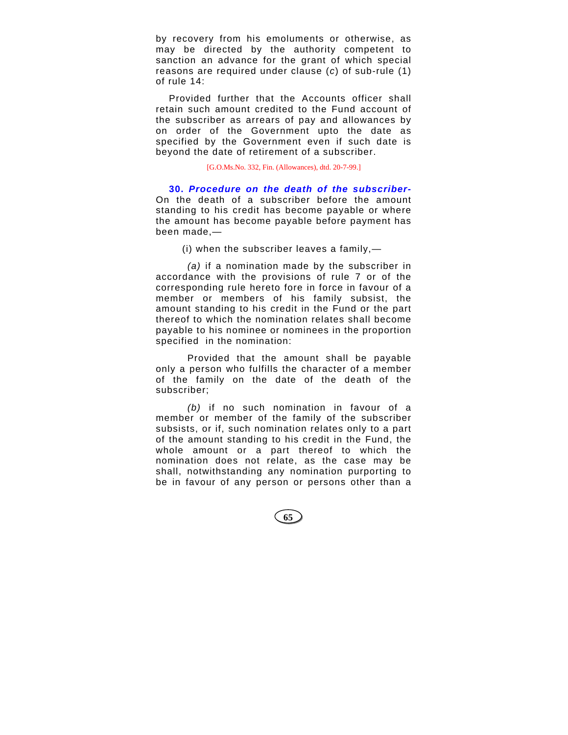by recovery from his emoluments or otherwise, as may be directed by the authority competent to sanction an advance for the grant of which special reasons are required under clause (*c*) of sub-rule (1) of rule 14:

Provided further that the Accounts officer shall retain such amount credited to the Fund account of the subscriber as arrears of pay and allowances by on order of the Government upto the date as specified by the Government even if such date is beyond the date of retirement of a subscriber.

[G.O.Ms.No. 332, Fin. (Allowances), dtd. 20-7-99.]

**30.** *Procedure on the death of the subscriber-*On the death of a subscriber before the amount standing to his credit has become payable or where the amount has become payable before payment has been made,—

(i) when the subscriber leaves a family,—

*(a)* if a nomination made by the subscriber in accordance with the provisions of rule 7 or of the corresponding rule hereto fore in force in favour of a member or members of his family subsist, the amount standing to his credit in the Fund or the part thereof to which the nomination relates shall become payable to his nominee or nominees in the proportion specified in the nomination:

Provided that the amount shall be payable only a person who fulfills the character of a member of the family on the date of the death of the subscriber;

*(b)* if no such nomination in favour of a member or member of the family of the subscriber subsists, or if, such nomination relates only to a part of the amount standing to his credit in the Fund, the whole amount or a part thereof to which the nomination does not relate, as the case may be shall, notwithstanding any nomination purporting to be in favour of any person or persons other than a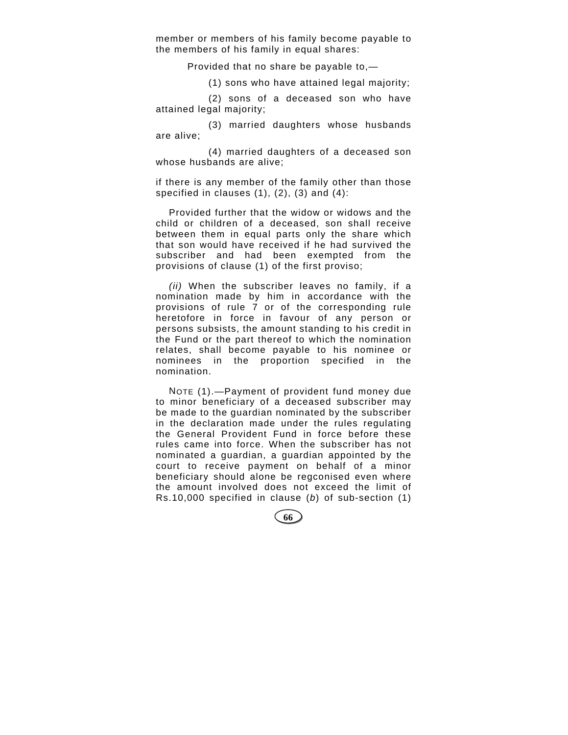member or members of his family become payable to the members of his family in equal shares:

Provided that no share be payable to,—

(1) sons who have attained legal majority;

(2) sons of a deceased son who have attained legal majority;

(3) married daughters whose husbands are alive;

(4) married daughters of a deceased son whose husbands are alive;

if there is any member of the family other than those specified in clauses  $(1)$ ,  $(2)$ ,  $(3)$  and  $(4)$ :

Provided further that the widow or widows and the child or children of a deceased, son shall receive between them in equal parts only the share which that son would have received if he had survived the subscriber and had been exempted from the provisions of clause (1) of the first proviso;

*(ii)* When the subscriber leaves no family, if a nomination made by him in accordance with the provisions of rule 7 or of the corresponding rule heretofore in force in favour of any person or persons subsists, the amount standing to his credit in the Fund or the part thereof to which the nomination relates, shall become payable to his nominee or nominees in the proportion specified in the nomination.

NOTE (1).—Payment of provident fund money due to minor beneficiary of a deceased subscriber may be made to the guardian nominated by the subscriber in the declaration made under the rules regulating the General Provident Fund in force before these rules came into force. When the subscriber has not nominated a guardian, a guardian appointed by the court to receive payment on behalf of a minor beneficiary should alone be regconised even where the amount involved does not exceed the limit of Rs.10,000 specified in clause (*b*) of sub-section (1)

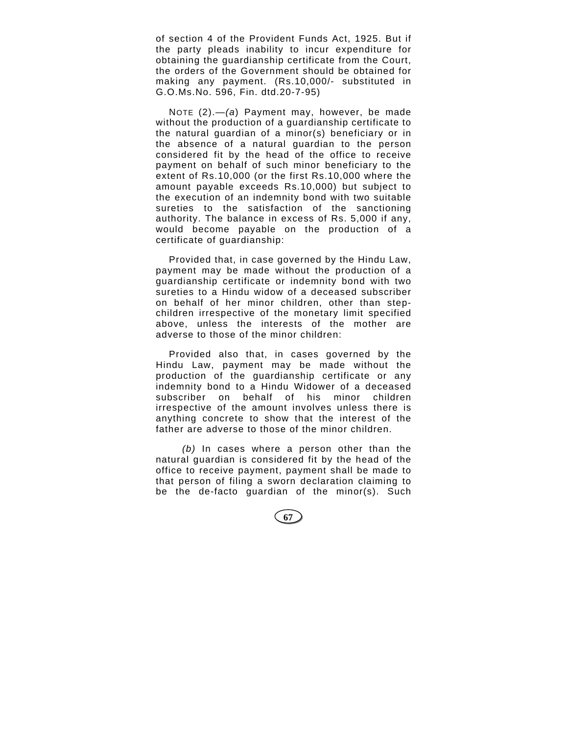of section 4 of the Provident Funds Act, 1925. But if the party pleads inability to incur expenditure for obtaining the guardianship certificate from the Court, the orders of the Government should be obtained for making any payment. (Rs.10,000/- substituted in G.O.Ms.No. 596, Fin. dtd.20-7-95)

NOTE (2).—*(a*) Payment may, however, be made without the production of a guardianship certificate to the natural guardian of a minor(s) beneficiary or in the absence of a natural guardian to the person considered fit by the head of the office to receive payment on behalf of such minor beneficiary to the extent of Rs.10,000 (or the first Rs.10,000 where the amount payable exceeds Rs.10,000) but subject to the execution of an indemnity bond with two suitable sureties to the satisfaction of the sanctioning authority. The balance in excess of Rs. 5,000 if any, would become payable on the production of a certificate of guardianship:

Provided that, in case governed by the Hindu Law, payment may be made without the production of a guardianship certificate or indemnity bond with two sureties to a Hindu widow of a deceased subscriber on behalf of her minor children, other than stepchildren irrespective of the monetary limit specified above, unless the interests of the mother are adverse to those of the minor children:

Provided also that, in cases governed by the Hindu Law, payment may be made without the production of the guardianship certificate or any indemnity bond to a Hindu Widower of a deceased subscriber on behalf of his minor children irrespective of the amount involves unless there is anything concrete to show that the interest of the father are adverse to those of the minor children.

*(b)* In cases where a person other than the natural guardian is considered fit by the head of the office to receive payment, payment shall be made to that person of filing a sworn declaration claiming to be the de-facto guardian of the minor(s). Such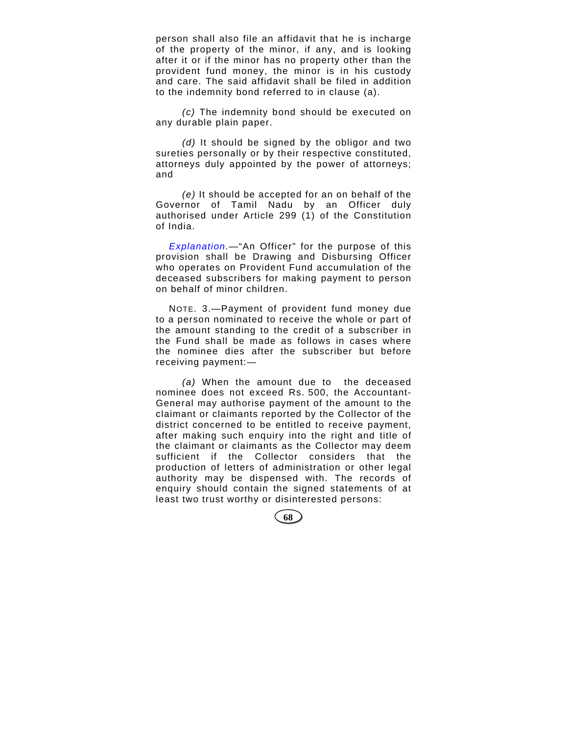person shall also file an affidavit that he is incharge of the property of the minor, if any, and is looking after it or if the minor has no property other than the provident fund money, the minor is in his custody and care. The said affidavit shall be filed in addition to the indemnity bond referred to in clause (a).

*(c)* The indemnity bond should be executed on any durable plain paper.

*(d)* It should be signed by the obligor and two sureties personally or by their respective constituted, attorneys duly appointed by the power of attorneys; and

*(e)* It should be accepted for an on behalf of the Governor of Tamil Nadu by an Officer duly authorised under Article 299 (1) of the Constitution of India.

*Explanation.—*"An Officer" for the purpose of this provision shall be Drawing and Disbursing Officer who operates on Provident Fund accumulation of the deceased subscribers for making payment to person on behalf of minor children.

NOTE. 3.—Payment of provident fund money due to a person nominated to receive the whole or part of the amount standing to the credit of a subscriber in the Fund shall be made as follows in cases where the nominee dies after the subscriber but before receiving payment:—

*(a)* When the amount due to the deceased nominee does not exceed Rs. 500, the Accountant-General may authorise payment of the amount to the claimant or claimants reported by the Collector of the district concerned to be entitled to receive payment, after making such enquiry into the right and title of the claimant or claimants as the Collector may deem sufficient if the Collector considers that the production of letters of administration or other legal authority may be dispensed with. The records of enquiry should contain the signed statements of at least two trust worthy or disinterested persons:

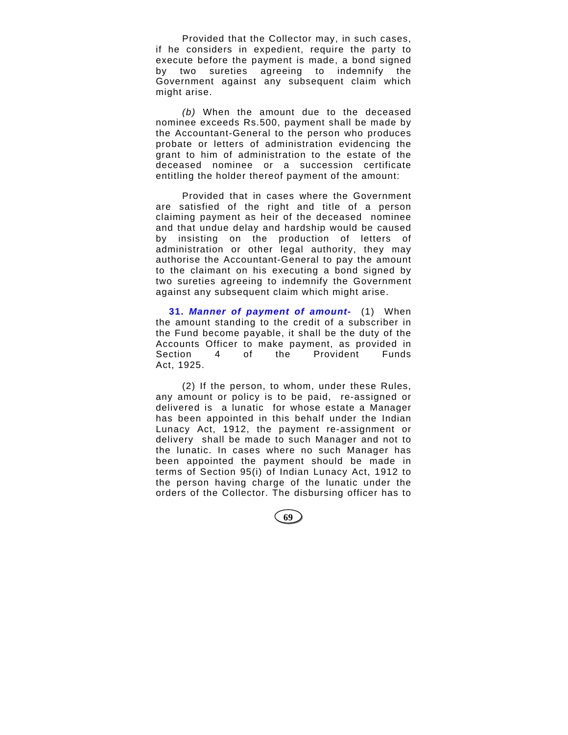Provided that the Collector may, in such cases, if he considers in expedient, require the party to execute before the payment is made, a bond signed by two sureties agreeing to indemnify the Government against any subsequent claim which might arise.

*(b)* When the amount due to the deceased nominee exceeds Rs.500, payment shall be made by the Accountant-General to the person who produces probate or letters of administration evidencing the grant to him of administration to the estate of the deceased nominee or a succession certificate entitling the holder thereof payment of the amount:

Provided that in cases where the Government are satisfied of the right and title of a person claiming payment as heir of the deceased nominee and that undue delay and hardship would be caused by insisting on the production of letters of administration or other legal authority, they may authorise the Accountant-General to pay the amount to the claimant on his executing a bond signed by two sureties agreeing to indemnify the Government against any subsequent claim which might arise.

**31.** *Manner of payment of amount-* (1) When the amount standing to the credit of a subscriber in the Fund become payable, it shall be the duty of the Accounts Officer to make payment, as provided in Section 4 of the Provident Funds Act, 1925.

(2) If the person, to whom, under these Rules, any amount or policy is to be paid, re-assigned or delivered is a lunatic for whose estate a Manager has been appointed in this behalf under the Indian Lunacy Act, 1912, the payment re-assignment or delivery shall be made to such Manager and not to the lunatic. In cases where no such Manager has been appointed the payment should be made in terms of Section 95(i) of Indian Lunacy Act, 1912 to the person having charge of the lunatic under the orders of the Collector. The disbursing officer has to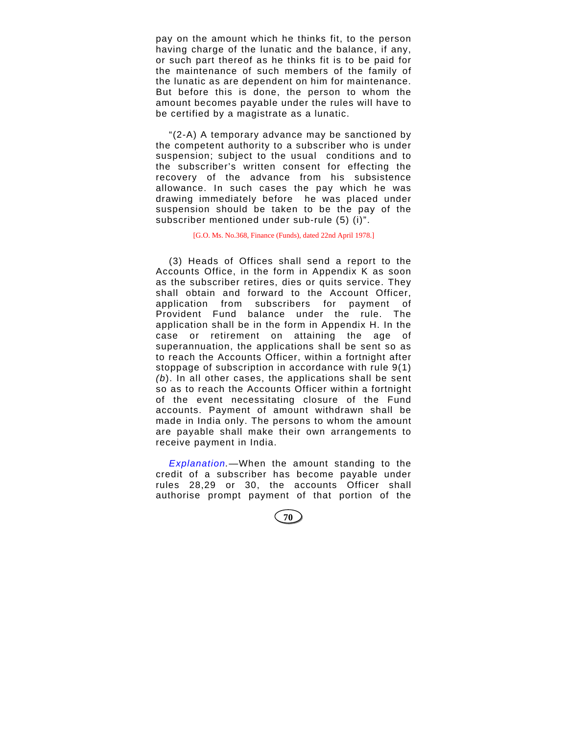pay on the amount which he thinks fit, to the person having charge of the lunatic and the balance, if any, or such part thereof as he thinks fit is to be paid for the maintenance of such members of the family of the lunatic as are dependent on him for maintenance. But before this is done, the person to whom the amount becomes payable under the rules will have to be certified by a magistrate as a lunatic.

"(2-A) A temporary advance may be sanctioned by the competent authority to a subscriber who is under suspension; subject to the usual conditions and to the subscriber's written consent for effecting the recovery of the advance from his subsistence allowance. In such cases the pay which he was drawing immediately before he was placed under suspension should be taken to be the pay of the subscriber mentioned under sub-rule (5) (i)".

[G.O. Ms. No.368, Finance (Funds), dated 22nd April 1978.]

(3) Heads of Offices shall send a report to the Accounts Office, in the form in Appendix K as soon as the subscriber retires, dies or quits service. They shall obtain and forward to the Account Officer, application from subscribers for payment of Provident Fund balance under the rule. The application shall be in the form in Appendix H. In the case or retirement on attaining the age of superannuation, the applications shall be sent so as to reach the Accounts Officer, within a fortnight after stoppage of subscription in accordance with rule 9(1) *(b*). In all other cases, the applications shall be sent so as to reach the Accounts Officer within a fortnight of the event necessitating closure of the Fund accounts. Payment of amount withdrawn shall be made in India only. The persons to whom the amount are payable shall make their own arrangements to receive payment in India.

*Explanation.*—When the amount standing to the credit of a subscriber has become payable under rules 28,29 or 30, the accounts Officer shall authorise prompt payment of that portion of the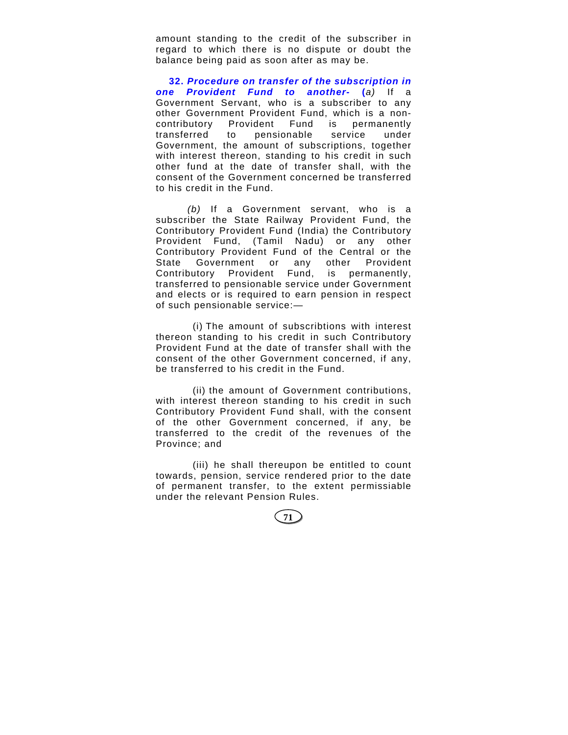amount standing to the credit of the subscriber in regard to which there is no dispute or doubt the balance being paid as soon after as may be.

**32.** *Procedure on transfer of the subscription in one Provident Fund to another-* **(***a)* If a Government Servant, who is a subscriber to any other Government Provident Fund, which is a noncontributory Provident Fund is permanently transferred to pensionable service under Government, the amount of subscriptions, together with interest thereon, standing to his credit in such other fund at the date of transfer shall, with the consent of the Government concerned be transferred to his credit in the Fund.

 *(b)* If a Government servant, who is a subscriber the State Railway Provident Fund, the Contributory Provident Fund (India) the Contributory Provident Fund, (Tamil Nadu) or any other Contributory Provident Fund of the Central or the State Government or any other Provident Contributory Provident Fund, is permanently, transferred to pensionable service under Government and elects or is required to earn pension in respect of such pensionable service:—

(i) The amount of subscribtions with interest thereon standing to his credit in such Contributory Provident Fund at the date of transfer shall with the consent of the other Government concerned, if any, be transferred to his credit in the Fund.

(ii) the amount of Government contributions, with interest thereon standing to his credit in such Contributory Provident Fund shall, with the consent of the other Government concerned, if any, be transferred to the credit of the revenues of the Province; and

(iii) he shall thereupon be entitled to count towards, pension, service rendered prior to the date of permanent transfer, to the extent permissiable under the relevant Pension Rules.

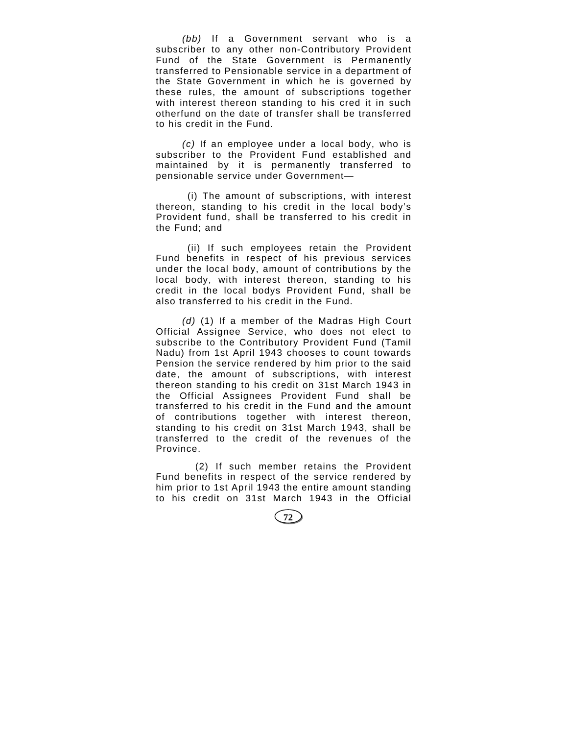*(bb)* If a Government servant who is a subscriber to any other non-Contributory Provident Fund of the State Government is Permanently transferred to Pensionable service in a department of the State Government in which he is governed by these rules, the amount of subscriptions together with interest thereon standing to his cred it in such otherfund on the date of transfer shall be transferred to his credit in the Fund.

*(c)* If an employee under a local body, who is subscriber to the Provident Fund established and maintained by it is permanently transferred to pensionable service under Government—

(i) The amount of subscriptions, with interest thereon, standing to his credit in the local body's Provident fund, shall be transferred to his credit in the Fund; and

(ii) If such employees retain the Provident Fund benefits in respect of his previous services under the local body, amount of contributions by the local body, with interest thereon, standing to his credit in the local bodys Provident Fund, shall be also transferred to his credit in the Fund.

*(d)* (1) If a member of the Madras High Court Official Assignee Service, who does not elect to subscribe to the Contributory Provident Fund (Tamil Nadu) from 1st April 1943 chooses to count towards Pension the service rendered by him prior to the said date, the amount of subscriptions, with interest thereon standing to his credit on 31st March 1943 in the Official Assignees Provident Fund shall be transferred to his credit in the Fund and the amount of contributions together with interest thereon, standing to his credit on 31st March 1943, shall be transferred to the credit of the revenues of the Province.

(2) If such member retains the Provident Fund benefits in respect of the service rendered by him prior to 1st April 1943 the entire amount standing to his credit on 31st March 1943 in the Official

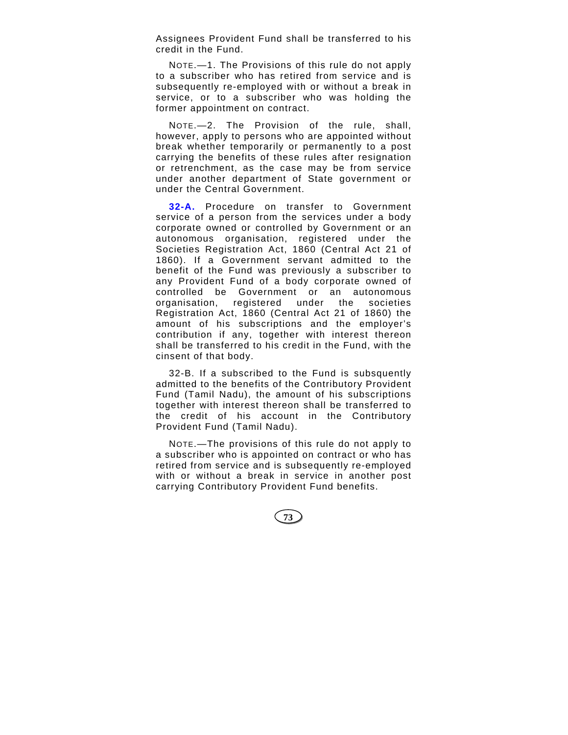Assignees Provident Fund shall be transferred to his credit in the Fund.

NOTE.—1. The Provisions of this rule do not apply to a subscriber who has retired from service and is subsequently re-employed with or without a break in service, or to a subscriber who was holding the former appointment on contract.

NOTE.—2. The Provision of the rule, shall, however, apply to persons who are appointed without break whether temporarily or permanently to a post carrying the benefits of these rules after resignation or retrenchment, as the case may be from service under another department of State government or under the Central Government.

**32-A.** Procedure on transfer to Government service of a person from the services under a body corporate owned or controlled by Government or an autonomous organisation, registered under the Societies Registration Act, 1860 (Central Act 21 of 1860). If a Government servant admitted to the benefit of the Fund was previously a subscriber to any Provident Fund of a body corporate owned of controlled be Government or an autonomous organisation, registered under the societies Registration Act, 1860 (Central Act 21 of 1860) the amount of his subscriptions and the employer's contribution if any, together with interest thereon shall be transferred to his credit in the Fund, with the cinsent of that body.

32-B. If a subscribed to the Fund is subsquently admitted to the benefits of the Contributory Provident Fund (Tamil Nadu), the amount of his subscriptions together with interest thereon shall be transferred to the credit of his account in the Contributory Provident Fund (Tamil Nadu).

NOTE.—The provisions of this rule do not apply to a subscriber who is appointed on contract or who has retired from service and is subsequently re-employed with or without a break in service in another post carrying Contributory Provident Fund benefits.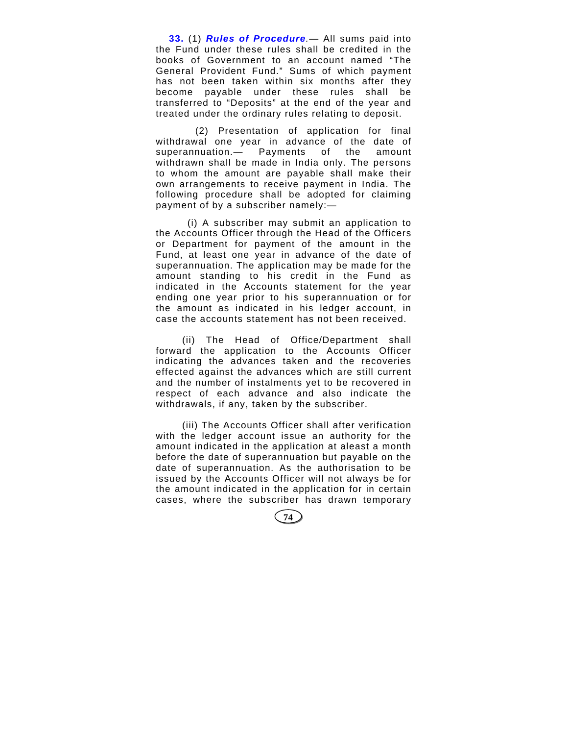**33.** (1) *Rules of Procedure.*— All sums paid into the Fund under these rules shall be credited in the books of Government to an account named "The General Provident Fund." Sums of which payment has not been taken within six months after they become payable under these rules shall be transferred to "Deposits" at the end of the year and treated under the ordinary rules relating to deposit.

(2) Presentation of application for final withdrawal one year in advance of the date of superannuation.— Payments of the amount withdrawn shall be made in India only. The persons to whom the amount are payable shall make their own arrangements to receive payment in India. The following procedure shall be adopted for claiming payment of by a subscriber namely:—

 (i) A subscriber may submit an application to the Accounts Officer through the Head of the Officers or Department for payment of the amount in the Fund, at least one year in advance of the date of superannuation. The application may be made for the amount standing to his credit in the Fund as indicated in the Accounts statement for the year ending one year prior to his superannuation or for the amount as indicated in his ledger account, in case the accounts statement has not been received.

(ii) The Head of Office/Department shall forward the application to the Accounts Officer indicating the advances taken and the recoveries effected against the advances which are still current and the number of instalments yet to be recovered in respect of each advance and also indicate the withdrawals, if any, taken by the subscriber.

(iii) The Accounts Officer shall after verification with the ledger account issue an authority for the amount indicated in the application at aleast a month before the date of superannuation but payable on the date of superannuation. As the authorisation to be issued by the Accounts Officer will not always be for the amount indicated in the application for in certain cases, where the subscriber has drawn temporary

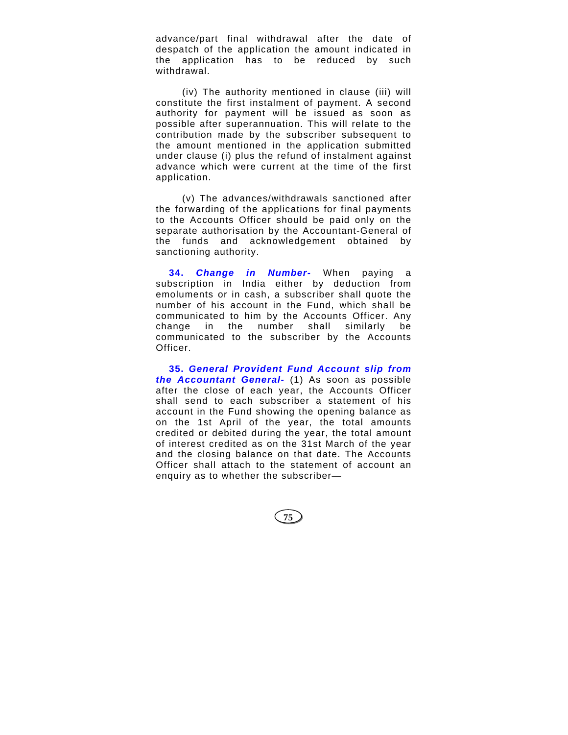advance/part final withdrawal after the date of despatch of the application the amount indicated in the application has to be reduced by such withdrawal.

(iv) The authority mentioned in clause (iii) will constitute the first instalment of payment. A second authority for payment will be issued as soon as possible after superannuation. This will relate to the contribution made by the subscriber subsequent to the amount mentioned in the application submitted under clause (i) plus the refund of instalment against advance which were current at the time of the first application.

(v) The advances/withdrawals sanctioned after the forwarding of the applications for final payments to the Accounts Officer should be paid only on the separate authorisation by the Accountant-General of the funds and acknowledgement obtained by sanctioning authority.

**34.** *Change in Number-* When paying a subscription in India either by deduction from emoluments or in cash, a subscriber shall quote the number of his account in the Fund, which shall be communicated to him by the Accounts Officer. Any change in the number shall similarly be communicated to the subscriber by the Accounts Officer.

**35.** *General Provident Fund Account slip from the Accountant General***-** (1) As soon as possible after the close of each year, the Accounts Officer shall send to each subscriber a statement of his account in the Fund showing the opening balance as on the 1st April of the year, the total amounts credited or debited during the year, the total amount of interest credited as on the 31st March of the year and the closing balance on that date. The Accounts Officer shall attach to the statement of account an enquiry as to whether the subscriber—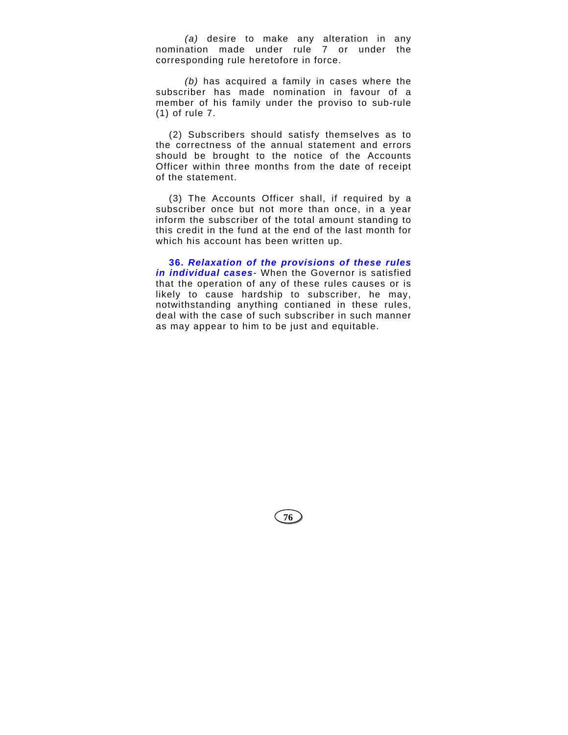*(a)* desire to make any alteration in any nomination made under rule 7 or under the corresponding rule heretofore in force.

*(b)* has acquired a family in cases where the subscriber has made nomination in favour of a member of his family under the proviso to sub-rule (1) of rule 7.

(2) Subscribers should satisfy themselves as to the correctness of the annual statement and errors should be brought to the notice of the Accounts Officer within three months from the date of receipt of the statement.

(3) The Accounts Officer shall, if required by a subscriber once but not more than once, in a year inform the subscriber of the total amount standing to this credit in the fund at the end of the last month for which his account has been written up.

**36.** *Relaxation of the provisions of these rules in individual cases-* When the Governor is satisfied that the operation of any of these rules causes or is likely to cause hardship to subscriber, he may, notwithstanding anything contianed in these rules, deal with the case of such subscriber in such manner as may appear to him to be just and equitable.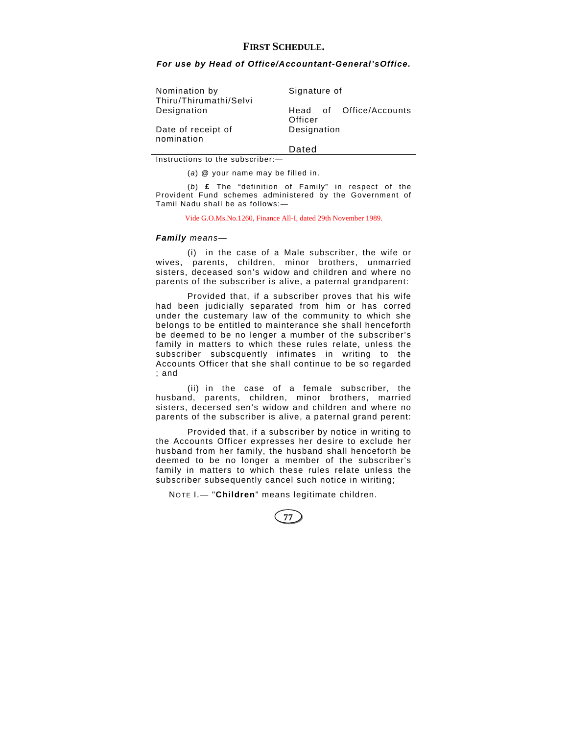## **FIRST SCHEDULE.**

#### *For use by Head of Office/Accountant-General'sOffice.*

| Nomination by                         | Signature of                       |  |  |
|---------------------------------------|------------------------------------|--|--|
| Thiru/Thirumathi/Selvi<br>Designation | Head of Office/Accounts<br>Officer |  |  |
| Date of receipt of<br>nomination      | Designation                        |  |  |
|                                       | Dated                              |  |  |

Instructions to the subscriber:—

(*a*) **@** your name may be filled in.

(*b*) **£** The "definition of Family" in respect of the Provident Fund schemes administered by the Government of Tamil Nadu shall be as follows:—

Vide G.O.Ms.No.1260, Finance All-I, dated 29th November 1989.

#### *Family means—*

(i) in the case of a Male subscriber, the wife or wives, parents, children, minor brothers, unmarried sisters, deceased son's widow and children and where no parents of the subscriber is alive, a paternal grandparent:

Provided that, if a subscriber proves that his wife had been judicially separated from him or has corred under the custemary law of the community to which she belongs to be entitled to mainterance she shall henceforth be deemed to be no lenger a mumber of the subscriber's family in matters to which these rules relate, unless the subscriber subscquently infimates in writing to the Accounts Officer that she shall continue to be so regarded ; and

(ii) in the case of a female subscriber, the husband, parents, children, minor brothers, married sisters, decersed sen's widow and children and where no parents of the subscriber is alive, a paternal grand perent:

Provided that, if a subscriber by notice in writing to the Accounts Officer expresses her desire to exclude her husband from her family, the husband shall henceforth be deemed to be no longer a member of the subscriber's family in matters to which these rules relate unless the subscriber subsequently cancel such notice in wiriting;

NOTE I.— "**Children**" means legitimate children.

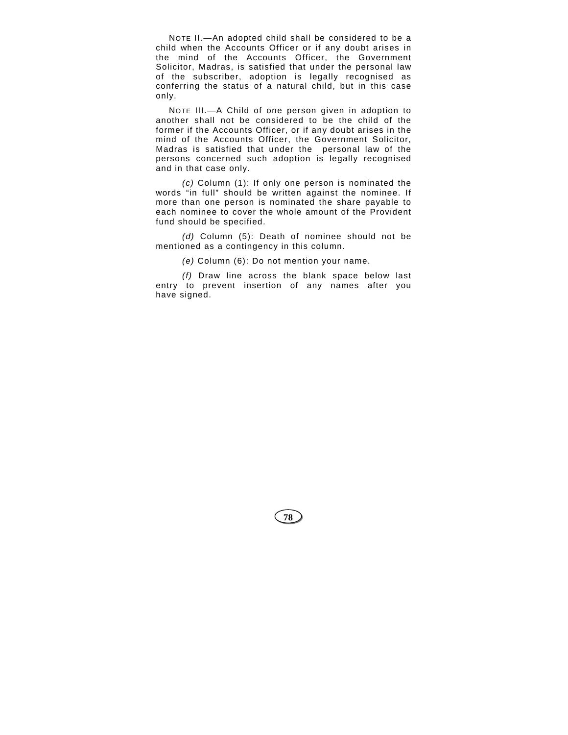NOTE II.—An adopted child shall be considered to be a child when the Accounts Officer or if any doubt arises in the mind of the Accounts Officer, the Government Solicitor, Madras, is satisfied that under the personal law of the subscriber, adoption is legally recognised as conferring the status of a natural child, but in this case only.

NOTE III.—A Child of one person given in adoption to another shall not be considered to be the child of the former if the Accounts Officer, or if any doubt arises in the mind of the Accounts Officer, the Government Solicitor, Madras is satisfied that under the personal law of the persons concerned such adoption is legally recognised and in that case only.

*(c)* Column (1): If only one person is nominated the words "in full" should be written against the nominee. If more than one person is nominated the share payable to each nominee to cover the whole amount of the Provident fund should be specified.

*(d)* Column (5): Death of nominee should not be mentioned as a contingency in this column.

*(e)* Column (6): Do not mention your name.

*(f)* Draw line across the blank space below last entry to prevent insertion of any names after you have signed.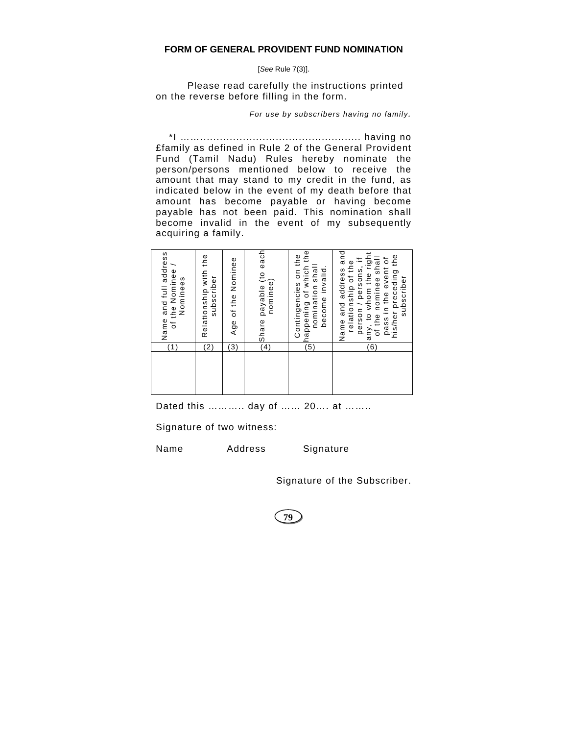## **FORM OF GENERAL PROVIDENT FUND NOMINATION**

[*See* Rule 7(3)].

 Please read carefully the instructions printed on the reverse before filling in the form.

*For use by subscribers having no family.*

\*I ……................................................. having no £family as defined in Rule 2 of the General Provident Fund (Tamil Nadu) Rules hereby nominate the person/persons mentioned below to receive the amount that may stand to my credit in the fund, as indicated below in the event of my death before that amount has become payable or having become payable has not been paid. This nomination shall become invalid in the event of my subsequently acquiring a family.

| (1)              | Name and full address<br>of the Nominee /<br>Nominees                                                                                                                                |
|------------------|--------------------------------------------------------------------------------------------------------------------------------------------------------------------------------------|
| (2)              | Relationship with the<br>subscriber                                                                                                                                                  |
| $\mathsf{3}$     | Age of the Nominee                                                                                                                                                                   |
| (4)              | Share payable (to each<br>  nominee)                                                                                                                                                 |
| $\overline{(5)}$ | happening of which the<br>Contingencies on the<br>nomination shall<br>become invalid.                                                                                                |
| (6)              | Name and address and<br>any, to whom the right<br>pass in the event of<br>his/her preceding the<br>of the nominee shall<br>person / persons, if<br>relationship of the<br>subscriber |

Dated this ……….. day of …… 20…. at ……..

Signature of two witness:

Name Address Signature

Signature of the Subscriber.

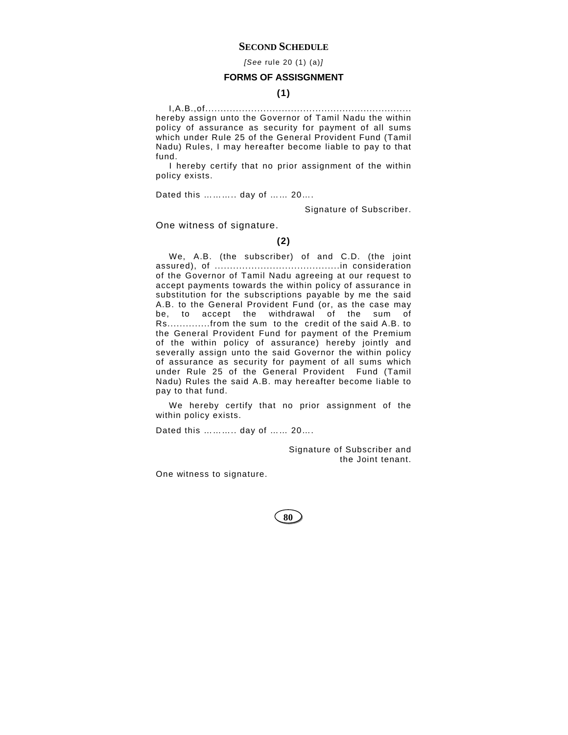### **SECOND SCHEDULE**

*[See* rule 20 (1) (a)*]*

### **FORMS OF ASSISGNMENT**

## **(1)**

I,A.B.,of.................................................................... hereby assign unto the Governor of Tamil Nadu the within policy of assurance as security for payment of all sums which under Rule 25 of the General Provident Fund (Tamil Nadu) Rules, I may hereafter become liable to pay to that fund.

I hereby certify that no prior assignment of the within policy exists.

Dated this ……….. day of …… 20….

Signature of Subscriber.

One witness of signature.

### **(2)**

We, A.B. (the subscriber) of and C.D. (the joint assured), of .........................................in consideration of the Governor of Tamil Nadu agreeing at our request to accept payments towards the within policy of assurance in substitution for the subscriptions payable by me the said A.B. to the General Provident Fund (or, as the case may be, to accept the withdrawal of the sum of Rs..............from the sum to the credit of the said A.B. to the General Provident Fund for payment of the Premium of the within policy of assurance) hereby jointly and severally assign unto the said Governor the within policy of assurance as security for payment of all sums which under Rule 25 of the General Provident Fund (Tamil Nadu) Rules the said A.B. may hereafter become liable to pay to that fund.

We hereby certify that no prior assignment of the within policy exists.

Dated this ……….. day of …… 20….

Signature of Subscriber and the Joint tenant.

One witness to signature.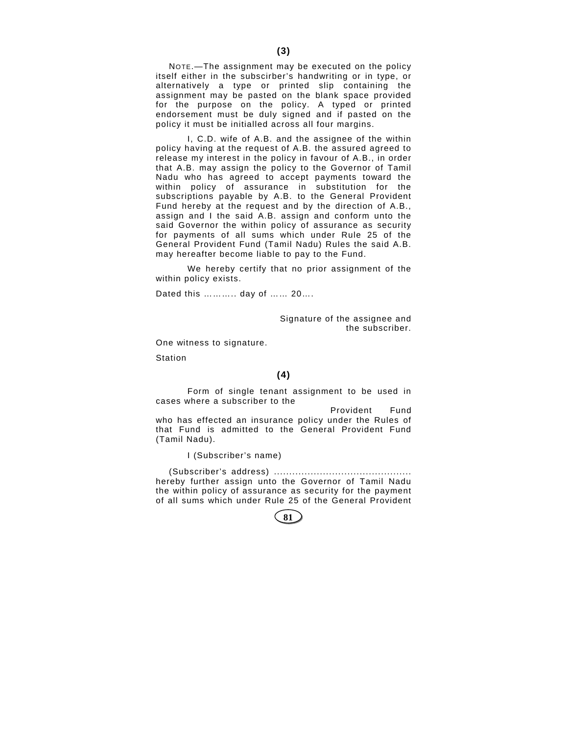NOTE.—The assignment may be executed on the policy itself either in the subscirber's handwriting or in type, or alternatively a type or printed slip containing the assignment may be pasted on the blank space provided for the purpose on the policy. A typed or printed endorsement must be duly signed and if pasted on the policy it must be initialled across all four margins.

 I, C.D. wife of A.B. and the assignee of the within policy having at the request of A.B. the assured agreed to release my interest in the policy in favour of A.B., in order that A.B. may assign the policy to the Governor of Tamil Nadu who has agreed to accept payments toward the within policy of assurance in substitution for the subscriptions payable by A.B. to the General Provident Fund hereby at the request and by the direction of A.B., assign and I the said A.B. assign and conform unto the said Governor the within policy of assurance as security for payments of all sums which under Rule 25 of the General Provident Fund (Tamil Nadu) Rules the said A.B. may hereafter become liable to pay to the Fund.

 We hereby certify that no prior assignment of the within policy exists.

Dated this ……….. day of …… 20….

Signature of the assignee and the subscriber.

One witness to signature.

Station

### **(4)**

 Form of single tenant assignment to be used in cases where a subscriber to the

 Provident Fund who has effected an insurance policy under the Rules of that Fund is admitted to the General Provident Fund (Tamil Nadu).

I (Subscriber's name)

(Subscriber's address) ............................................. hereby further assign unto the Governor of Tamil Nadu the within policy of assurance as security for the payment of all sums which under Rule 25 of the General Provident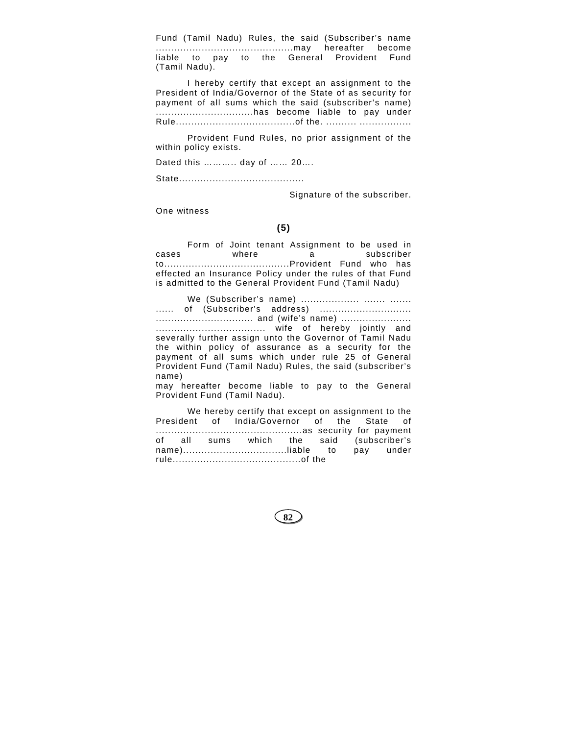Fund (Tamil Nadu) Rules, the said (Subscriber's name .............................................may hereafter become liable to pay to the General Provident Fund (Tamil Nadu).

 I hereby certify that except an assignment to the President of India/Governor of the State of as security for payment of all sums which the said (subscriber's name) ................................has become liable to pay under Rule.......................................of the. .......... .................

 Provident Fund Rules, no prior assignment of the within policy exists.

Dated this ……….. day of …… 20….

State.........................................

Signature of the subscriber.

One witness

## **(5)**

 Form of Joint tenant Assignment to be used in cases where a subscriber to.........................................Provident Fund who has effected an Insurance Policy under the rules of that Fund is admitted to the General Provident Fund (Tamil Nadu)

 We (Subscriber's name) ................... ....... ....... ...... of (Subscriber's address) .............................. ................................ and (wife's name) ....................... .................................... wife of hereby jointly and severally further assign unto the Governor of Tamil Nadu the within policy of assurance as a security for the payment of all sums which under rule 25 of General Provident Fund (Tamil Nadu) Rules, the said (subscriber's name) may hereafter become liable to pay to the General

Provident Fund (Tamil Nadu).

 We hereby certify that except on assignment to the President of India/Governor of the State of ................................................as security for payment of all sums which the said (subscriber's name)..................................liable to pay under rule..........................................of the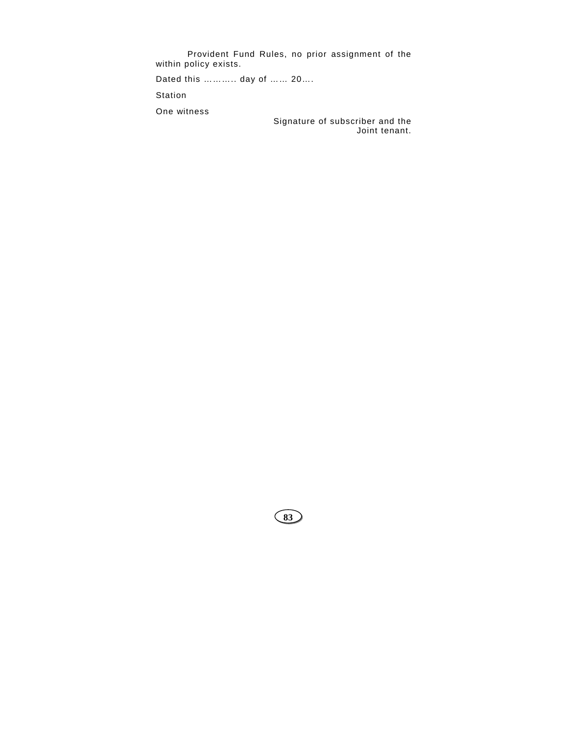Provident Fund Rules, no prior assignment of the within policy exists.

Dated this ……….. day of …… 20….

Station

One witness

Signature of subscriber and the Joint tenant.

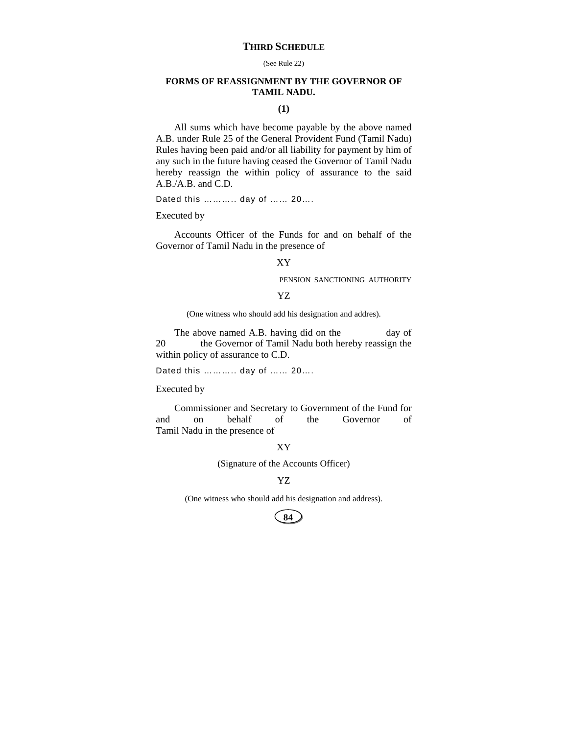# **THIRD SCHEDULE**

#### (See Rule 22)

# **FORMS OF REASSIGNMENT BY THE GOVERNOR OF TAMIL NADU.**

# **(1)**

All sums which have become payable by the above named A.B. under Rule 25 of the General Provident Fund (Tamil Nadu) Rules having been paid and/or all liability for payment by him of any such in the future having ceased the Governor of Tamil Nadu hereby reassign the within policy of assurance to the said A.B./A.B. and C.D.

Dated this ……….. day of …… 20….

Executed by

Accounts Officer of the Funds for and on behalf of the Governor of Tamil Nadu in the presence of

# XY

PENSION SANCTIONING AUTHORITY

## YZ

(One witness who should add his designation and addres).

The above named A.B. having did on the day of 20 the Governor of Tamil Nadu both hereby reassign the within policy of assurance to C.D.

Dated this ……….. day of …… 20….

#### Executed by

Commissioner and Secretary to Government of the Fund for and on behalf of the Governor of Tamil Nadu in the presence of

## XY

(Signature of the Accounts Officer)

### YZ

(One witness who should add his designation and address).

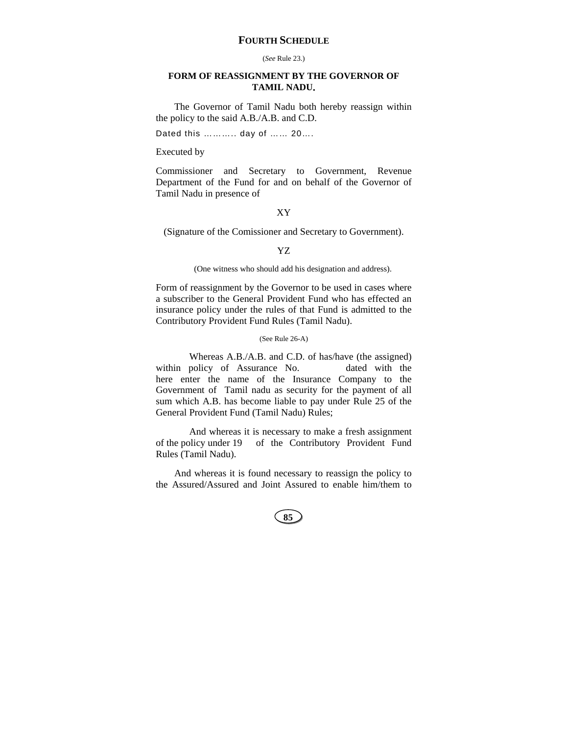# **FOURTH SCHEDULE**

#### (*See* Rule 23.)

# **FORM OF REASSIGNMENT BY THE GOVERNOR OF TAMIL NADU.**

The Governor of Tamil Nadu both hereby reassign within the policy to the said A.B./A.B. and C.D.

Dated this ……….. day of …… 20….

### Executed by

Commissioner and Secretary to Government, Revenue Department of the Fund for and on behalf of the Governor of Tamil Nadu in presence of

## XY

(Signature of the Comissioner and Secretary to Government).

# YZ

(One witness who should add his designation and address).

Form of reassignment by the Governor to be used in cases where a subscriber to the General Provident Fund who has effected an insurance policy under the rules of that Fund is admitted to the Contributory Provident Fund Rules (Tamil Nadu).

### (See Rule 26-A)

Whereas A.B./A.B. and C.D. of has/have (the assigned) within policy of Assurance No. dated with the here enter the name of the Insurance Company to the Government of Tamil nadu as security for the payment of all sum which A.B. has become liable to pay under Rule 25 of the General Provident Fund (Tamil Nadu) Rules;

And whereas it is necessary to make a fresh assignment of the policy under 19 of the Contributory Provident Fund Rules (Tamil Nadu).

And whereas it is found necessary to reassign the policy to the Assured/Assured and Joint Assured to enable him/them to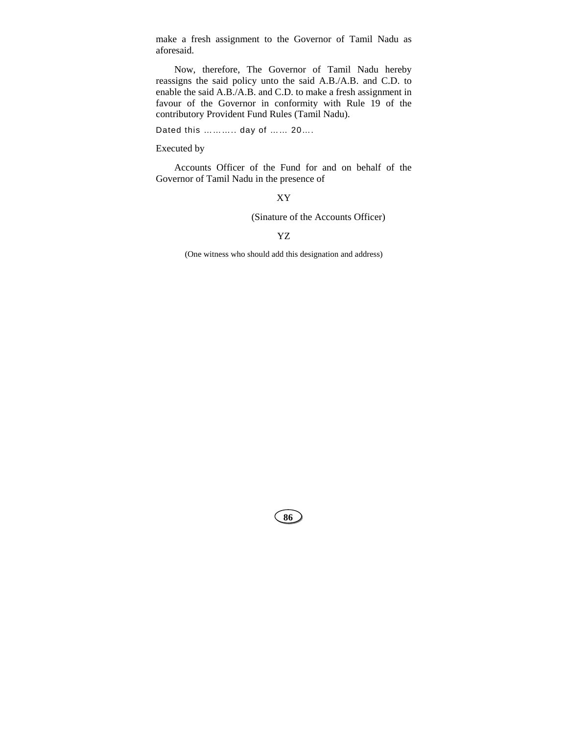make a fresh assignment to the Governor of Tamil Nadu as aforesaid.

Now, therefore, The Governor of Tamil Nadu hereby reassigns the said policy unto the said A.B./A.B. and C.D. to enable the said A.B./A.B. and C.D. to make a fresh assignment in favour of the Governor in conformity with Rule 19 of the contributory Provident Fund Rules (Tamil Nadu).

Dated this ……….. day of …… 20….

## Executed by

Accounts Officer of the Fund for and on behalf of the Governor of Tamil Nadu in the presence of

XY

(Sinature of the Accounts Officer)

YZ

(One witness who should add this designation and address)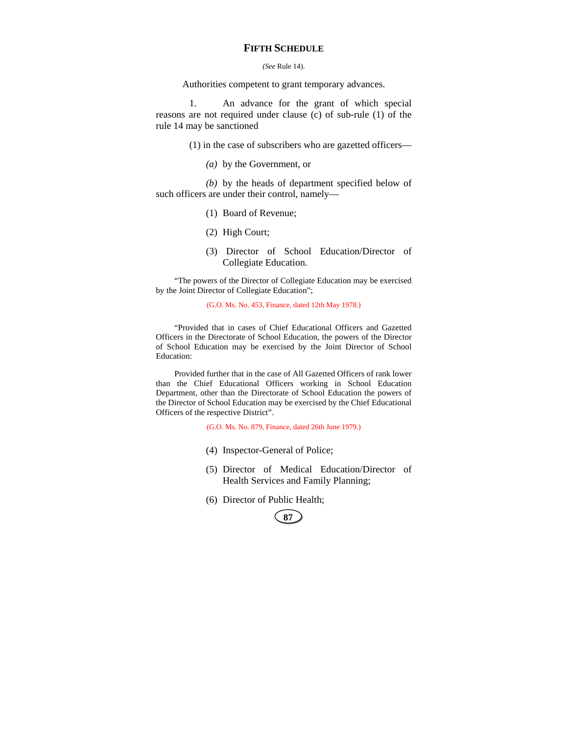# **FIFTH SCHEDULE**

### *(See* Rule 14).

Authorities competent to grant temporary advances.

1. An advance for the grant of which special reasons are not required under clause (c) of sub-rule (1) of the rule 14 may be sanctioned

(1) in the case of subscribers who are gazetted officers—

*(a)* by the Government, or

*(b)* by the heads of department specified below of such officers are under their control, namely—

- (1) Board of Revenue;
- (2) High Court;
- (3) Director of School Education/Director of Collegiate Education.

"The powers of the Director of Collegiate Education may be exercised by the Joint Director of Collegiate Education";

(G.O. Ms. No. 453, Finance, dated 12th May 1978.)

"Provided that in cases of Chief Educational Officers and Gazetted Officers in the Directorate of School Education, the powers of the Director of School Education may be exercised by the Joint Director of School Education:

Provided further that in the case of All Gazetted Officers of rank lower than the Chief Educational Officers working in School Education Department, other than the Directorate of School Education the powers of the Director of School Education may be exercised by the Chief Educational Officers of the respective District".

(G.O. Ms. No. 879, Finance, dated 26th June 1979.)

- (4) Inspector-General of Police;
- (5) Director of Medical Education/Director of Health Services and Family Planning;
- (6) Director of Public Health;

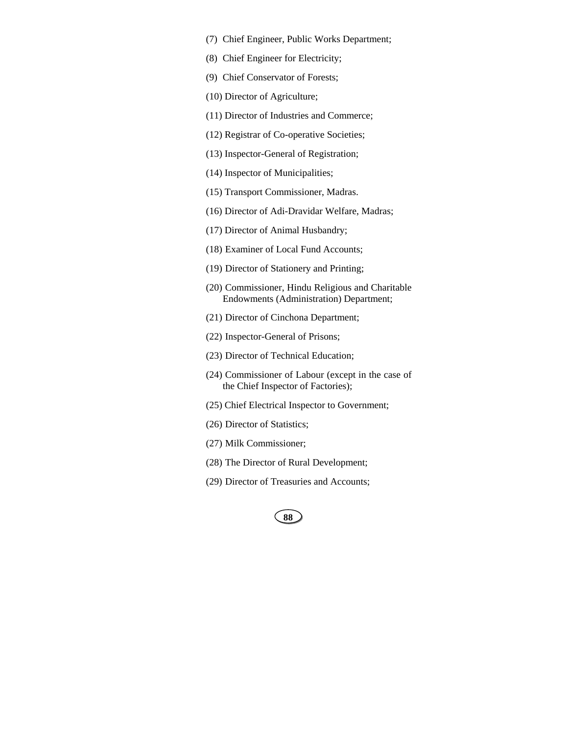- (7) Chief Engineer, Public Works Department;
- (8) Chief Engineer for Electricity;
- (9) Chief Conservator of Forests;
- (10) Director of Agriculture;
- (11) Director of Industries and Commerce;
- (12) Registrar of Co-operative Societies;
- (13) Inspector-General of Registration;
- (14) Inspector of Municipalities;
- (15) Transport Commissioner, Madras.
- (16) Director of Adi-Dravidar Welfare, Madras;
- (17) Director of Animal Husbandry;
- (18) Examiner of Local Fund Accounts;
- (19) Director of Stationery and Printing;
- (20) Commissioner, Hindu Religious and Charitable Endowments (Administration) Department;
- (21) Director of Cinchona Department;
- (22) Inspector-General of Prisons;
- (23) Director of Technical Education;
- (24) Commissioner of Labour (except in the case of the Chief Inspector of Factories);
- (25) Chief Electrical Inspector to Government;
- (26) Director of Statistics;
- (27) Milk Commissioner;
- (28) The Director of Rural Development;
- (29) Director of Treasuries and Accounts;

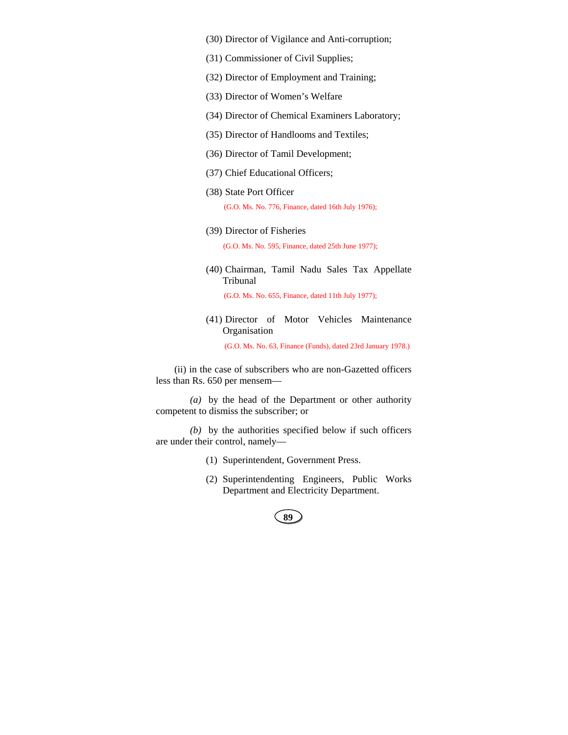- (30) Director of Vigilance and Anti-corruption;
- (31) Commissioner of Civil Supplies;
- (32) Director of Employment and Training;
- (33) Director of Women's Welfare
- (34) Director of Chemical Examiners Laboratory;
- (35) Director of Handlooms and Textiles;
- (36) Director of Tamil Development;
- (37) Chief Educational Officers;
- (38) State Port Officer

(G.O. Ms. No. 776, Finance, dated 16th July 1976);

(39) Director of Fisheries

(G.O. Ms. No. 595, Finance, dated 25th June 1977);

(40) Chairman, Tamil Nadu Sales Tax Appellate Tribunal

(G.O. Ms. No. 655, Finance, dated 11th July 1977);

(41) Director of Motor Vehicles Maintenance Organisation

(G.O. Ms. No. 63, Finance (Funds), dated 23rd January 1978.)

(ii) in the case of subscribers who are non-Gazetted officers less than Rs. 650 per mensem—

*(a)* by the head of the Department or other authority competent to dismiss the subscriber; or

*(b)* by the authorities specified below if such officers are under their control, namely—

- (1) Superintendent, Government Press.
- (2) Superintendenting Engineers, Public Works Department and Electricity Department.

| I<br>×<br>۰.<br>۰. |  |
|--------------------|--|
|                    |  |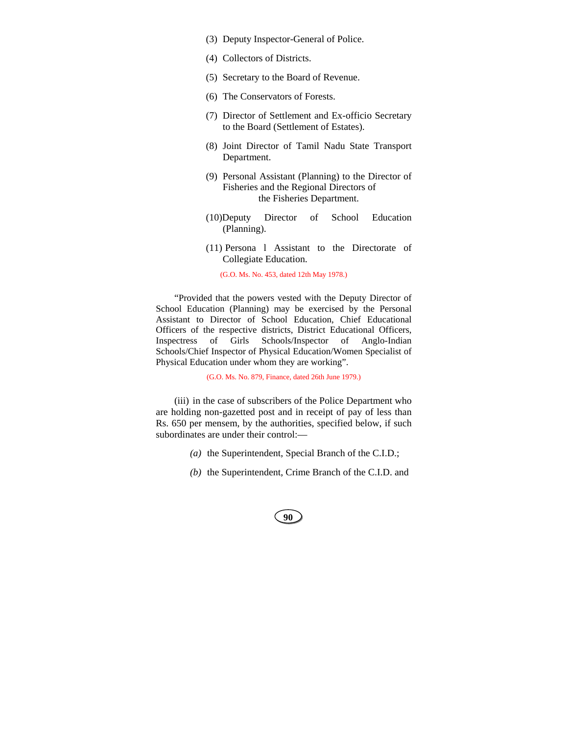- (3) Deputy Inspector-General of Police.
- (4) Collectors of Districts.
- (5) Secretary to the Board of Revenue.
- (6) The Conservators of Forests.
- (7) Director of Settlement and Ex-officio Secretary to the Board (Settlement of Estates).
- (8) Joint Director of Tamil Nadu State Transport Department.
- (9) Personal Assistant (Planning) to the Director of Fisheries and the Regional Directors of the Fisheries Department.
- (10)Deputy Director of School Education (Planning).
- (11) Persona l Assistant to the Directorate of Collegiate Education.

(G.O. Ms. No. 453, dated 12th May 1978.)

"Provided that the powers vested with the Deputy Director of School Education (Planning) may be exercised by the Personal Assistant to Director of School Education, Chief Educational Officers of the respective districts, District Educational Officers, Inspectress of Girls Schools/Inspector of Anglo-Indian Schools/Chief Inspector of Physical Education/Women Specialist of Physical Education under whom they are working".

(G.O. Ms. No. 879, Finance, dated 26th June 1979.)

(iii) in the case of subscribers of the Police Department who are holding non-gazetted post and in receipt of pay of less than Rs. 650 per mensem, by the authorities, specified below, if such subordinates are under their control:—

- *(a)* the Superintendent, Special Branch of the C.I.D.;
- *(b)* the Superintendent, Crime Branch of the C.I.D. and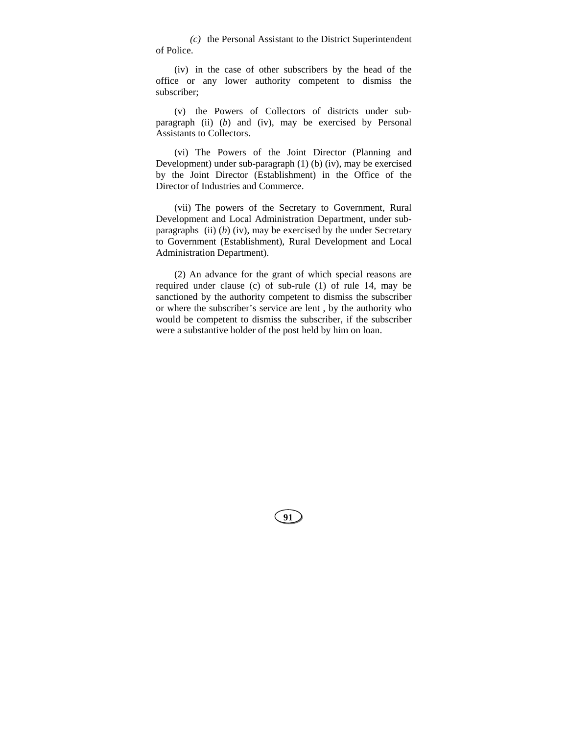*(c)* the Personal Assistant to the District Superintendent of Police.

(iv) in the case of other subscribers by the head of the office or any lower authority competent to dismiss the subscriber;

(v) the Powers of Collectors of districts under subparagraph (ii) (*b*) and (iv), may be exercised by Personal Assistants to Collectors.

(vi) The Powers of the Joint Director (Planning and Development) under sub-paragraph (1) (b) (iv), may be exercised by the Joint Director (Establishment) in the Office of the Director of Industries and Commerce.

(vii) The powers of the Secretary to Government, Rural Development and Local Administration Department, under subparagraphs (ii)  $(b)$  (iv), may be exercised by the under Secretary to Government (Establishment), Rural Development and Local Administration Department).

(2) An advance for the grant of which special reasons are required under clause (c) of sub-rule (1) of rule 14, may be sanctioned by the authority competent to dismiss the subscriber or where the subscriber's service are lent , by the authority who would be competent to dismiss the subscriber, if the subscriber were a substantive holder of the post held by him on loan.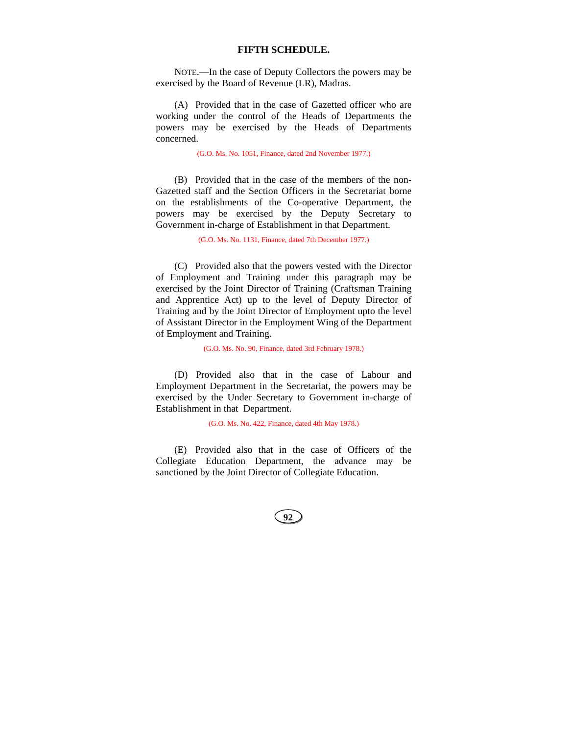### **FIFTH SCHEDULE.**

NOTE.—In the case of Deputy Collectors the powers may be exercised by the Board of Revenue (LR), Madras.

(A) Provided that in the case of Gazetted officer who are working under the control of the Heads of Departments the powers may be exercised by the Heads of Departments concerned.

(G.O. Ms. No. 1051, Finance, dated 2nd November 1977.)

(B) Provided that in the case of the members of the non-Gazetted staff and the Section Officers in the Secretariat borne on the establishments of the Co-operative Department, the powers may be exercised by the Deputy Secretary to Government in-charge of Establishment in that Department.

(G.O. Ms. No. 1131, Finance, dated 7th December 1977.)

(C) Provided also that the powers vested with the Director of Employment and Training under this paragraph may be exercised by the Joint Director of Training (Craftsman Training and Apprentice Act) up to the level of Deputy Director of Training and by the Joint Director of Employment upto the level of Assistant Director in the Employment Wing of the Department of Employment and Training.

(G.O. Ms. No. 90, Finance, dated 3rd February 1978.)

(D) Provided also that in the case of Labour and Employment Department in the Secretariat, the powers may be exercised by the Under Secretary to Government in-charge of Establishment in that Department.

(G.O. Ms. No. 422, Finance, dated 4th May 1978.)

(E) Provided also that in the case of Officers of the Collegiate Education Department, the advance may be sanctioned by the Joint Director of Collegiate Education.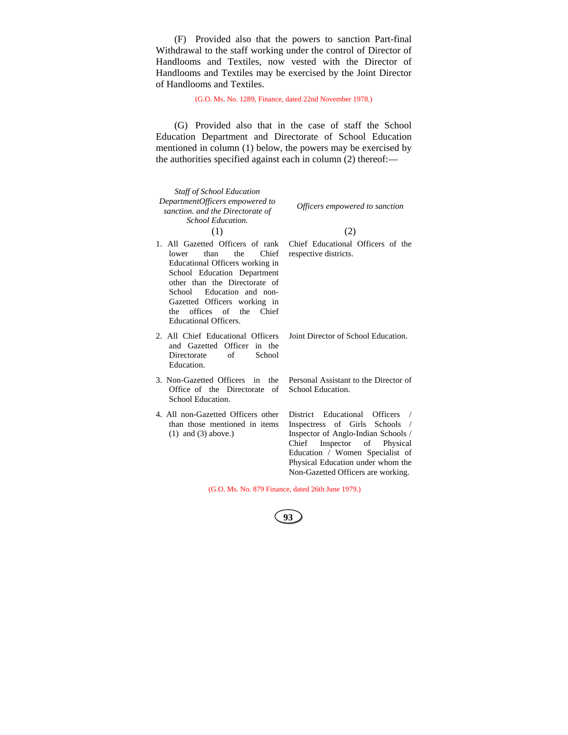(F) Provided also that the powers to sanction Part-final Withdrawal to the staff working under the control of Director of Handlooms and Textiles, now vested with the Director of Handlooms and Textiles may be exercised by the Joint Director of Handlooms and Textiles.

(G.O. Ms. No. 1289, Finance, dated 22nd November 1978.)

(G) Provided also that in the case of staff the School Education Department and Directorate of School Education mentioned in column (1) below, the powers may be exercised by the authorities specified against each in column (2) thereof:—

| <b>Staff of School Education</b><br>DepartmentOfficers empowered to<br>sanction. and the Directorate of<br>School Education.<br>(1)                                                                                                                                                              | Officers empowered to sanction<br>(2)                                                                                                                                                                                                                          |
|--------------------------------------------------------------------------------------------------------------------------------------------------------------------------------------------------------------------------------------------------------------------------------------------------|----------------------------------------------------------------------------------------------------------------------------------------------------------------------------------------------------------------------------------------------------------------|
| 1. All Gazetted Officers of rank<br>the<br>Chief<br>than<br>lower<br>Educational Officers working in<br>School Education Department<br>other than the Directorate of<br>School Education and non-<br>Gazetted Officers working in<br>the offices of the<br>Chief<br><b>Educational Officers.</b> | Chief Educational Officers of the<br>respective districts.                                                                                                                                                                                                     |
| 2. All Chief Educational Officers<br>and Gazetted Officer in the<br>of<br>Directorate<br>School<br>Education.                                                                                                                                                                                    | Joint Director of School Education.                                                                                                                                                                                                                            |
| 3. Non-Gazetted Officers in<br>the<br>Office of the Directorate<br>of<br>School Education.                                                                                                                                                                                                       | Personal Assistant to the Director of<br>School Education.                                                                                                                                                                                                     |
| 4. All non-Gazetted Officers other<br>than those mentioned in items<br>$(1)$ and $(3)$ above.)                                                                                                                                                                                                   | District Educational<br><b>Officers</b><br>Inspectress of Girls Schools<br>Inspector of Anglo-Indian Schools /<br>Inspector of Physical<br>Chief<br>Education / Women Specialist of<br>Physical Education under whom the<br>Non-Gazetted Officers are working. |

(G.O. Ms. No. 879 Finance, dated 26th June 1979.)

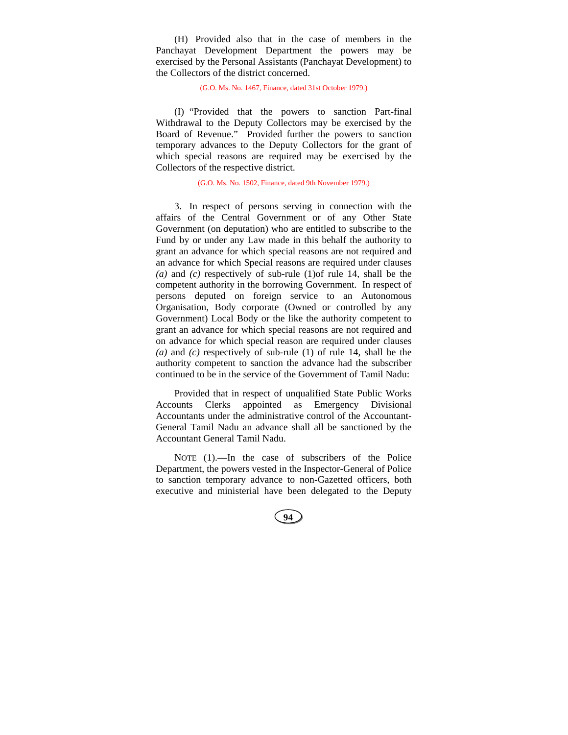(H) Provided also that in the case of members in the Panchayat Development Department the powers may be exercised by the Personal Assistants (Panchayat Development) to the Collectors of the district concerned.

(G.O. Ms. No. 1467, Finance, dated 31st October 1979.)

(I) "Provided that the powers to sanction Part-final Withdrawal to the Deputy Collectors may be exercised by the Board of Revenue." Provided further the powers to sanction temporary advances to the Deputy Collectors for the grant of which special reasons are required may be exercised by the Collectors of the respective district.

(G.O. Ms. No. 1502, Finance, dated 9th November 1979.)

3. In respect of persons serving in connection with the affairs of the Central Government or of any Other State Government (on deputation) who are entitled to subscribe to the Fund by or under any Law made in this behalf the authority to grant an advance for which special reasons are not required and an advance for which Special reasons are required under clauses *(a)* and *(c)* respectively of sub-rule (1)of rule 14, shall be the competent authority in the borrowing Government. In respect of persons deputed on foreign service to an Autonomous Organisation, Body corporate (Owned or controlled by any Government) Local Body or the like the authority competent to grant an advance for which special reasons are not required and on advance for which special reason are required under clauses *(a)* and *(c)* respectively of sub-rule (1) of rule 14, shall be the authority competent to sanction the advance had the subscriber continued to be in the service of the Government of Tamil Nadu:

Provided that in respect of unqualified State Public Works Accounts Clerks appointed as Emergency Divisional Accountants under the administrative control of the Accountant-General Tamil Nadu an advance shall all be sanctioned by the Accountant General Tamil Nadu.

NOTE (1).—In the case of subscribers of the Police Department, the powers vested in the Inspector-General of Police to sanction temporary advance to non-Gazetted officers, both executive and ministerial have been delegated to the Deputy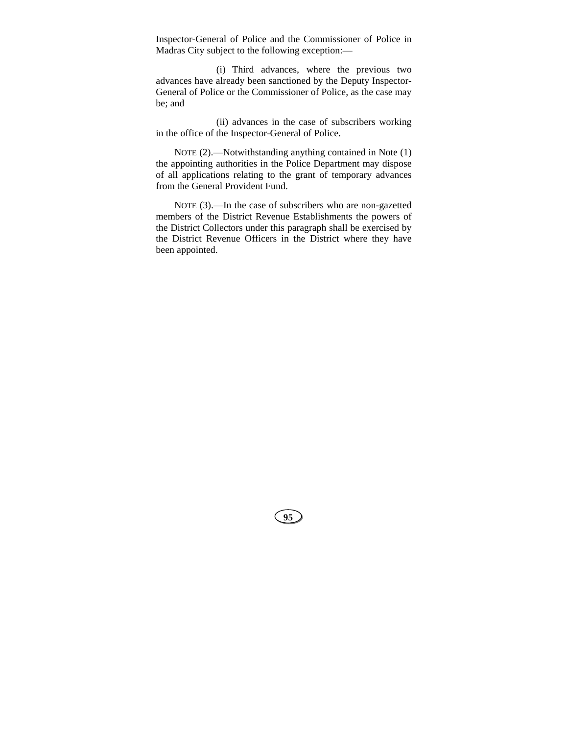Inspector-General of Police and the Commissioner of Police in Madras City subject to the following exception:—

(i) Third advances, where the previous two advances have already been sanctioned by the Deputy Inspector-General of Police or the Commissioner of Police, as the case may be; and

(ii) advances in the case of subscribers working in the office of the Inspector-General of Police.

NOTE (2).—Notwithstanding anything contained in Note (1) the appointing authorities in the Police Department may dispose of all applications relating to the grant of temporary advances from the General Provident Fund.

NOTE (3).—In the case of subscribers who are non-gazetted members of the District Revenue Establishments the powers of the District Collectors under this paragraph shall be exercised by the District Revenue Officers in the District where they have been appointed.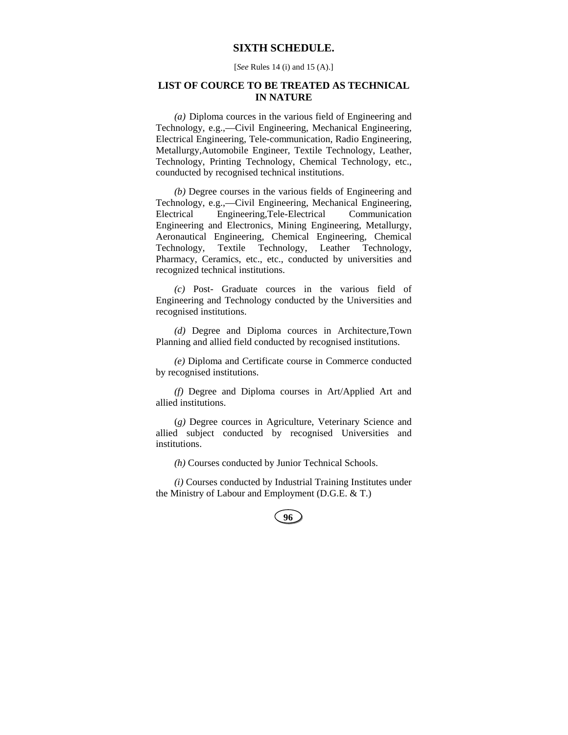# **SIXTH SCHEDULE.**

[*See* Rules 14 (i) and 15 (A).]

# **LIST OF COURCE TO BE TREATED AS TECHNICAL IN NATURE**

*(a)* Diploma cources in the various field of Engineering and Technology, e.g.,—Civil Engineering, Mechanical Engineering, Electrical Engineering, Tele-communication, Radio Engineering, Metallurgy,Automobile Engineer, Textile Technology, Leather, Technology, Printing Technology, Chemical Technology, etc., counducted by recognised technical institutions.

*(b)* Degree courses in the various fields of Engineering and Technology, e.g.,—Civil Engineering, Mechanical Engineering, Electrical Engineering,Tele-Electrical Communication Engineering and Electronics, Mining Engineering, Metallurgy, Aeronautical Engineering, Chemical Engineering, Chemical Technology, Textile Technology, Leather Technology, Pharmacy, Ceramics, etc., etc., conducted by universities and recognized technical institutions.

*(c)* Post- Graduate cources in the various field of Engineering and Technology conducted by the Universities and recognised institutions.

*(d)* Degree and Diploma cources in Architecture,Town Planning and allied field conducted by recognised institutions.

*(e)* Diploma and Certificate course in Commerce conducted by recognised institutions.

*(f)* Degree and Diploma courses in Art/Applied Art and allied institutions.

(*g)* Degree cources in Agriculture, Veterinary Science and allied subject conducted by recognised Universities and institutions.

*(h)* Courses conducted by Junior Technical Schools.

*(i)* Courses conducted by Industrial Training Institutes under the Ministry of Labour and Employment (D.G.E. & T.)

| ٥ | ۰,            |  |
|---|---------------|--|
|   |               |  |
|   | ۰.<br>v<br>۰. |  |
|   |               |  |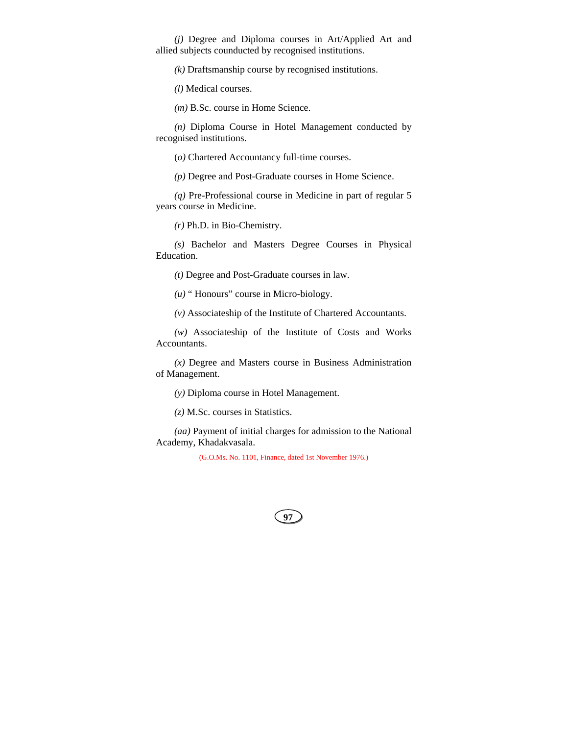*(j)* Degree and Diploma courses in Art/Applied Art and allied subjects counducted by recognised institutions.

*(k)* Draftsmanship course by recognised institutions.

*(l)* Medical courses.

*(m)* B.Sc. course in Home Science.

*(n)* Diploma Course in Hotel Management conducted by recognised institutions.

(*o)* Chartered Accountancy full-time courses.

*(p)* Degree and Post-Graduate courses in Home Science.

*(q)* Pre-Professional course in Medicine in part of regular 5 years course in Medicine.

*(r)* Ph.D. in Bio-Chemistry.

*(s)* Bachelor and Masters Degree Courses in Physical Education.

*(t)* Degree and Post-Graduate courses in law.

*(u)* " Honours" course in Micro-biology.

*(v)* Associateship of the Institute of Chartered Accountants.

*(w)* Associateship of the Institute of Costs and Works Accountants.

*(x)* Degree and Masters course in Business Administration of Management.

*(y)* Diploma course in Hotel Management.

*(z)* M.Sc. courses in Statistics.

*(aa)* Payment of initial charges for admission to the National Academy, Khadakvasala.

(G.O.Ms. No. 1101, Finance, dated 1st November 1976.)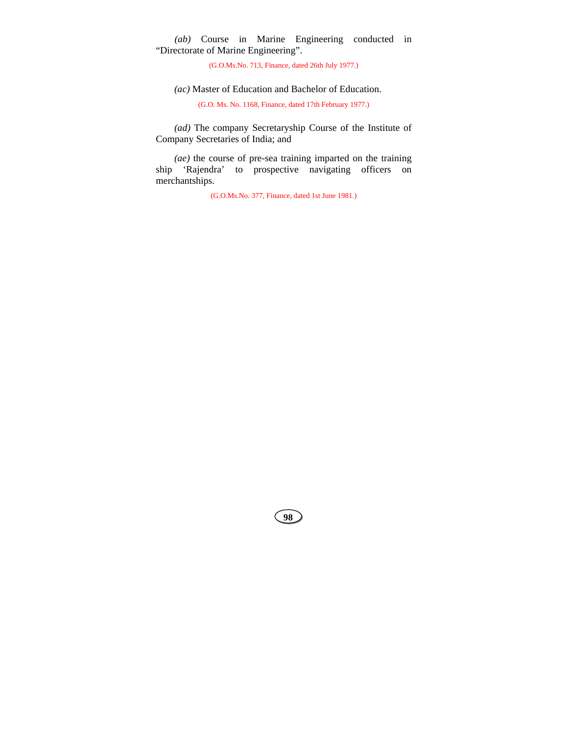*(ab)* Course in Marine Engineering conducted in "Directorate of Marine Engineering".

(G.O.Ms.No. 713, Finance, dated 26th July 1977.)

*(ac)* Master of Education and Bachelor of Education.

(G.O. Ms. No. 1168, Finance, dated 17th February 1977.)

*(ad)* The company Secretaryship Course of the Institute of Company Secretaries of India; and

*(ae)* the course of pre-sea training imparted on the training ship 'Rajendra' to prospective navigating officers on merchantships.

(G.O.Ms.No. 377, Finance, dated 1st June 1981.)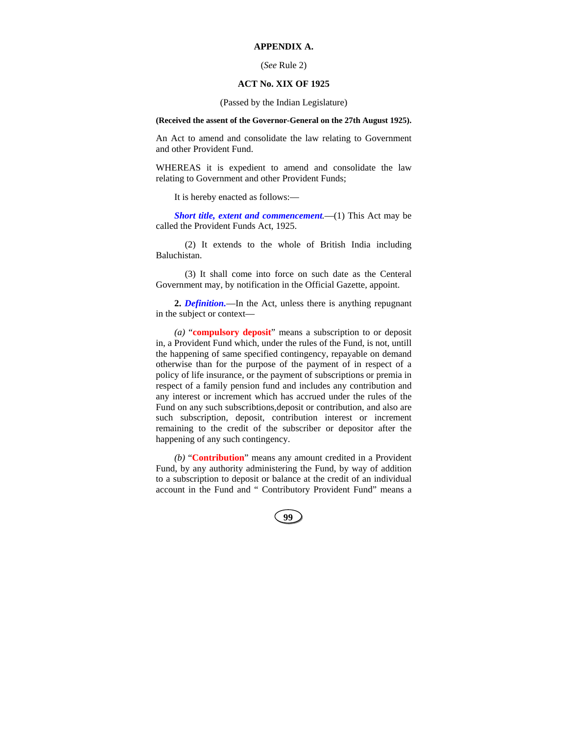## **APPENDIX A.**

### (*See* Rule 2)

## **ACT No. XIX OF 1925**

(Passed by the Indian Legislature)

### **(Received the assent of the Governor-General on the 27th August 1925).**

An Act to amend and consolidate the law relating to Government and other Provident Fund.

WHEREAS it is expedient to amend and consolidate the law relating to Government and other Provident Funds;

It is hereby enacted as follows:—

*Short title, extent and commencement.*—(1) This Act may be called the Provident Funds Act, 1925.

(2) It extends to the whole of British India including Baluchistan.

(3) It shall come into force on such date as the Centeral Government may, by notification in the Official Gazette, appoint.

**2.** *Definition.*—In the Act, unless there is anything repugnant in the subject or context—

*(a)* "**compulsory deposit**" means a subscription to or deposit in, a Provident Fund which, under the rules of the Fund, is not, untill the happening of same specified contingency, repayable on demand otherwise than for the purpose of the payment of in respect of a policy of life insurance, or the payment of subscriptions or premia in respect of a family pension fund and includes any contribution and any interest or increment which has accrued under the rules of the Fund on any such subscribtions,deposit or contribution, and also are such subscription, deposit, contribution interest or increment remaining to the credit of the subscriber or depositor after the happening of any such contingency.

*(b)* "**Contribution**" means any amount credited in a Provident Fund, by any authority administering the Fund, by way of addition to a subscription to deposit or balance at the credit of an individual account in the Fund and " Contributory Provident Fund" means a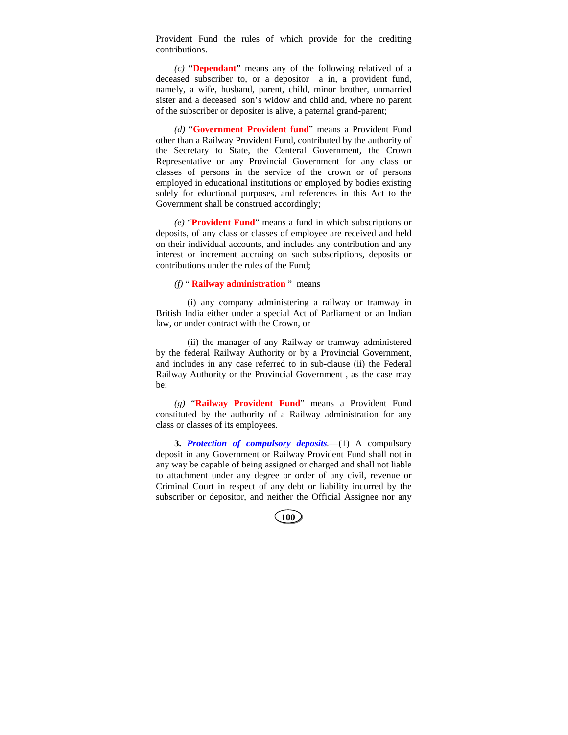Provident Fund the rules of which provide for the crediting contributions.

*(c)* "**Dependant**" means any of the following relatived of a deceased subscriber to, or a depositor a in, a provident fund, namely, a wife, husband, parent, child, minor brother, unmarried sister and a deceased son's widow and child and, where no parent of the subscriber or depositer is alive, a paternal grand-parent;

*(d)* "**Government Provident fund**" means a Provident Fund other than a Railway Provident Fund, contributed by the authority of the Secretary to State, the Centeral Government, the Crown Representative or any Provincial Government for any class or classes of persons in the service of the crown or of persons employed in educational institutions or employed by bodies existing solely for eductional purposes, and references in this Act to the Government shall be construed accordingly;

*(e)* "**Provident Fund**" means a fund in which subscriptions or deposits, of any class or classes of employee are received and held on their individual accounts, and includes any contribution and any interest or increment accruing on such subscriptions, deposits or contributions under the rules of the Fund;

#### *(f)* " **Railway administration** " means

(i) any company administering a railway or tramway in British India either under a special Act of Parliament or an Indian law, or under contract with the Crown, or

(ii) the manager of any Railway or tramway administered by the federal Railway Authority or by a Provincial Government, and includes in any case referred to in sub-clause (ii) the Federal Railway Authority or the Provincial Government , as the case may be;

*(g)* "**Railway Provident Fund**" means a Provident Fund constituted by the authority of a Railway administration for any class or classes of its employees.

**3.** *Protection of compulsory deposits.*—(1) A compulsory deposit in any Government or Railway Provident Fund shall not in any way be capable of being assigned or charged and shall not liable to attachment under any degree or order of any civil, revenue or Criminal Court in respect of any debt or liability incurred by the subscriber or depositor, and neither the Official Assignee nor any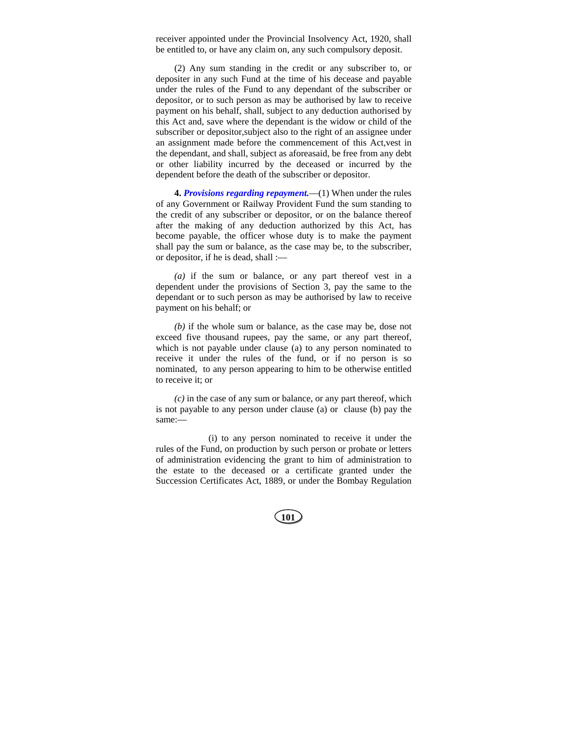receiver appointed under the Provincial Insolvency Act, 1920, shall be entitled to, or have any claim on, any such compulsory deposit.

(2) Any sum standing in the credit or any subscriber to, or depositer in any such Fund at the time of his decease and payable under the rules of the Fund to any dependant of the subscriber or depositor, or to such person as may be authorised by law to receive payment on his behalf, shall, subject to any deduction authorised by this Act and, save where the dependant is the widow or child of the subscriber or depositor,subject also to the right of an assignee under an assignment made before the commencement of this Act,vest in the dependant, and shall, subject as aforeasaid, be free from any debt or other liability incurred by the deceased or incurred by the dependent before the death of the subscriber or depositor.

**4.** *Provisions regarding repayment.*—(1) When under the rules of any Government or Railway Provident Fund the sum standing to the credit of any subscriber or depositor, or on the balance thereof after the making of any deduction authorized by this Act, has become payable, the officer whose duty is to make the payment shall pay the sum or balance, as the case may be, to the subscriber, or depositor, if he is dead, shall :—

*(a)* if the sum or balance, or any part thereof vest in a dependent under the provisions of Section 3, pay the same to the dependant or to such person as may be authorised by law to receive payment on his behalf; or

*(b)* if the whole sum or balance, as the case may be, dose not exceed five thousand rupees, pay the same, or any part thereof, which is not payable under clause (a) to any person nominated to receive it under the rules of the fund, or if no person is so nominated, to any person appearing to him to be otherwise entitled to receive it; or

*(c)* in the case of any sum or balance, or any part thereof, which is not payable to any person under clause (a) or clause (b) pay the same:—

(i) to any person nominated to receive it under the rules of the Fund, on production by such person or probate or letters of administration evidencing the grant to him of administration to the estate to the deceased or a certificate granted under the Succession Certificates Act, 1889, or under the Bombay Regulation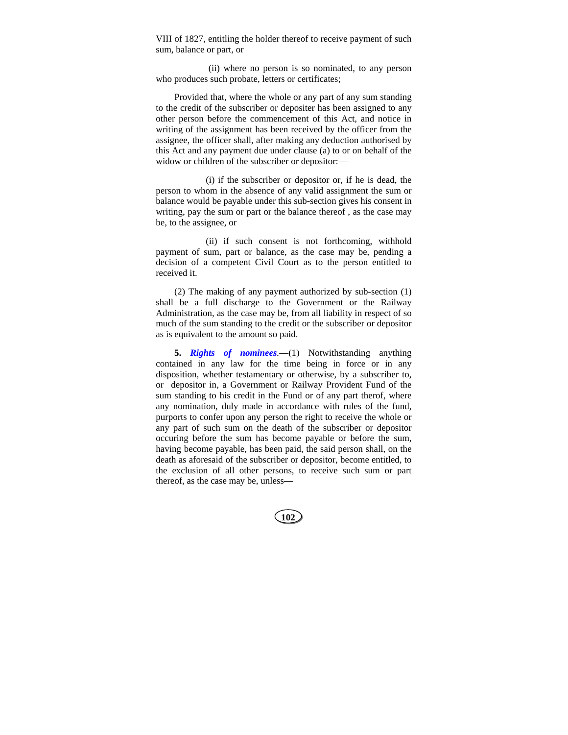VIII of 1827, entitling the holder thereof to receive payment of such sum, balance or part, or

(ii) where no person is so nominated, to any person who produces such probate, letters or certificates;

Provided that, where the whole or any part of any sum standing to the credit of the subscriber or depositer has been assigned to any other person before the commencement of this Act, and notice in writing of the assignment has been received by the officer from the assignee, the officer shall, after making any deduction authorised by this Act and any payment due under clause (a) to or on behalf of the widow or children of the subscriber or depositor:—

(i) if the subscriber or depositor or, if he is dead, the person to whom in the absence of any valid assignment the sum or balance would be payable under this sub-section gives his consent in writing, pay the sum or part or the balance thereof , as the case may be, to the assignee, or

(ii) if such consent is not forthcoming, withhold payment of sum, part or balance, as the case may be, pending a decision of a competent Civil Court as to the person entitled to received it.

(2) The making of any payment authorized by sub-section (1) shall be a full discharge to the Government or the Railway Administration, as the case may be, from all liability in respect of so much of the sum standing to the credit or the subscriber or depositor as is equivalent to the amount so paid.

**5.** *Rights of nominees.*—(1) Notwithstanding anything contained in any law for the time being in force or in any disposition, whether testamentary or otherwise, by a subscriber to, or depositor in, a Government or Railway Provident Fund of the sum standing to his credit in the Fund or of any part therof, where any nomination, duly made in accordance with rules of the fund, purports to confer upon any person the right to receive the whole or any part of such sum on the death of the subscriber or depositor occuring before the sum has become payable or before the sum, having become payable, has been paid, the said person shall, on the death as aforesaid of the subscriber or depositor, become entitled, to the exclusion of all other persons, to receive such sum or part thereof, as the case may be, unless—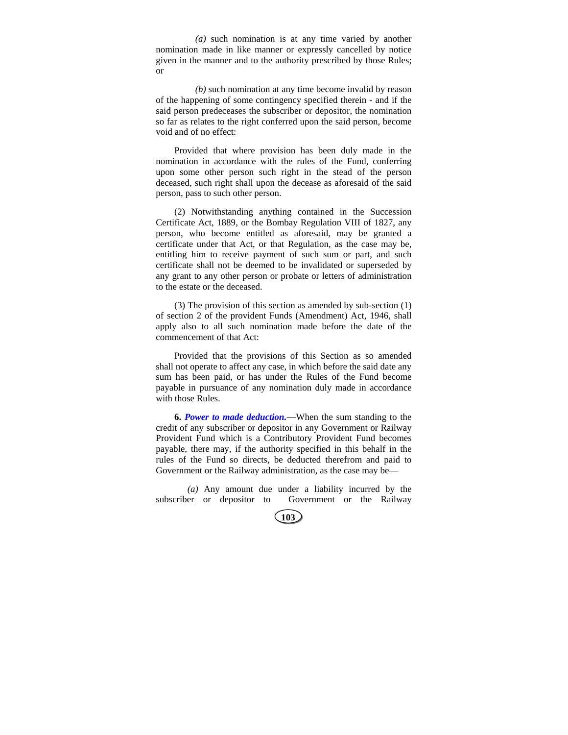*(a)* such nomination is at any time varied by another nomination made in like manner or expressly cancelled by notice given in the manner and to the authority prescribed by those Rules; or

*(b)* such nomination at any time become invalid by reason of the happening of some contingency specified therein - and if the said person predeceases the subscriber or depositor, the nomination so far as relates to the right conferred upon the said person, become void and of no effect:

Provided that where provision has been duly made in the nomination in accordance with the rules of the Fund, conferring upon some other person such right in the stead of the person deceased, such right shall upon the decease as aforesaid of the said person, pass to such other person.

(2) Notwithstanding anything contained in the Succession Certificate Act, 1889, or the Bombay Regulation VIII of 1827, any person, who become entitled as aforesaid, may be granted a certificate under that Act, or that Regulation, as the case may be, entitling him to receive payment of such sum or part, and such certificate shall not be deemed to be invalidated or superseded by any grant to any other person or probate or letters of administration to the estate or the deceased.

(3) The provision of this section as amended by sub-section (1) of section 2 of the provident Funds (Amendment) Act, 1946, shall apply also to all such nomination made before the date of the commencement of that Act:

Provided that the provisions of this Section as so amended shall not operate to affect any case, in which before the said date any sum has been paid, or has under the Rules of the Fund become payable in pursuance of any nomination duly made in accordance with those Rules.

**6.** *Power to made deduction.*—When the sum standing to the credit of any subscriber or depositor in any Government or Railway Provident Fund which is a Contributory Provident Fund becomes payable, there may, if the authority specified in this behalf in the rules of the Fund so directs, be deducted therefrom and paid to Government or the Railway administration, as the case may be—

*(a)* Any amount due under a liability incurred by the subscriber or depositor to Government or the Railway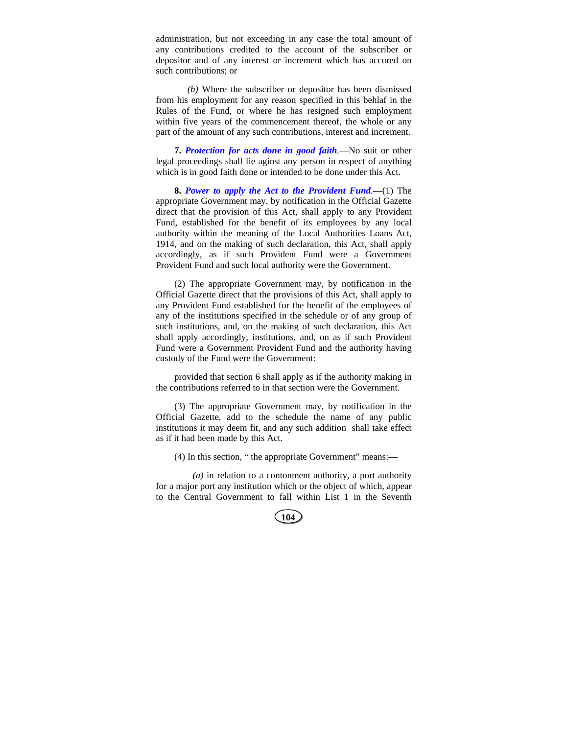administration, but not exceeding in any case the total amount of any contributions credited to the account of the subscriber or depositor and of any interest or increment which has accured on such contributions; or

*(b)* Where the subscriber or depositor has been dismissed from his employment for any reason specified in this behlaf in the Rules of the Fund, or where he has resigned such employment within five years of the commencement thereof, the whole or any part of the amount of any such contributions, interest and increment.

**7.** *Protection for acts done in good faith.*—No suit or other legal proceedings shall lie aginst any person in respect of anything which is in good faith done or intended to be done under this Act.

**8.** *Power to apply the Act to the Provident Fund.*—(1) The appropriate Government may, by notification in the Official Gazette direct that the provision of this Act, shall apply to any Provident Fund, established for the benefit of its employees by any local authority within the meaning of the Local Authorities Loans Act, 1914, and on the making of such declaration, this Act, shall apply accordingly, as if such Provident Fund were a Government Provident Fund and such local authority were the Government.

(2) The appropriate Government may, by notification in the Official Gazette direct that the provisions of this Act, shall apply to any Provident Fund established for the benefit of the employees of any of the institutions specified in the schedule or of any group of such institutions, and, on the making of such declaration, this Act shall apply accordingly, institutions, and, on as if such Provident Fund were a Government Provident Fund and the authority having custody of the Fund were the Government:

provided that section 6 shall apply as if the authority making in the contributions referred to in that section were the Government.

(3) The appropriate Government may, by notification in the Official Gazette, add to the schedule the name of any public institutions it may deem fit, and any such addition shall take effect as if it had been made by this Act.

(4) In this section, " the appropriate Government" means:—

*(a)* in relation to a contonment authority, a port authority for a major port any institution which or the object of which, appear to the Central Government to fall within List 1 in the Seventh

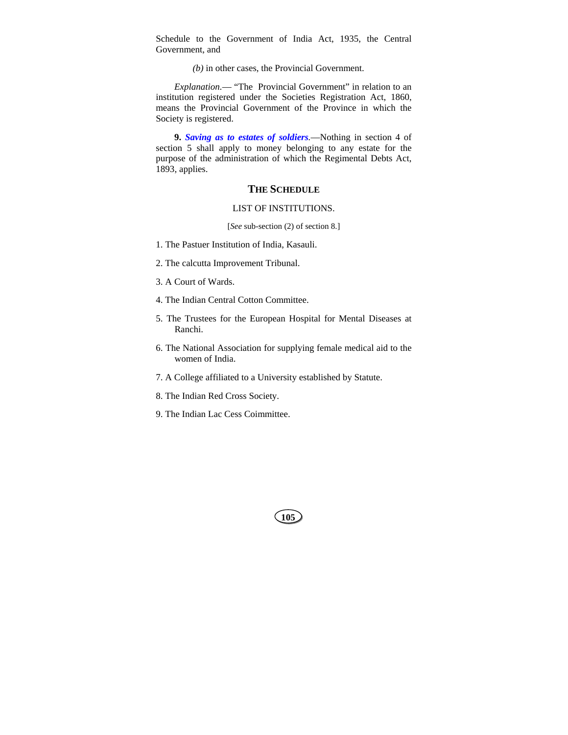Schedule to the Government of India Act, 1935, the Central Government, and

*(b)* in other cases, the Provincial Government.

*Explanation.*— "The Provincial Government" in relation to an institution registered under the Societies Registration Act, 1860, means the Provincial Government of the Province in which the Society is registered.

**9.** *Saving as to estates of soldiers.*—Nothing in section 4 of section 5 shall apply to money belonging to any estate for the purpose of the administration of which the Regimental Debts Act, 1893, applies.

### **THE SCHEDULE**

#### LIST OF INSTITUTIONS.

[*See* sub-section (2) of section 8.]

- 1. The Pastuer Institution of India, Kasauli.
- 2. The calcutta Improvement Tribunal.
- 3. A Court of Wards.
- 4. The Indian Central Cotton Committee.
- 5. The Trustees for the European Hospital for Mental Diseases at Ranchi.
- 6. The National Association for supplying female medical aid to the women of India.
- 7. A College affiliated to a University established by Statute.
- 8. The Indian Red Cross Society.
- 9. The Indian Lac Cess Coimmittee.

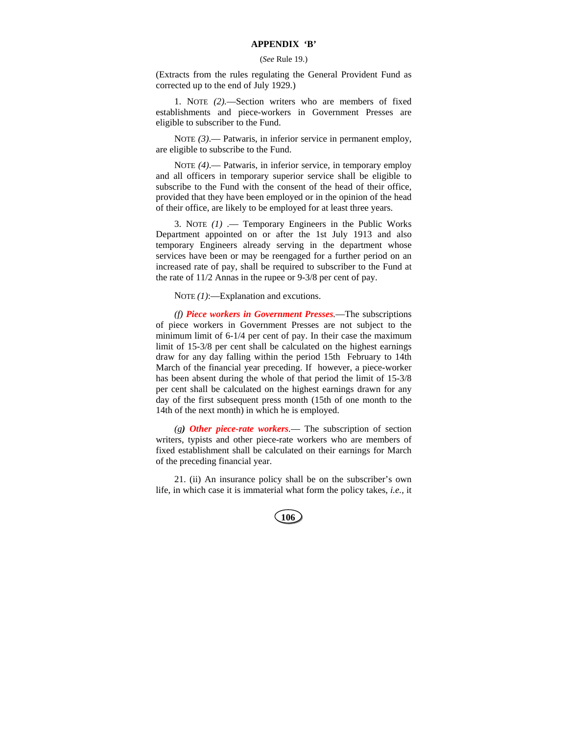#### **APPENDIX 'B'**

#### (*See* Rule 19.)

(Extracts from the rules regulating the General Provident Fund as corrected up to the end of July 1929.)

1. NOTE *(2).*—Section writers who are members of fixed establishments and piece-workers in Government Presses are eligible to subscriber to the Fund.

NOTE (3).— Patwaris, in inferior service in permanent employ, are eligible to subscribe to the Fund.

NOTE *(4)*.— Patwaris, in inferior service, in temporary employ and all officers in temporary superior service shall be eligible to subscribe to the Fund with the consent of the head of their office, provided that they have been employed or in the opinion of the head of their office, are likely to be employed for at least three years.

3. NOTE *(1)* .— Temporary Engineers in the Public Works Department appointed on or after the 1st July 1913 and also temporary Engineers already serving in the department whose services have been or may be reengaged for a further period on an increased rate of pay, shall be required to subscriber to the Fund at the rate of 11/2 Annas in the rupee or 9-3/8 per cent of pay.

NOTE  $(1)$ :-Explanation and excutions.

*(f) Piece workers in Government Presses.*—The subscriptions of piece workers in Government Presses are not subject to the minimum limit of 6-1/4 per cent of pay. In their case the maximum limit of 15-3/8 per cent shall be calculated on the highest earnings draw for any day falling within the period 15th February to 14th March of the financial year preceding. If however, a piece-worker has been absent during the whole of that period the limit of 15-3/8 per cent shall be calculated on the highest earnings drawn for any day of the first subsequent press month (15th of one month to the 14th of the next month) in which he is employed.

*(g) Other piece-rate workers.*— The subscription of section writers, typists and other piece-rate workers who are members of fixed establishment shall be calculated on their earnings for March of the preceding financial year.

21. (ii) An insurance policy shall be on the subscriber's own life, in which case it is immaterial what form the policy takes, *i.e.,* it

| $\frac{1}{2}$ | ×<br>۰, |  |
|---------------|---------|--|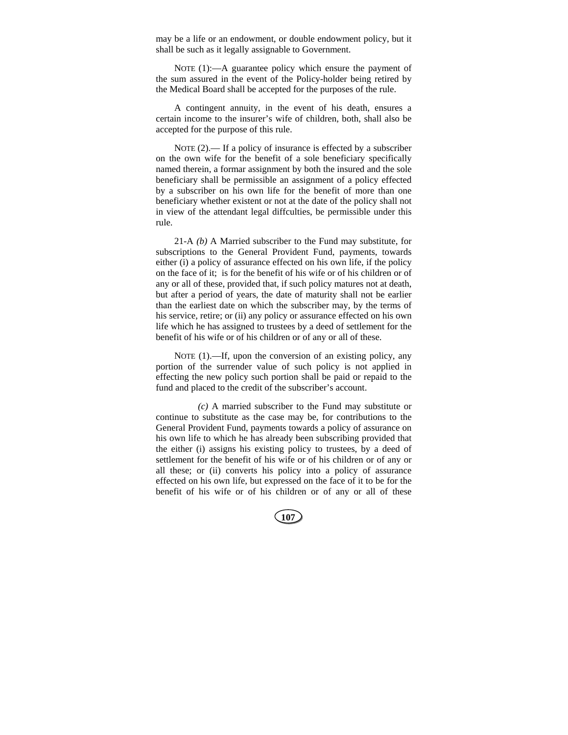may be a life or an endowment, or double endowment policy, but it shall be such as it legally assignable to Government.

NOTE (1):—A guarantee policy which ensure the payment of the sum assured in the event of the Policy-holder being retired by the Medical Board shall be accepted for the purposes of the rule.

A contingent annuity, in the event of his death, ensures a certain income to the insurer's wife of children, both, shall also be accepted for the purpose of this rule.

NOTE (2).— If a policy of insurance is effected by a subscriber on the own wife for the benefit of a sole beneficiary specifically named therein, a formar assignment by both the insured and the sole beneficiary shall be permissible an assignment of a policy effected by a subscriber on his own life for the benefit of more than one beneficiary whether existent or not at the date of the policy shall not in view of the attendant legal diffculties, be permissible under this rule.

21-A *(b)* A Married subscriber to the Fund may substitute, for subscriptions to the General Provident Fund, payments, towards either (i) a policy of assurance effected on his own life, if the policy on the face of it; is for the benefit of his wife or of his children or of any or all of these, provided that, if such policy matures not at death, but after a period of years, the date of maturity shall not be earlier than the earliest date on which the subscriber may, by the terms of his service, retire; or (ii) any policy or assurance effected on his own life which he has assigned to trustees by a deed of settlement for the benefit of his wife or of his children or of any or all of these.

NOTE (1).—If, upon the conversion of an existing policy, any portion of the surrender value of such policy is not applied in effecting the new policy such portion shall be paid or repaid to the fund and placed to the credit of the subscriber's account.

*(c)* A married subscriber to the Fund may substitute or continue to substitute as the case may be, for contributions to the General Provident Fund, payments towards a policy of assurance on his own life to which he has already been subscribing provided that the either (i) assigns his existing policy to trustees, by a deed of settlement for the benefit of his wife or of his children or of any or all these; or (ii) converts his policy into a policy of assurance effected on his own life, but expressed on the face of it to be for the benefit of his wife or of his children or of any or all of these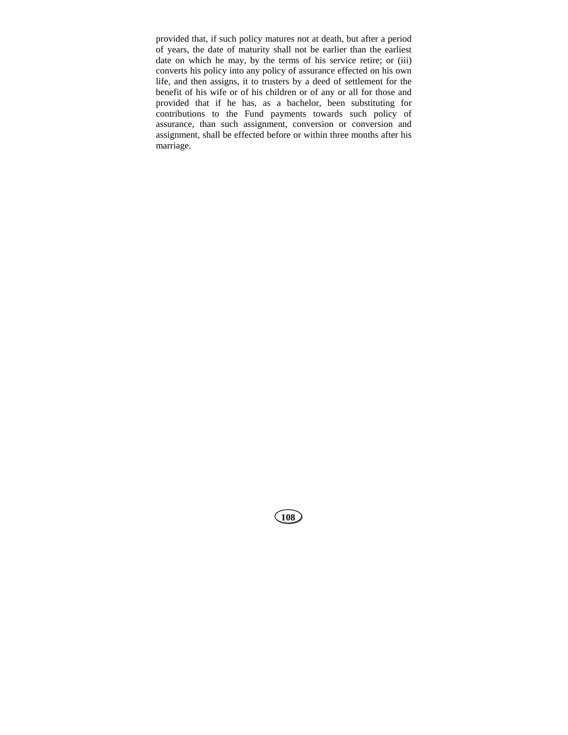provided that, if such policy matures not at death, but after a period of years, the date of maturity shall not be earlier than the earliest date on which he may, by the terms of his service retire; or (iii) converts his policy into any policy of assurance effected on his own life, and then assigns, it to trusters by a deed of settlement for the benefit of his wife or of his children or of any or all for those and provided that if he has, as a bachelor, been substituting for contributions to the Fund payments towards such policy of assurance, than such assignment, conversion or conversion and assignment, shall be effected before or within three months after his marriage.

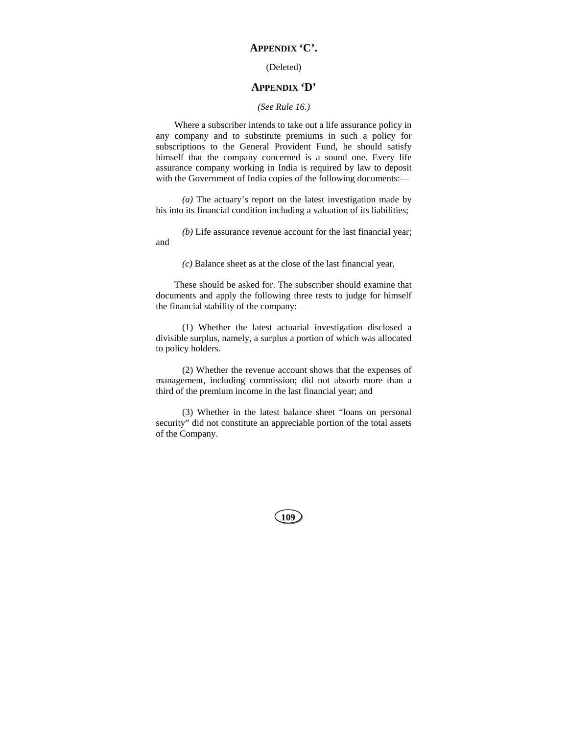## **APPENDIX 'C'.**

## (Deleted)

## **APPENDIX 'D'**

## *(See Rule 16.)*

Where a subscriber intends to take out a life assurance policy in any company and to substitute premiums in such a policy for subscriptions to the General Provident Fund, he should satisfy himself that the company concerned is a sound one. Every life assurance company working in India is required by law to deposit with the Government of India copies of the following documents:—

*(a)* The actuary's report on the latest investigation made by his into its financial condition including a valuation of its liabilities;

*(b)* Life assurance revenue account for the last financial year; and

*(c)* Balance sheet as at the close of the last financial year,

These should be asked for. The subscriber should examine that documents and apply the following three tests to judge for himself the financial stability of the company:—

(1) Whether the latest actuarial investigation disclosed a divisible surplus, namely, a surplus a portion of which was allocated to policy holders.

(2) Whether the revenue account shows that the expenses of management, including commission; did not absorb more than a third of the premium income in the last financial year; and

(3) Whether in the latest balance sheet "loans on personal security" did not constitute an appreciable portion of the total assets of the Company.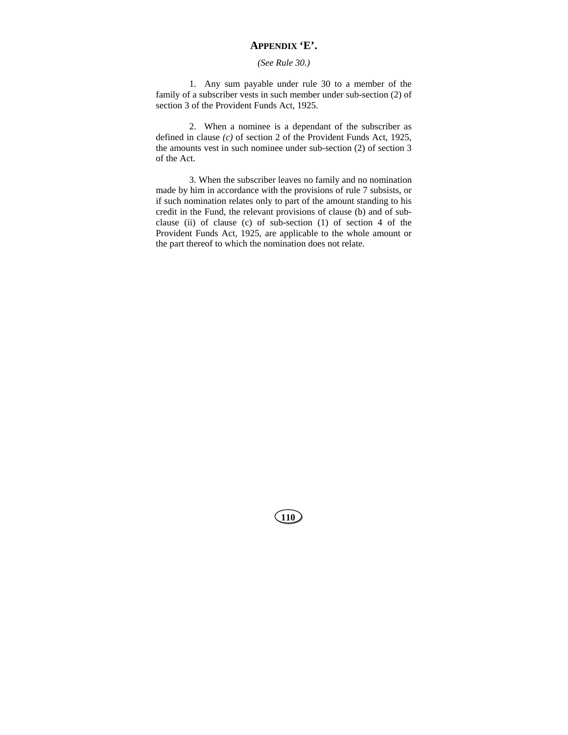## **APPENDIX 'E'.**

## *(See Rule 30.)*

1. Any sum payable under rule 30 to a member of the family of a subscriber vests in such member under sub-section (2) of section 3 of the Provident Funds Act, 1925.

2. When a nominee is a dependant of the subscriber as defined in clause *(c)* of section 2 of the Provident Funds Act, 1925, the amounts vest in such nominee under sub-section (2) of section 3 of the Act.

3. When the subscriber leaves no family and no nomination made by him in accordance with the provisions of rule 7 subsists, or if such nomination relates only to part of the amount standing to his credit in the Fund, the relevant provisions of clause (b) and of subclause (ii) of clause (c) of sub-section (1) of section 4 of the Provident Funds Act, 1925, are applicable to the whole amount or the part thereof to which the nomination does not relate.

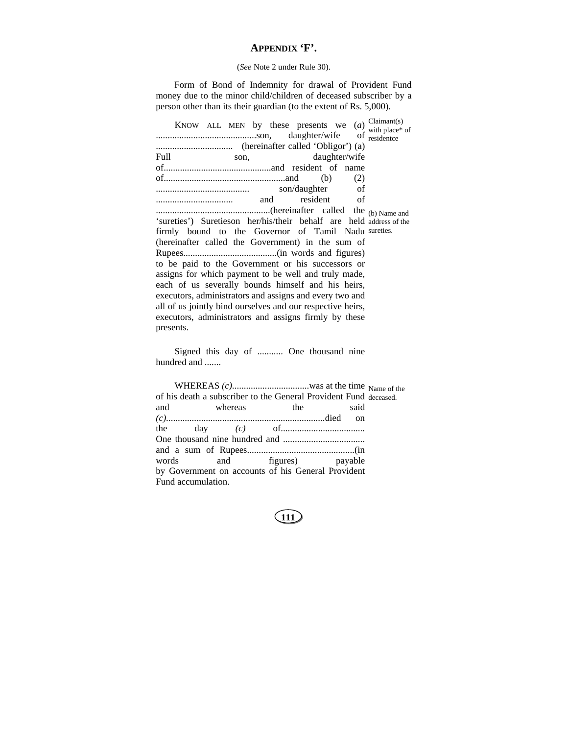# **APPENDIX 'F'.**

## (*See* Note 2 under Rule 30).

Form of Bond of Indemnity for drawal of Provident Fund money due to the minor child/children of deceased subscriber by a person other than its their guardian (to the extent of Rs. 5,000).

| Full.<br>son,<br>daughter/wife                                      |  |  |  |  |  |  |  |  |
|---------------------------------------------------------------------|--|--|--|--|--|--|--|--|
|                                                                     |  |  |  |  |  |  |  |  |
| (2)                                                                 |  |  |  |  |  |  |  |  |
|                                                                     |  |  |  |  |  |  |  |  |
| resident of                                                         |  |  |  |  |  |  |  |  |
|                                                                     |  |  |  |  |  |  |  |  |
| 'sureties') Suretieson her/his/their behalf are held address of the |  |  |  |  |  |  |  |  |
| firmly bound to the Governor of Tamil Nadu sureties.                |  |  |  |  |  |  |  |  |
| (hereinafter called the Government) in the sum of                   |  |  |  |  |  |  |  |  |
|                                                                     |  |  |  |  |  |  |  |  |
| to be paid to the Government or his successors or                   |  |  |  |  |  |  |  |  |
| assigns for which payment to be well and truly made,                |  |  |  |  |  |  |  |  |
| each of us severally bounds himself and his heirs,                  |  |  |  |  |  |  |  |  |
| executors, administrators and assigns and every two and             |  |  |  |  |  |  |  |  |
| all of us jointly bind ourselves and our respective heirs,          |  |  |  |  |  |  |  |  |
| executors, administrators and assigns firmly by these               |  |  |  |  |  |  |  |  |
| presents.                                                           |  |  |  |  |  |  |  |  |

Signed this day of ........... One thousand nine hundred and .......

|                    |  | of his death a subscriber to the General Provident Fund deceased. |  |      |  |
|--------------------|--|-------------------------------------------------------------------|--|------|--|
|                    |  | and whereas the                                                   |  | said |  |
|                    |  |                                                                   |  |      |  |
|                    |  | the day $(c)$ of $\ldots$ $\ldots$ $\ldots$ $\ldots$              |  |      |  |
|                    |  |                                                                   |  |      |  |
|                    |  |                                                                   |  |      |  |
|                    |  | words and figures) payable                                        |  |      |  |
|                    |  | by Government on accounts of his General Provident                |  |      |  |
| Fund accumulation. |  |                                                                   |  |      |  |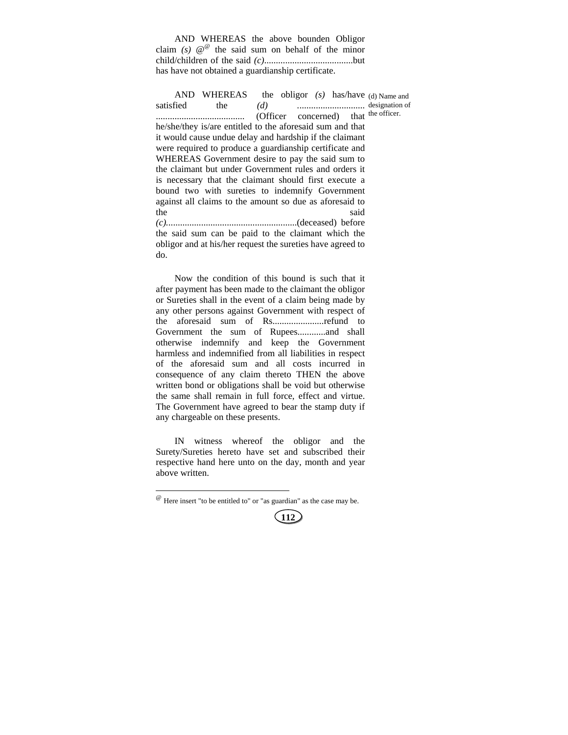AND WHEREAS the above bounden Obligor claim *(s)*  $\mathcal{Q}^{\omega}$  the said sum on behalf of the minor child/children of the said *(c)*......................................but has have not obtained a guardianship certificate.

AND WHEREAS the obligor *(s)* has/have (d) Name and satisfied the *(d) .*............................ designation of ...................................... (Officer concerned) that the officer. he/she/they is/are entitled to the aforesaid sum and that it would cause undue delay and hardship if the claimant were required to produce a guardianship certificate and WHEREAS Government desire to pay the said sum to the claimant but under Government rules and orders it is necessary that the claimant should first execute a bound two with sureties to indemnify Government against all claims to the amount so due as aforesaid to the said *(c).*.......................................................(deceased) before the said sum can be paid to the claimant which the obligor and at his/her request the sureties have agreed to do.

Now the condition of this bound is such that it after payment has been made to the claimant the obligor or Sureties shall in the event of a claim being made by any other persons against Government with respect of the aforesaid sum of Rs......................refund to Government the sum of Rupees............and shall otherwise indemnify and keep the Government harmless and indemnified from all liabilities in respect of the aforesaid sum and all costs incurred in consequence of any claim thereto THEN the above written bond or obligations shall be void but otherwise the same shall remain in full force, effect and virtue. The Government have agreed to bear the stamp duty if any chargeable on these presents.

IN witness whereof the obligor and the Surety/Sureties hereto have set and subscribed their respective hand here unto on the day, month and year above written.

l



 $^{\textcircled{\tiny{\textregistered}}}$  Here insert "to be entitled to" or "as guardian" as the case may be.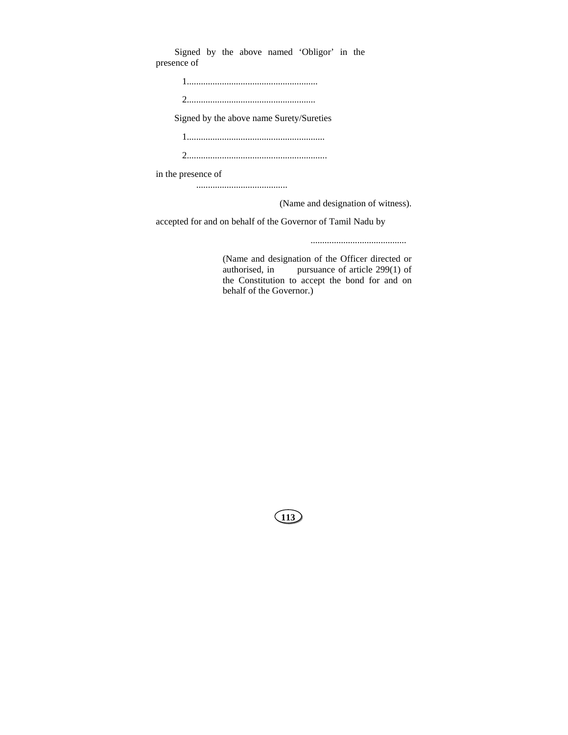Signed by the above named 'Obligor' in the presence of

| Signed by the above name Surety/Sureties |
|------------------------------------------|
|                                          |

2............................................................

in the presence of

.......................................

(Name and designation of witness).

accepted for and on behalf of the Governor of Tamil Nadu by

.........................................

(Name and designation of the Officer directed or authorised, in pursuance of article 299(1) of the Constitution to accept the bond for and on behalf of the Governor.)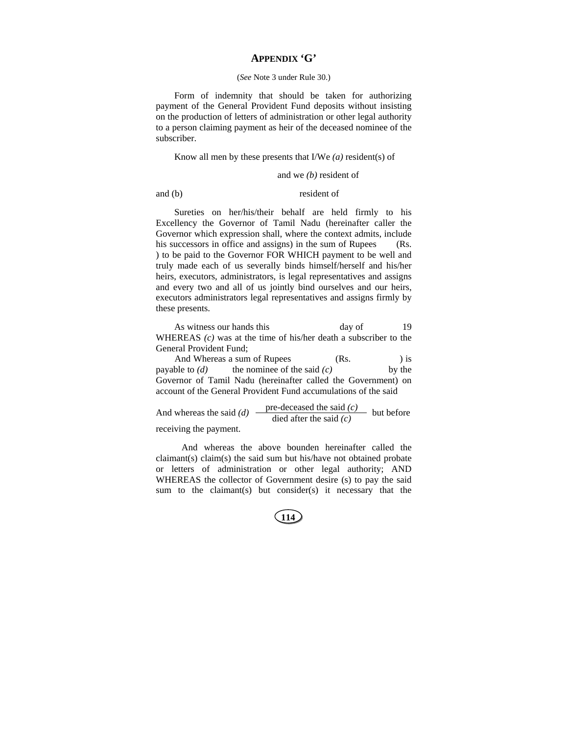## **APPENDIX 'G'**

#### (*See* Note 3 under Rule 30.)

Form of indemnity that should be taken for authorizing payment of the General Provident Fund deposits without insisting on the production of letters of administration or other legal authority to a person claiming payment as heir of the deceased nominee of the subscriber.

#### Know all men by these presents that I/We *(a)* resident(s) of

#### and we *(b)* resident of

#### and (b) resident of

Sureties on her/his/their behalf are held firmly to his Excellency the Governor of Tamil Nadu (hereinafter caller the Governor which expression shall, where the context admits, include his successors in office and assigns) in the sum of Rupees (Rs. ) to be paid to the Governor FOR WHICH payment to be well and truly made each of us severally binds himself/herself and his/her heirs, executors, administrators, is legal representatives and assigns and every two and all of us jointly bind ourselves and our heirs, executors administrators legal representatives and assigns firmly by these presents.

As witness our hands this day of 19 WHEREAS *(c)* was at the time of his/her death a subscriber to the General Provident Fund;

And Whereas a sum of Rupees (Rs. ) is payable to *(d)* the nominee of the said *(c)* by the Governor of Tamil Nadu (hereinafter called the Government) on account of the General Provident Fund accumulations of the said

And whereas the said *(d)*  $\frac{\text{pre-deceased the said } (c)}{\text{died after the said } (c)}$  but before

receiving the payment.

 And whereas the above bounden hereinafter called the claimant(s) claim(s) the said sum but his/have not obtained probate or letters of administration or other legal authority; AND WHEREAS the collector of Government desire (s) to pay the said sum to the claimant(s) but consider(s) it necessary that the

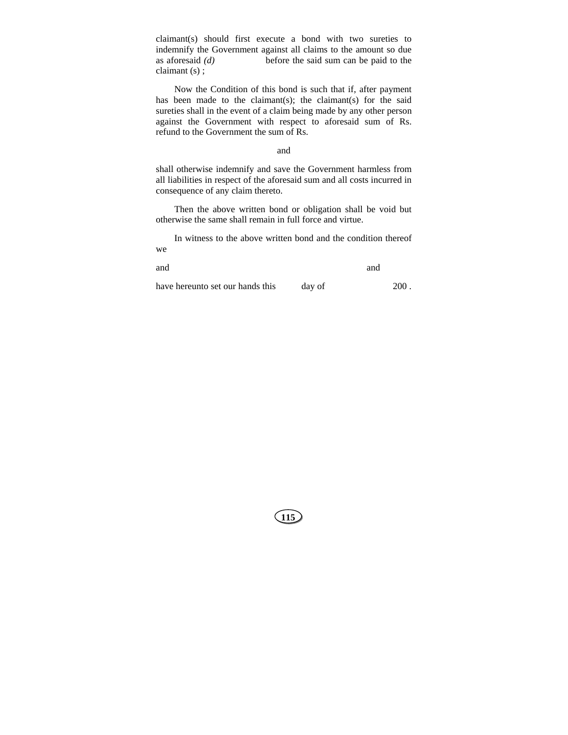claimant(s) should first execute a bond with two sureties to indemnify the Government against all claims to the amount so due as aforesaid *(d)* before the said sum can be paid to the claimant (s) ;

Now the Condition of this bond is such that if, after payment has been made to the claimant(s); the claimant(s) for the said sureties shall in the event of a claim being made by any other person against the Government with respect to aforesaid sum of Rs. refund to the Government the sum of Rs.

## and

shall otherwise indemnify and save the Government harmless from all liabilities in respect of the aforesaid sum and all costs incurred in consequence of any claim thereto.

Then the above written bond or obligation shall be void but otherwise the same shall remain in full force and virtue.

In witness to the above written bond and the condition thereof we

| and |                          |  | and |  |  |   |        |        |  |                      |
|-----|--------------------------|--|-----|--|--|---|--------|--------|--|----------------------|
| . . | $\overline{\phantom{a}}$ |  |     |  |  | . | $\sim$ | $\sim$ |  | $\sim$ $\sim$ $\sim$ |

have hereunto set our hands this day of 200.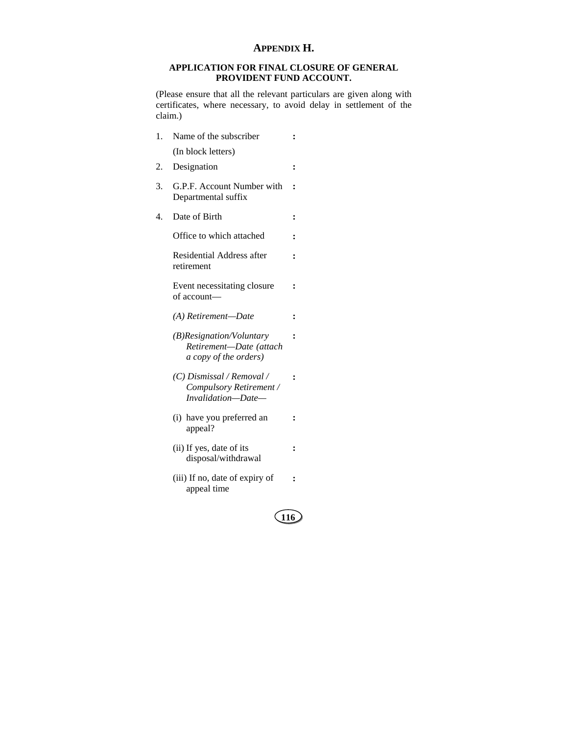## **APPENDIX H.**

## **APPLICATION FOR FINAL CLOSURE OF GENERAL PROVIDENT FUND ACCOUNT.**

(Please ensure that all the relevant particulars are given along with certificates, where necessary, to avoid delay in settlement of the claim.)

**:** 

**:** 

**:** 

**:** 

- 1. Name of the subscriber (In block letters)
- 2. Designation **:**
- 3. G.P.F. Account Number with **:**  Departmental suffix
- 4. Date of Birth **:**

Office to which attached **:** 

 Residential Address after retirement

 Event necessitating closure of account—

*(A) Retirement—Date* **:** 

- *(B)Resignation/Voluntary Retirement—Date (attach a copy of the orders)*
- *(C) Dismissal / Removal / Compulsory Retirement / Invalidation—Date—*  **:**
- (i) have you preferred an appeal? **:**
- (ii) If yes, date of its disposal/withdrawal **:**
- (iii) If no, date of expiry of appeal time **:**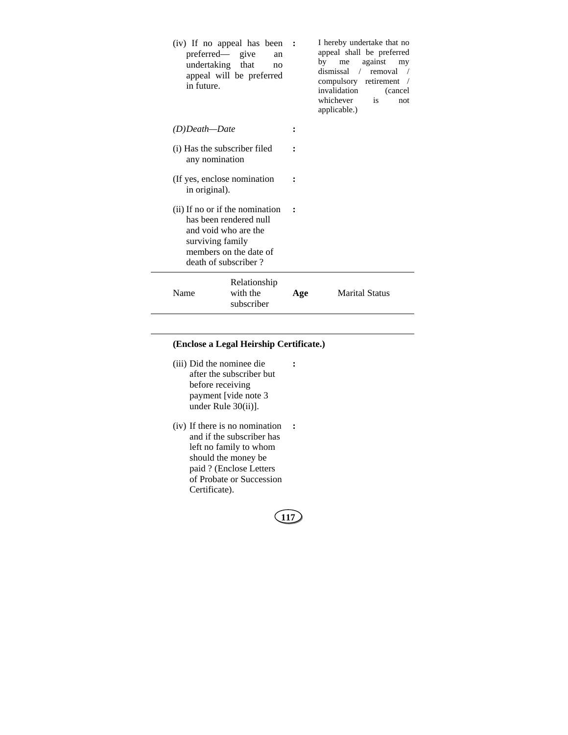| (iv) If no appeal has been<br>preferred— give<br>an<br>undertaking that<br>no<br>appeal will be preferred<br>in future.                                 |                                        | $\sim$ : | I hereby undertake that no<br>appeal shall be preferred<br>by<br>against<br>me<br>my<br>dismissal / removal<br>compulsory retirement<br>invalidation<br>(cancel)<br>whichever<br>is<br>not<br>applicable.) |
|---------------------------------------------------------------------------------------------------------------------------------------------------------|----------------------------------------|----------|------------------------------------------------------------------------------------------------------------------------------------------------------------------------------------------------------------|
| (D)Death—Date                                                                                                                                           |                                        |          |                                                                                                                                                                                                            |
| (i) Has the subscriber filed<br>any nomination                                                                                                          |                                        |          |                                                                                                                                                                                                            |
| (If yes, enclose nomination<br>in original).                                                                                                            |                                        |          |                                                                                                                                                                                                            |
| (ii) If no or if the nomination<br>has been rendered null<br>and void who are the<br>surviving family<br>members on the date of<br>death of subscriber? |                                        |          |                                                                                                                                                                                                            |
| Name                                                                                                                                                    | Relationship<br>with the<br>subscriber | Age      | <b>Marital Status</b>                                                                                                                                                                                      |

## **(Enclose a Legal Heirship Certificate.)**

 (iii) Did the nominee die after the subscriber but before receiving payment [vide note 3 under Rule 30(ii)].

 $\overline{\phantom{a}}$ 

 (iv) If there is no nomination **:** and if the subscriber has left no family to whom should the money be paid ? (Enclose Letters of Probate or Succession Certificate).

**117**

**:**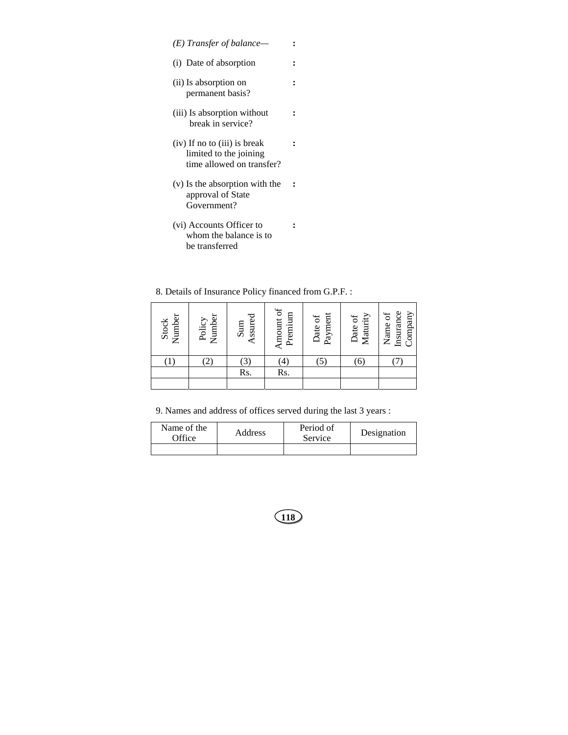- *(E) Transfer of balance—* **:**
- (i) Date of absorption **:**

**:** 

**:** 

**:** 

- (ii) Is absorption on permanent basis?
- (iii) Is absorption without break in service?
- (iv) If no to (iii) is break limited to the joining time allowed on transfer? **:**
- (v) Is the absorption with the approval of State Government? **:**
- (vi) Accounts Officer to whom the balance is to be transferred

8. Details of Insurance Policy financed from G.P.F. :

| Number<br>Stock | Number<br>Policy | Assured<br>Sum | Amount of<br>Premium | Payment<br>Date of | Maturity<br>Date of | Insurance<br>Company<br>Name of |
|-----------------|------------------|----------------|----------------------|--------------------|---------------------|---------------------------------|
|                 | 2,               | $\mathfrak{B}$ | $^{(4)}$             | $\mathfrak{S}$     | 6)                  |                                 |
|                 |                  | Rs.            | Rs.                  |                    |                     |                                 |
|                 |                  |                |                      |                    |                     |                                 |

9. Names and address of offices served during the last 3 years :

| Name of the<br>Office | Address | Period of<br>Service | Designation |  |
|-----------------------|---------|----------------------|-------------|--|
|                       |         |                      |             |  |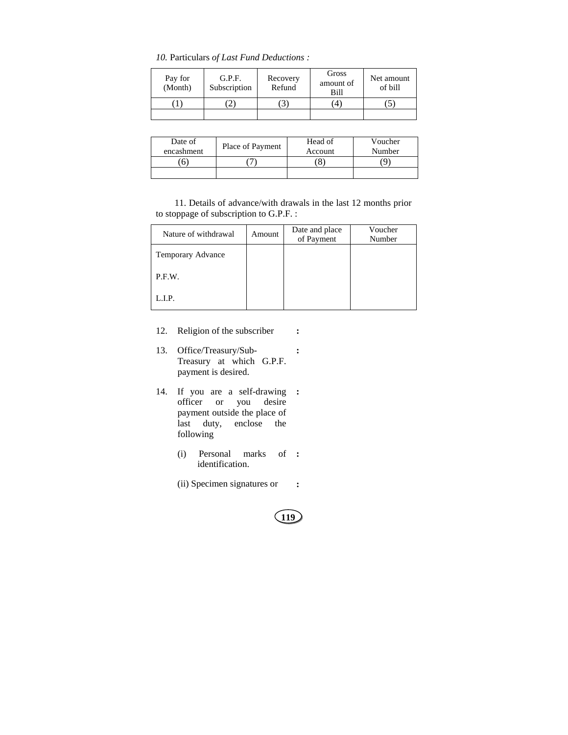*10.* Particulars *of Last Fund Deductions :* 

| Pay for<br>(Month) | G.P.F.<br>Subscription | Recovery<br>Refund | Gross<br>amount of<br>Bill | Net amount<br>of bill |
|--------------------|------------------------|--------------------|----------------------------|-----------------------|
|                    |                        |                    | 4                          |                       |
|                    |                        |                    |                            |                       |

| Date of<br>encashment | Place of Payment | Head of<br>Account | Voucher<br>Number |
|-----------------------|------------------|--------------------|-------------------|
|                       |                  |                    |                   |
|                       |                  |                    |                   |

11. Details of advance/with drawals in the last 12 months prior to stoppage of subscription to G.P.F. :

| Nature of withdrawal | Amount | Date and place<br>of Payment | Voucher<br>Number |
|----------------------|--------|------------------------------|-------------------|
| Temporary Advance    |        |                              |                   |
| P.F.W.               |        |                              |                   |
| L.I.P.               |        |                              |                   |

- 12. Religion of the subscriber **:**
- 13. Office/Treasury/Sub-Treasury at which G.P.F. payment is desired. **:**
- 14. If you are a self-drawing **:**  officer or you desire payment outside the place of last duty, enclose the following
- (i) Personal marks of **:**  identification.
	- (ii) Specimen signatures or **:**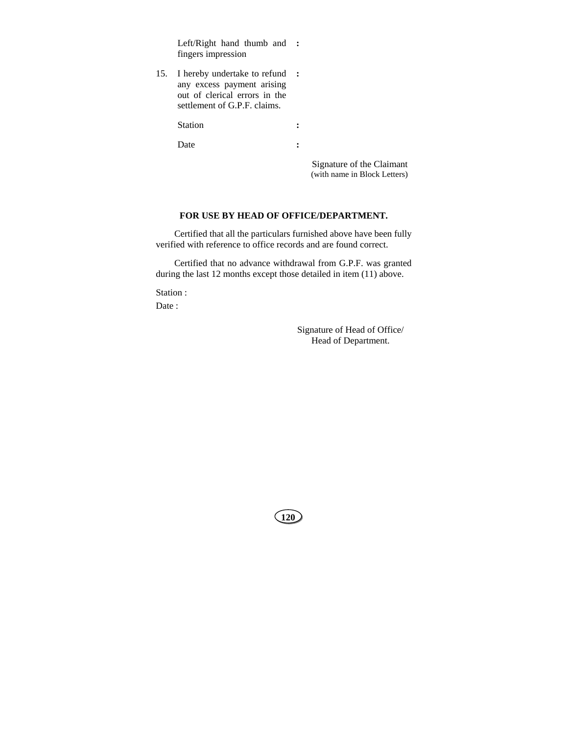Left/Right hand thumb and **:**  fingers impression

15. I hereby undertake to refund **:**  any excess payment arising out of clerical errors in the settlement of G.P.F. claims.

Station :

Date :

 Signature of the Claimant (with name in Block Letters)

#### **FOR USE BY HEAD OF OFFICE/DEPARTMENT.**

Certified that all the particulars furnished above have been fully verified with reference to office records and are found correct.

Certified that no advance withdrawal from G.P.F. was granted during the last 12 months except those detailed in item (11) above.

Station :

Date :

Signature of Head of Office/ Head of Department.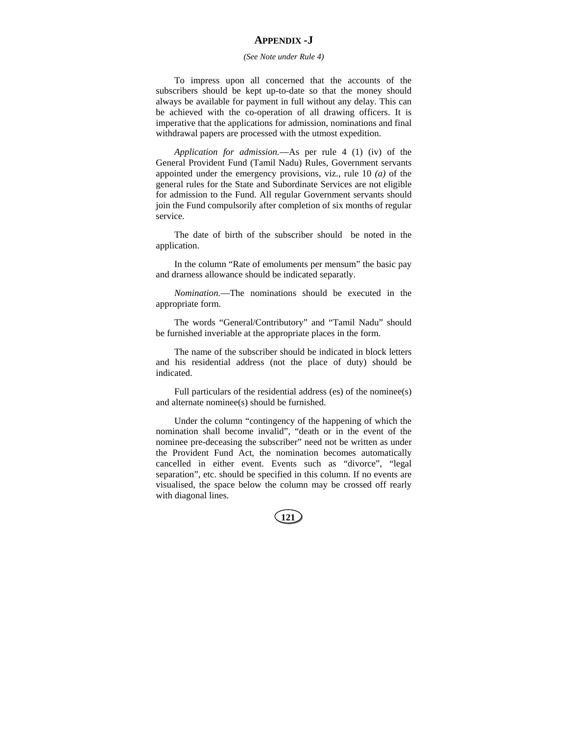## **APPENDIX -J**

#### *(See Note under Rule 4)*

To impress upon all concerned that the accounts of the subscribers should be kept up-to-date so that the money should always be available for payment in full without any delay. This can be achieved with the co-operation of all drawing officers. It is imperative that the applications for admission, nominations and final withdrawal papers are processed with the utmost expedition.

*Application for admission.*—As per rule 4 (1) (iv) of the General Provident Fund (Tamil Nadu) Rules, Government servants appointed under the emergency provisions, viz., rule 10 *(a)* of the general rules for the State and Subordinate Services are not eligible for admission to the Fund. All regular Government servants should join the Fund compulsorily after completion of six months of regular service.

The date of birth of the subscriber should be noted in the application.

In the column "Rate of emoluments per mensum" the basic pay and drarness allowance should be indicated separatly.

*Nomination.*—The nominations should be executed in the appropriate form.

The words "General/Contributory" and "Tamil Nadu" should be furnished inveriable at the appropriate places in the form.

The name of the subscriber should be indicated in block letters and his residential address (not the place of duty) should be indicated.

Full particulars of the residential address (es) of the nominee(s) and alternate nominee(s) should be furnished.

Under the column "contingency of the happening of which the nomination shall become invalid", "death or in the event of the nominee pre-deceasing the subscriber" need not be written as under the Provident Fund Act, the nomination becomes automatically cancelled in either event. Events such as "divorce", "legal separation", etc. should be specified in this column. If no events are visualised, the space below the column may be crossed off rearly with diagonal lines.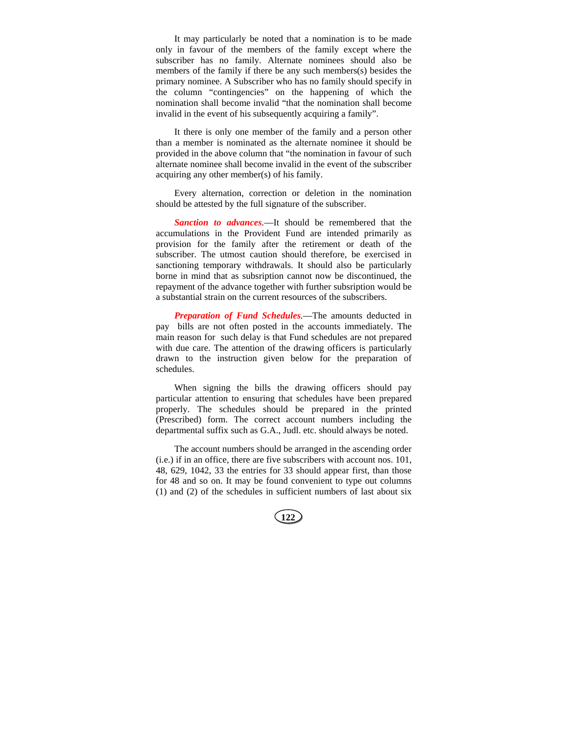It may particularly be noted that a nomination is to be made only in favour of the members of the family except where the subscriber has no family. Alternate nominees should also be members of the family if there be any such members(s) besides the primary nominee. A Subscriber who has no family should specify in the column "contingencies" on the happening of which the nomination shall become invalid "that the nomination shall become invalid in the event of his subsequently acquiring a family".

It there is only one member of the family and a person other than a member is nominated as the alternate nominee it should be provided in the above column that "the nomination in favour of such alternate nominee shall become invalid in the event of the subscriber acquiring any other member(s) of his family.

Every alternation, correction or deletion in the nomination should be attested by the full signature of the subscriber.

*Sanction to advances.*—It should be remembered that the accumulations in the Provident Fund are intended primarily as provision for the family after the retirement or death of the subscriber. The utmost caution should therefore, be exercised in sanctioning temporary withdrawals. It should also be particularly borne in mind that as subsription cannot now be discontinued, the repayment of the advance together with further subsription would be a substantial strain on the current resources of the subscribers.

*Preparation of Fund Schedules.*—The amounts deducted in pay bills are not often posted in the accounts immediately. The main reason for such delay is that Fund schedules are not prepared with due care. The attention of the drawing officers is particularly drawn to the instruction given below for the preparation of schedules.

When signing the bills the drawing officers should pay particular attention to ensuring that schedules have been prepared properly. The schedules should be prepared in the printed (Prescribed) form. The correct account numbers including the departmental suffix such as G.A., Judl. etc. should always be noted.

The account numbers should be arranged in the ascending order (i.e.) if in an office, there are five subscribers with account nos. 101, 48, 629, 1042, 33 the entries for 33 should appear first, than those for 48 and so on. It may be found convenient to type out columns (1) and (2) of the schedules in sufficient numbers of last about six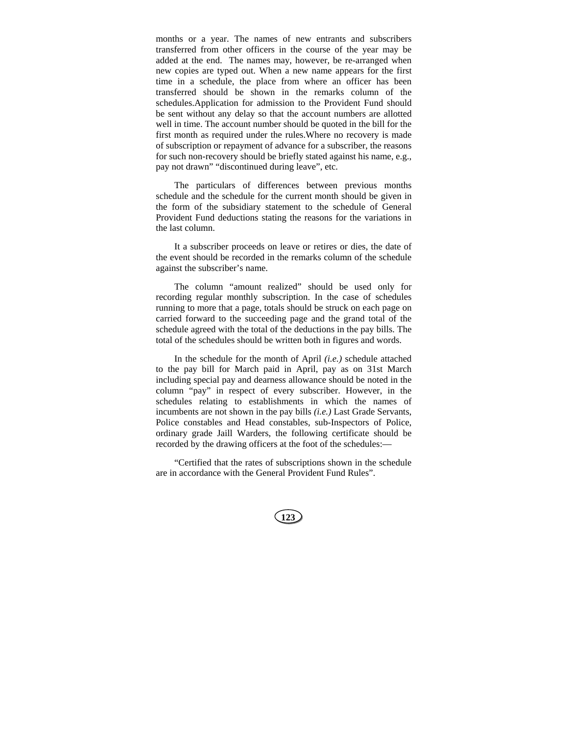months or a year. The names of new entrants and subscribers transferred from other officers in the course of the year may be added at the end. The names may, however, be re-arranged when new copies are typed out. When a new name appears for the first time in a schedule, the place from where an officer has been transferred should be shown in the remarks column of the schedules.Application for admission to the Provident Fund should be sent without any delay so that the account numbers are allotted well in time. The account number should be quoted in the bill for the first month as required under the rules.Where no recovery is made of subscription or repayment of advance for a subscriber, the reasons for such non-recovery should be briefly stated against his name, e.g., pay not drawn" "discontinued during leave", etc.

The particulars of differences between previous months schedule and the schedule for the current month should be given in the form of the subsidiary statement to the schedule of General Provident Fund deductions stating the reasons for the variations in the last column.

It a subscriber proceeds on leave or retires or dies, the date of the event should be recorded in the remarks column of the schedule against the subscriber's name.

The column "amount realized" should be used only for recording regular monthly subscription. In the case of schedules running to more that a page, totals should be struck on each page on carried forward to the succeeding page and the grand total of the schedule agreed with the total of the deductions in the pay bills. The total of the schedules should be written both in figures and words.

In the schedule for the month of April *(i.e.)* schedule attached to the pay bill for March paid in April, pay as on 31st March including special pay and dearness allowance should be noted in the column "pay" in respect of every subscriber. However, in the schedules relating to establishments in which the names of incumbents are not shown in the pay bills *(i.e.)* Last Grade Servants, Police constables and Head constables, sub-Inspectors of Police, ordinary grade Jaill Warders, the following certificate should be recorded by the drawing officers at the foot of the schedules:—

"Certified that the rates of subscriptions shown in the schedule are in accordance with the General Provident Fund Rules".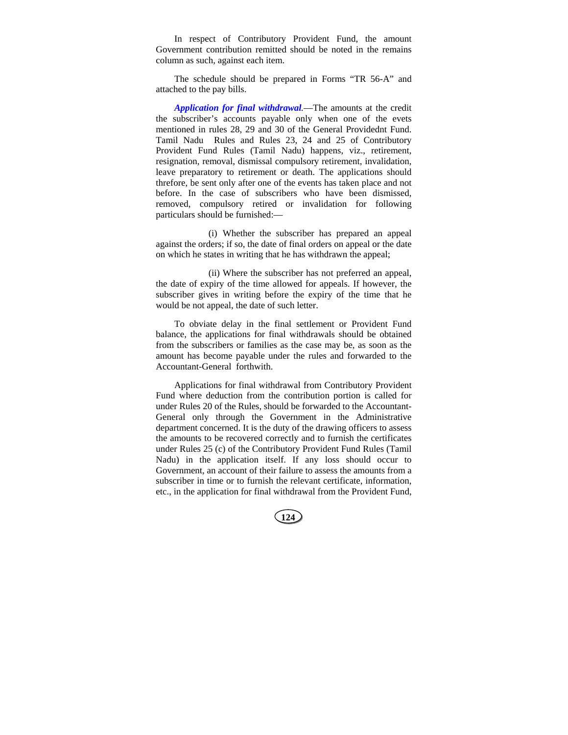In respect of Contributory Provident Fund, the amount Government contribution remitted should be noted in the remains column as such, against each item.

The schedule should be prepared in Forms "TR 56-A" and attached to the pay bills.

*Application for final withdrawal.*—The amounts at the credit the subscriber's accounts payable only when one of the evets mentioned in rules 28, 29 and 30 of the General Providednt Fund. Tamil Nadu Rules and Rules 23, 24 and 25 of Contributory Provident Fund Rules (Tamil Nadu) happens, viz., retirement, resignation, removal, dismissal compulsory retirement, invalidation, leave preparatory to retirement or death. The applications should threfore, be sent only after one of the events has taken place and not before. In the case of subscribers who have been dismissed, removed, compulsory retired or invalidation for following particulars should be furnished:—

(i) Whether the subscriber has prepared an appeal against the orders; if so, the date of final orders on appeal or the date on which he states in writing that he has withdrawn the appeal;

(ii) Where the subscriber has not preferred an appeal, the date of expiry of the time allowed for appeals. If however, the subscriber gives in writing before the expiry of the time that he would be not appeal, the date of such letter.

To obviate delay in the final settlement or Provident Fund balance, the applications for final withdrawals should be obtained from the subscribers or families as the case may be, as soon as the amount has become payable under the rules and forwarded to the Accountant-General forthwith.

Applications for final withdrawal from Contributory Provident Fund where deduction from the contribution portion is called for under Rules 20 of the Rules, should be forwarded to the Accountant-General only through the Government in the Administrative department concerned. It is the duty of the drawing officers to assess the amounts to be recovered correctly and to furnish the certificates under Rules 25 (c) of the Contributory Provident Fund Rules (Tamil Nadu) in the application itself. If any loss should occur to Government, an account of their failure to assess the amounts from a subscriber in time or to furnish the relevant certificate, information, etc., in the application for final withdrawal from the Provident Fund,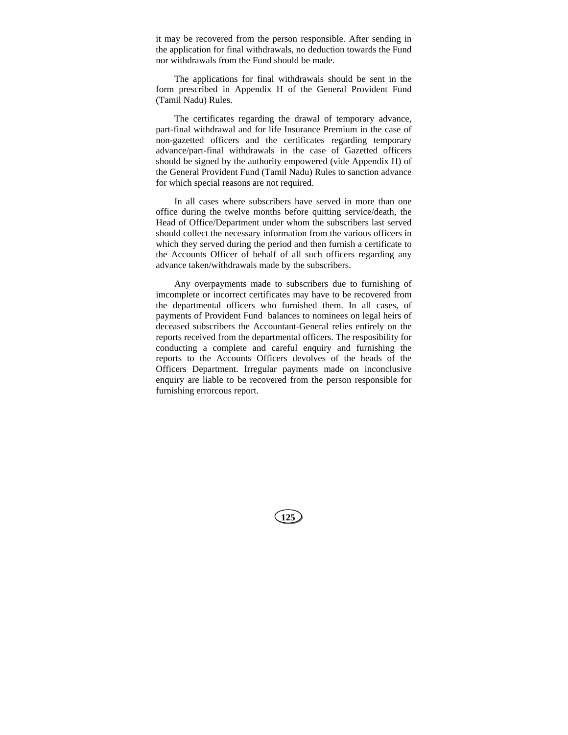it may be recovered from the person responsible. After sending in the application for final withdrawals, no deduction towards the Fund nor withdrawals from the Fund should be made.

The applications for final withdrawals should be sent in the form prescribed in Appendix H of the General Provident Fund (Tamil Nadu) Rules.

The certificates regarding the drawal of temporary advance, part-final withdrawal and for life Insurance Premium in the case of non-gazetted officers and the certificates regarding temporary advance/part-final withdrawals in the case of Gazetted officers should be signed by the authority empowered (vide Appendix H) of the General Provident Fund (Tamil Nadu) Rules to sanction advance for which special reasons are not required.

In all cases where subscribers have served in more than one office during the twelve months before quitting service/death, the Head of Office/Department under whom the subscribers last served should collect the necessary information from the various officers in which they served during the period and then furnish a certificate to the Accounts Officer of behalf of all such officers regarding any advance taken/withdrawals made by the subscribers.

Any overpayments made to subscribers due to furnishing of imcomplete or incorrect certificates may have to be recovered from the departmental officers who furnished them. In all cases, of payments of Provident Fund balances to nominees on legal heirs of deceased subscribers the Accountant-General relies entirely on the reports received from the departmental officers. The resposibility for conducting a complete and careful enquiry and furnishing the reports to the Accounts Officers devolves of the heads of the Officers Department. Irregular payments made on inconclusive enquiry are liable to be recovered from the person responsible for furnishing errorcous report.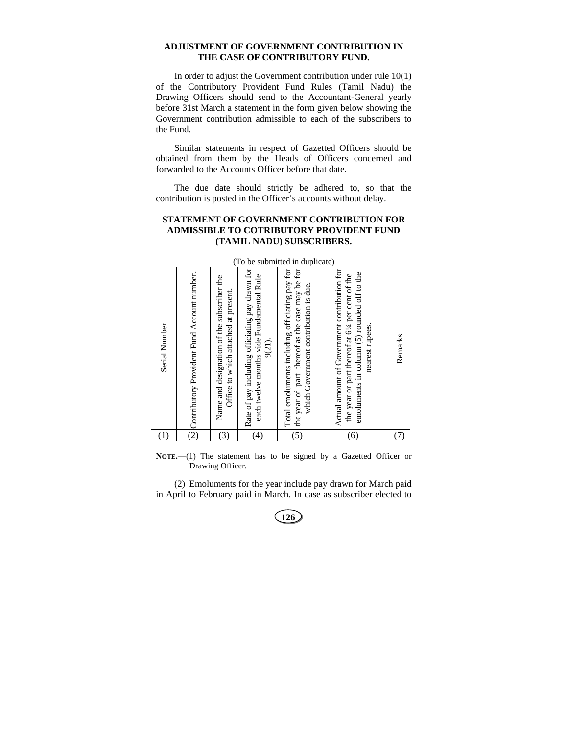#### **ADJUSTMENT OF GOVERNMENT CONTRIBUTION IN THE CASE OF CONTRIBUTORY FUND.**

In order to adjust the Government contribution under rule 10(1) of the Contributory Provident Fund Rules (Tamil Nadu) the Drawing Officers should send to the Accountant-General yearly before 31st March a statement in the form given below showing the Government contribution admissible to each of the subscribers to the Fund.

Similar statements in respect of Gazetted Officers should be obtained from them by the Heads of Officers concerned and forwarded to the Accounts Officer before that date.

The due date should strictly be adhered to, so that the contribution is posted in the Officer's accounts without delay.

## **STATEMENT OF GOVERNMENT CONTRIBUTION FOR ADMISSIBLE TO COTRIBUTORY PROVIDENT FUND (TAMIL NADU) SUBSCRIBERS.**

|               | (To<br>be submitted<br>in duplicate)          |                                                                                    |                                                                                                       |                                                                                                                                            |                                                                                                                                                                    |          |  |
|---------------|-----------------------------------------------|------------------------------------------------------------------------------------|-------------------------------------------------------------------------------------------------------|--------------------------------------------------------------------------------------------------------------------------------------------|--------------------------------------------------------------------------------------------------------------------------------------------------------------------|----------|--|
| Serial Number | O Contributory Provident Fund Account number. | Name and designation of the subscriber the<br>Office to which attached at present. | Rate of pay including officiating pay drawn for<br>each twelve months vide Fundamental Rule<br>9(21). | Total emoluments including officiating pay for<br>the year of part thereof as the case may be for<br>which Government contribution is due. | Actual amount of Government contribution for<br>emoluments in column (5) rounded off to the<br>the year or part thereof at 61/4 per cent of the<br>nearest rupees. | Remarks. |  |
| (1)           |                                               | $\left(3\right)$                                                                   | (4)                                                                                                   | (5)                                                                                                                                        | (6)                                                                                                                                                                |          |  |

(To be submitted in duplicate)

**NOTE.**—(1) The statement has to be signed by a Gazetted Officer or Drawing Officer.

(2) Emoluments for the year include pay drawn for March paid in April to February paid in March. In case as subscriber elected to

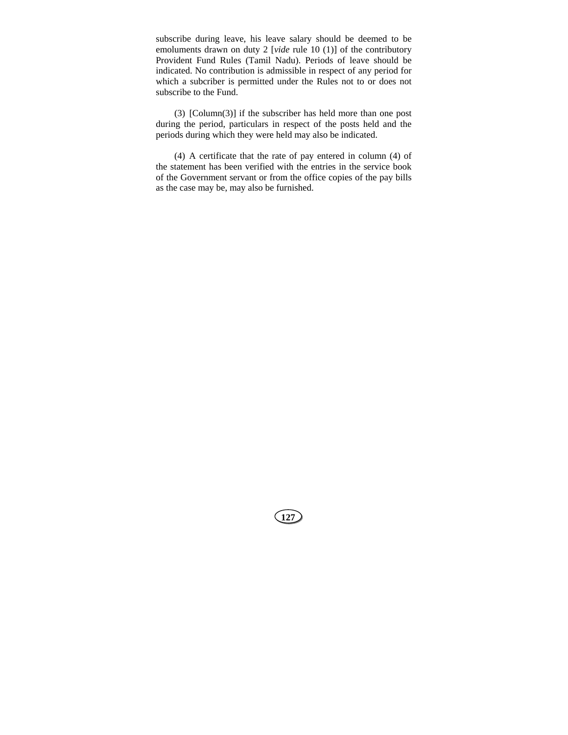subscribe during leave, his leave salary should be deemed to be emoluments drawn on duty 2 [*vide* rule 10 (1)] of the contributory Provident Fund Rules (Tamil Nadu). Periods of leave should be indicated. No contribution is admissible in respect of any period for which a subcriber is permitted under the Rules not to or does not subscribe to the Fund.

(3) [Column(3)] if the subscriber has held more than one post during the period, particulars in respect of the posts held and the periods during which they were held may also be indicated.

(4) A certificate that the rate of pay entered in column (4) of the statement has been verified with the entries in the service book of the Government servant or from the office copies of the pay bills as the case may be, may also be furnished.

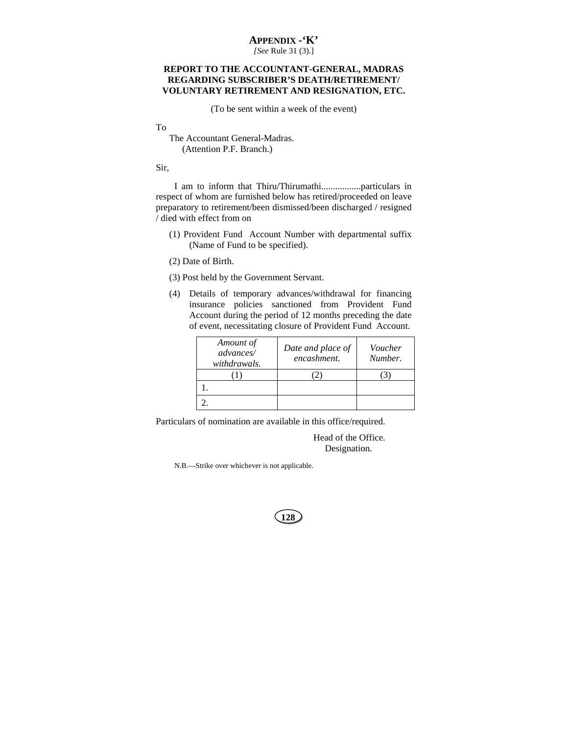## **APPENDIX -'K'**

*[See* Rule 31 (3).]

## **REPORT TO THE ACCOUNTANT-GENERAL, MADRAS REGARDING SUBSCRIBER'S DEATH/RETIREMENT/ VOLUNTARY RETIREMENT AND RESIGNATION, ETC.**

(To be sent within a week of the event)

To

The Accountant General-Madras. (Attention P.F. Branch.)

#### Sir,

I am to inform that Thiru/Thirumathi.................particulars in respect of whom are furnished below has retired/proceeded on leave preparatory to retirement/been dismissed/been discharged / resigned / died with effect from on

(1) Provident Fund Account Number with departmental suffix (Name of Fund to be specified).

(2) Date of Birth.

(3) Post held by the Government Servant.

(4) Details of temporary advances/withdrawal for financing insurance policies sanctioned from Provident Fund Account during the period of 12 months preceding the date of event, necessitating closure of Provident Fund Account.

| Amount of<br>advances/<br>withdrawals. | Date and place of<br>encashment. | Voucher<br>Number. |
|----------------------------------------|----------------------------------|--------------------|
|                                        |                                  |                    |
|                                        |                                  |                    |
|                                        |                                  |                    |

Particulars of nomination are available in this office/required.

Head of the Office. Designation.

N.B.—Strike over whichever is not applicable.

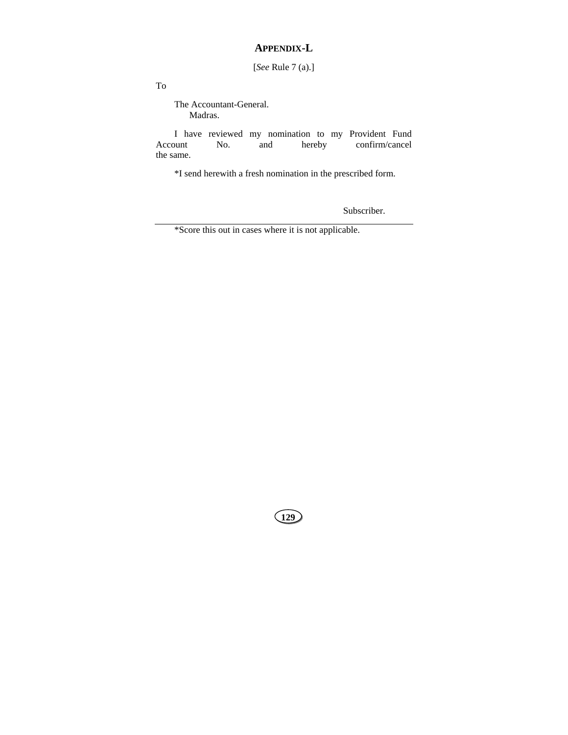## **APPENDIX-L**

[*See* Rule 7 (a).]

To

The Accountant-General. Madras.

I have reviewed my nomination to my Provident Fund Account No. and hereby confirm/cancel the same.

\*I send herewith a fresh nomination in the prescribed form.

Subscriber.

\*Score this out in cases where it is not applicable.

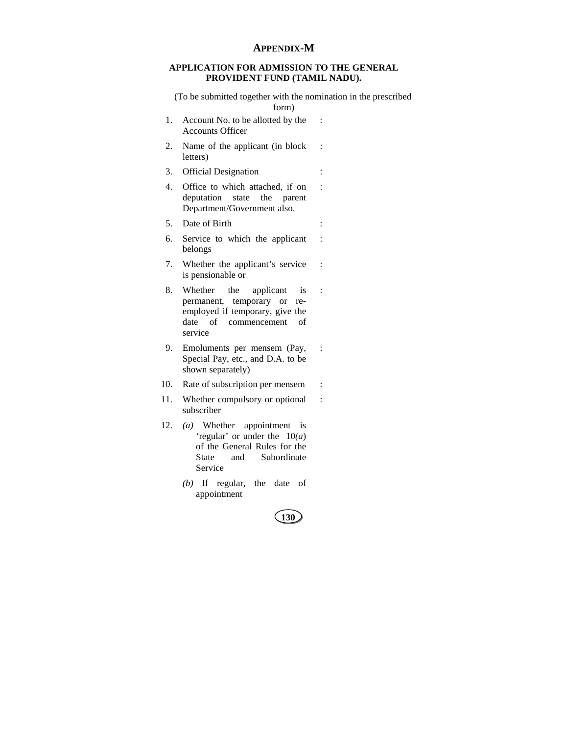## **APPENDIX-M**

## **APPLICATION FOR ADMISSION TO THE GENERAL PROVIDENT FUND (TAMIL NADU).**

(To be submitted together with the nomination in the prescribed form)

:

:

- 1. Account No. to be allotted by the Accounts Officer :
- 2. Name of the applicant (in block letters)
- 3. Official Designation :
- 4. Office to which attached, if on deputation state the parent Department/Government also.
- 5. Date of Birth :
- 6. Service to which the applicant belongs :
- 7. Whether the applicant's service is pensionable or :
- 8. Whether the applicant is permanent, temporary or reemployed if temporary, give the date of commencement of service :
- 9. Emoluments per mensem (Pay, Special Pay, etc., and D.A. to be shown separately) :
- 10. Rate of subscription per mensem :
- 11. Whether compulsory or optional subscriber :
- 12. *(a)* Whether appointment is 'regular' or under the 10*(a*) of the General Rules for the State and Subordinate Service
	- *(b)* If regular, the date of appointment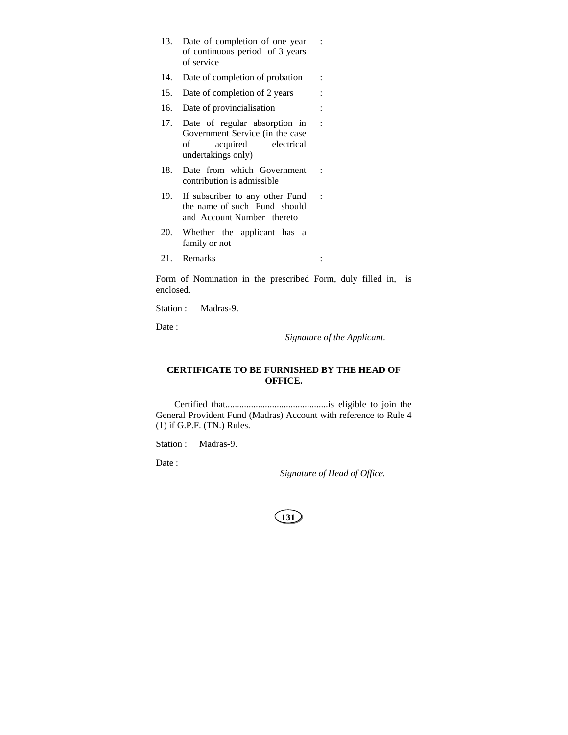- 13. Date of completion of one year of continuous period of 3 years of service
- 14. Date of completion of probation :
- 15. Date of completion of 2 years :
- 16. Date of provincialisation :
- 17. Date of regular absorption in Government Service (in the case of acquired electrical undertakings only)
- 18. Date from which Government contribution is admissible
- 19. If subscriber to any other Fund the name of such Fund should and Account Number thereto
- 20. Whether the applicant has a family or not
- 21. Remarks :

Form of Nomination in the prescribed Form, duly filled in, is enclosed.

Station : Madras-9.

Date :

*Signature of the Applicant.*

:

:

:

:

## **CERTIFICATE TO BE FURNISHED BY THE HEAD OF OFFICE.**

Certified that............................................is eligible to join the General Provident Fund (Madras) Account with reference to Rule 4 (1) if G.P.F. (TN.) Rules.

Station : Madras-9.

Date:

*Signature of Head of Office.*

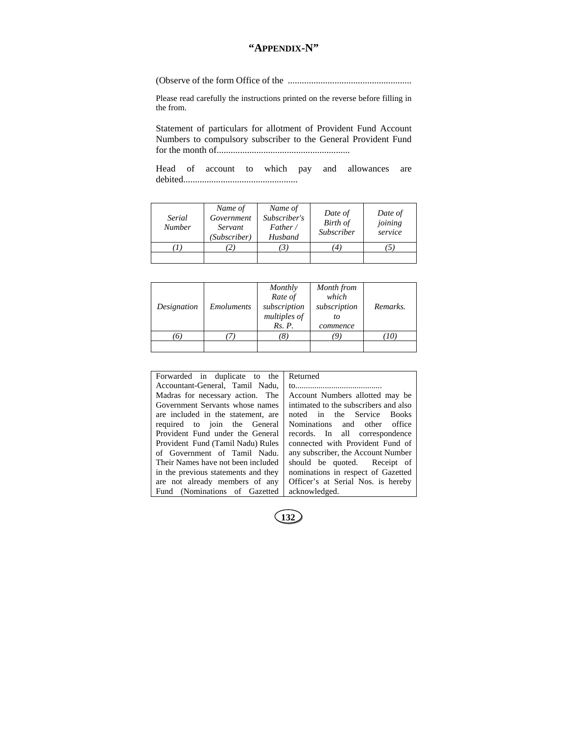# **"APPENDIX-N"**

(Observe of the form Office of the .....................................................

Please read carefully the instructions printed on the reverse before filling in the from.

Statement of particulars for allotment of Provident Fund Account Numbers to compulsory subscriber to the General Provident Fund for the month of.........................................................

Head of account to which pay and allowances are debited.................................................

| Serial<br><b>Number</b> | Name of<br>Government<br>Servant<br>(Subscriber) | Name of<br>Subscriber's<br>Father /<br>Husband | Date of<br>Birth of<br>Subscriber | Date of<br>joining<br>service |
|-------------------------|--------------------------------------------------|------------------------------------------------|-----------------------------------|-------------------------------|
|                         |                                                  |                                                | $\overline{4}$                    |                               |
|                         |                                                  |                                                |                                   |                               |

| Designation | <i>Emoluments</i> | Monthly<br>Rate of<br>subscription<br>multiples of<br>Rs. P. | Month from<br>which<br>subscription<br>to<br>commence | Remarks. |
|-------------|-------------------|--------------------------------------------------------------|-------------------------------------------------------|----------|
|             |                   | ΙŌ                                                           | 9                                                     |          |
|             |                   |                                                              |                                                       |          |

| Forwarded in duplicate to the       | Returned                              |  |
|-------------------------------------|---------------------------------------|--|
| Accountant-General, Tamil Nadu,     |                                       |  |
| Madras for necessary action. The    | Account Numbers allotted may be       |  |
| Government Servants whose names     | intimated to the subscribers and also |  |
| are included in the statement, are  | noted in the Service Books            |  |
| required to join the General        | Nominations and other office          |  |
| Provident Fund under the General    | records. In all correspondence        |  |
| Provident Fund (Tamil Nadu) Rules   | connected with Provident Fund of      |  |
| of Government of Tamil Nadu.        | any subscriber, the Account Number    |  |
| Their Names have not been included  | should be quoted. Receipt of          |  |
| in the previous statements and they | nominations in respect of Gazetted    |  |
| are not already members of any      | Officer's at Serial Nos. is hereby    |  |
| Fund (Nominations of Gazetted       | acknowledged.                         |  |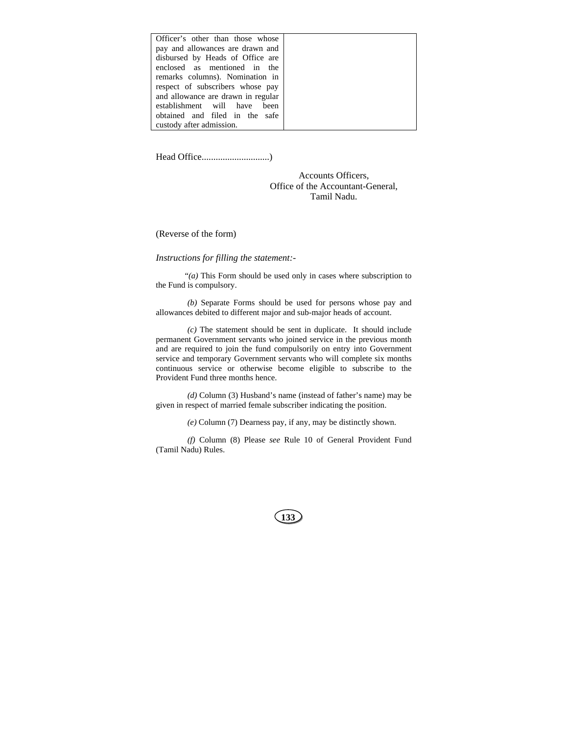| Officer's other than those whose   |
|------------------------------------|
| pay and allowances are drawn and   |
| disbursed by Heads of Office are   |
| enclosed as mentioned in the       |
| remarks columns). Nomination in    |
| respect of subscribers whose pay   |
| and allowance are drawn in regular |
| establishment will have been       |
| obtained and filed in the safe     |
| custody after admission.           |

Head Office.............................)

Accounts Officers, Office of the Accountant-General, Tamil Nadu.

(Reverse of the form)

### *Instructions for filling the statement:-*

"*(a)* This Form should be used only in cases where subscription to the Fund is compulsory.

*(b)* Separate Forms should be used for persons whose pay and allowances debited to different major and sub-major heads of account.

*(c)* The statement should be sent in duplicate. It should include permanent Government servants who joined service in the previous month and are required to join the fund compulsorily on entry into Government service and temporary Government servants who will complete six months continuous service or otherwise become eligible to subscribe to the Provident Fund three months hence.

*(d)* Column (3) Husband's name (instead of father's name) may be given in respect of married female subscriber indicating the position.

*(e)* Column (7) Dearness pay, if any, may be distinctly shown.

*(f)* Column (8) Please *see* Rule 10 of General Provident Fund (Tamil Nadu) Rules.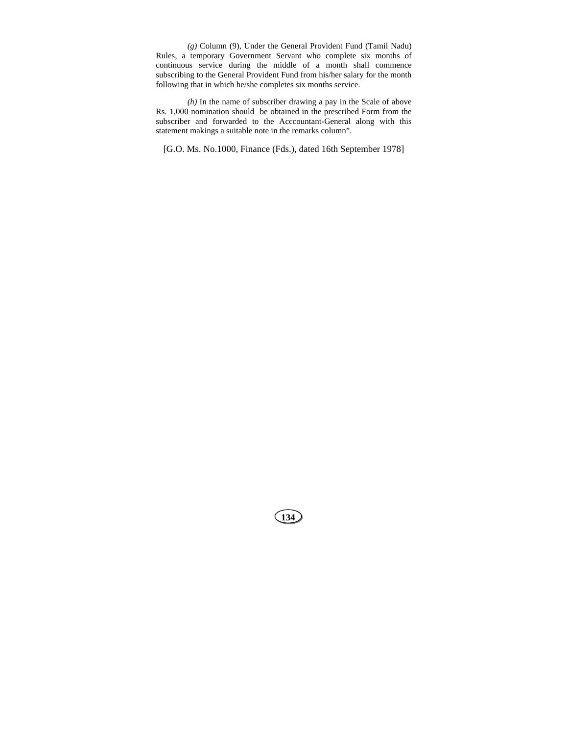*(g)* Column (9), Under the General Provident Fund (Tamil Nadu) Rules, a temporary Government Servant who complete six months of continuous service during the middle of a month shall commence subscribing to the General Provident Fund from his/her salary for the month following that in which he/she completes six months service.

*(h)* In the name of subscriber drawing a pay in the Scale of above Rs. 1,000 nomination should be obtained in the prescribed Form from the subscriber and forwarded to the Acccountant-General along with this statement makings a suitable note in the remarks column".

[G.O. Ms. No.1000, Finance (Fds.), dated 16th September 1978]

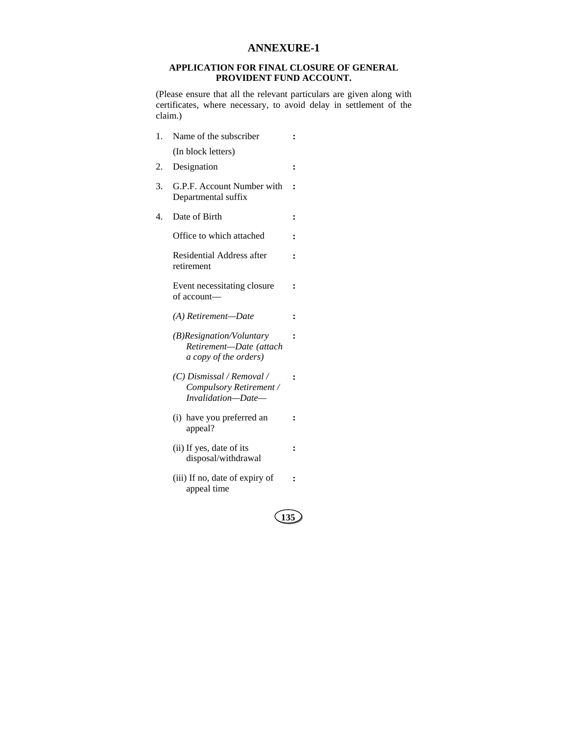## **ANNEXURE-1**

### **APPLICATION FOR FINAL CLOSURE OF GENERAL PROVIDENT FUND ACCOUNT.**

(Please ensure that all the relevant particulars are given along with certificates, where necessary, to avoid delay in settlement of the claim.)

**:** 

**:** 

**:** 

**:** 

- 1. Name of the subscriber (In block letters)
- 2. Designation **:**
- 3. G.P.F. Account Number with **:**  Departmental suffix
- 4. Date of Birth **:**

Office to which attached **:** 

 Residential Address after retirement

 Event necessitating closure of account—

*(A) Retirement—Date* **:** 

- *(B)Resignation/Voluntary Retirement—Date (attach a copy of the orders)*
- *(C) Dismissal / Removal / Compulsory Retirement / Invalidation—Date—*  **:**
- (i) have you preferred an appeal? **:**
- (ii) If yes, date of its disposal/withdrawal **:**
- (iii) If no, date of expiry of appeal time **:**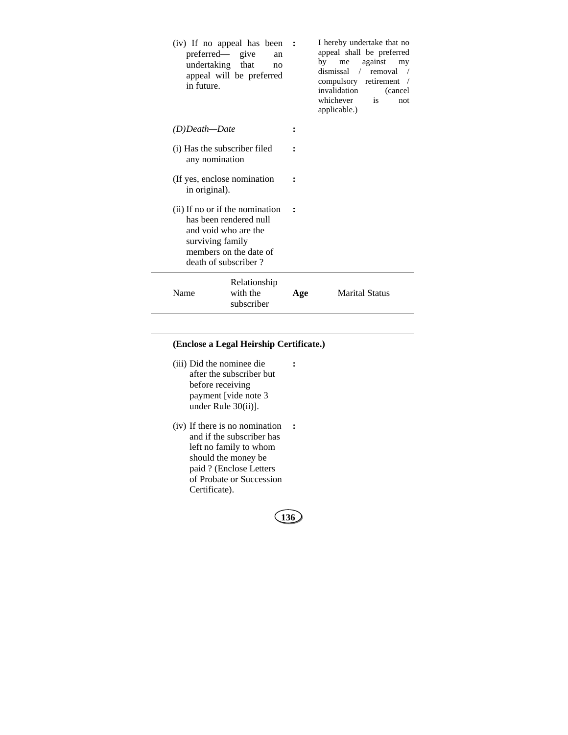| (iv) If no appeal has been<br>preferred— give<br>an<br>undertaking that<br>no<br>appeal will be preferred<br>in future.                                 |                                        | $\sim$ : | I hereby undertake that no<br>appeal shall be preferred<br>by<br>against<br>me<br>my<br>dismissal / removal<br>compulsory retirement<br>invalidation<br>(cancel)<br>whichever<br>is<br>not<br>applicable.) |
|---------------------------------------------------------------------------------------------------------------------------------------------------------|----------------------------------------|----------|------------------------------------------------------------------------------------------------------------------------------------------------------------------------------------------------------------|
| (D)Death—Date                                                                                                                                           |                                        |          |                                                                                                                                                                                                            |
| (i) Has the subscriber filed<br>any nomination                                                                                                          |                                        |          |                                                                                                                                                                                                            |
| (If yes, enclose nomination<br>in original).                                                                                                            |                                        |          |                                                                                                                                                                                                            |
| (ii) If no or if the nomination<br>has been rendered null<br>and void who are the<br>surviving family<br>members on the date of<br>death of subscriber? |                                        |          |                                                                                                                                                                                                            |
| Name                                                                                                                                                    | Relationship<br>with the<br>subscriber | Age      | <b>Marital Status</b>                                                                                                                                                                                      |

## **(Enclose a Legal Heirship Certificate.)**

 (iii) Did the nominee die after the subscriber but before receiving payment [vide note 3 under Rule 30(ii)].

 $\overline{\phantom{a}}$ 

 (iv) If there is no nomination **:** and if the subscriber has left no family to whom should the money be paid ? (Enclose Letters of Probate or Succession Certificate).

**136**

**:**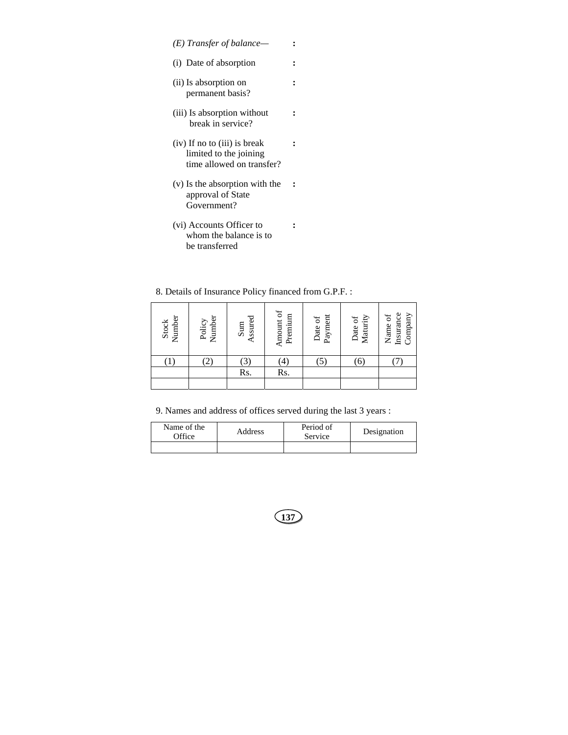- *(E) Transfer of balance—* **:**
- (i) Date of absorption **:**

**:** 

**:** 

**:** 

- (ii) Is absorption on permanent basis?
- (iii) Is absorption without break in service?
- (iv) If no to (iii) is break limited to the joining time allowed on transfer? **:**
- (v) Is the absorption with the approval of State Government? **:**
- (vi) Accounts Officer to whom the balance is to be transferred

8. Details of Insurance Policy financed from G.P.F. :

| Number<br><b>Stock</b> | Number<br>Policy | Assured<br>Sum   | Amount of<br>Premium | Payment<br>Date of | Maturity<br>Date of | Insurance<br>Company<br>Name of |
|------------------------|------------------|------------------|----------------------|--------------------|---------------------|---------------------------------|
|                        |                  | $\left[3\right]$ | $\left( 4\right)$    | (5)                | (6)                 |                                 |
|                        |                  | Rs.              | Rs.                  |                    |                     |                                 |
|                        |                  |                  |                      |                    |                     |                                 |

9. Names and address of offices served during the last 3 years :

| Name of the<br><b>Office</b> | Address | Period of<br>Service | Designation |
|------------------------------|---------|----------------------|-------------|
|                              |         |                      |             |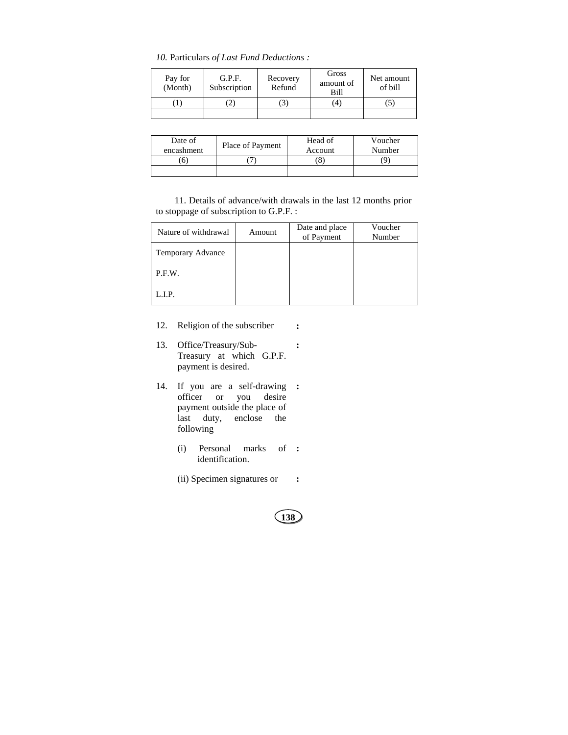*10.* Particulars *of Last Fund Deductions :* 

| Pay for<br>(Month) | G.P.F.<br>Subscription | Recovery<br>Refund | Gross<br>amount of<br>Bill | Net amount<br>of bill |
|--------------------|------------------------|--------------------|----------------------------|-----------------------|
|                    |                        |                    | $\frac{4}{4}$              |                       |
|                    |                        |                    |                            |                       |

| Date of<br>encashment | Place of Payment | Head of<br>Account | Voucher<br>Number |
|-----------------------|------------------|--------------------|-------------------|
|                       |                  | $\mathbf{\Omega}$  | ч                 |
|                       |                  |                    |                   |

11. Details of advance/with drawals in the last 12 months prior to stoppage of subscription to G.P.F. :

| Nature of withdrawal | Amount | Date and place<br>of Payment | Voucher<br>Number |
|----------------------|--------|------------------------------|-------------------|
| Temporary Advance    |        |                              |                   |
| P.F.W.               |        |                              |                   |
| L.I.P.               |        |                              |                   |

- 12. Religion of the subscriber **:**
- 13. Office/Treasury/Sub-Treasury at which G.P.F. payment is desired. **:**
- 14. If you are a self-drawing **:**  officer or you desire payment outside the place of last duty, enclose the following
	- (i) Personal marks identification. **:**
	- (ii) Specimen signatures or **:**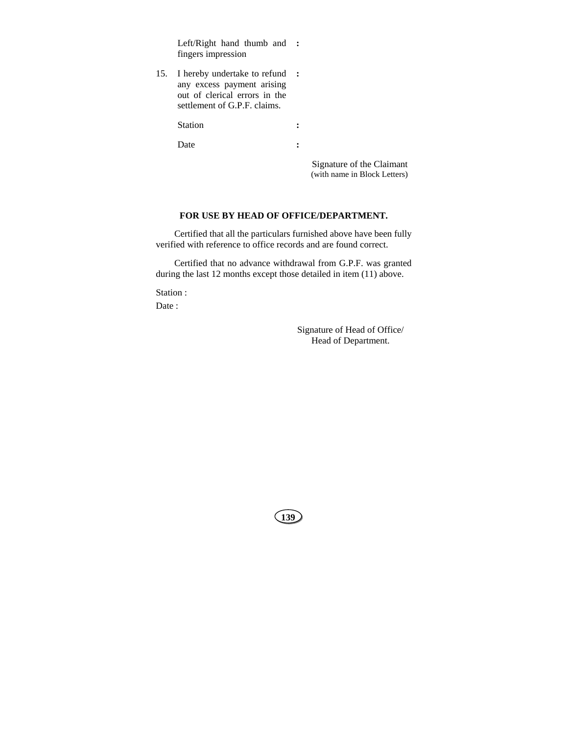Left/Right hand thumb and **:**  fingers impression

15. I hereby undertake to refund **:**  any excess payment arising out of clerical errors in the settlement of G.P.F. claims.

Station :

Date :

 Signature of the Claimant (with name in Block Letters)

## **FOR USE BY HEAD OF OFFICE/DEPARTMENT.**

Certified that all the particulars furnished above have been fully verified with reference to office records and are found correct.

Certified that no advance withdrawal from G.P.F. was granted during the last 12 months except those detailed in item (11) above.

Station :

Date :

Signature of Head of Office/ Head of Department.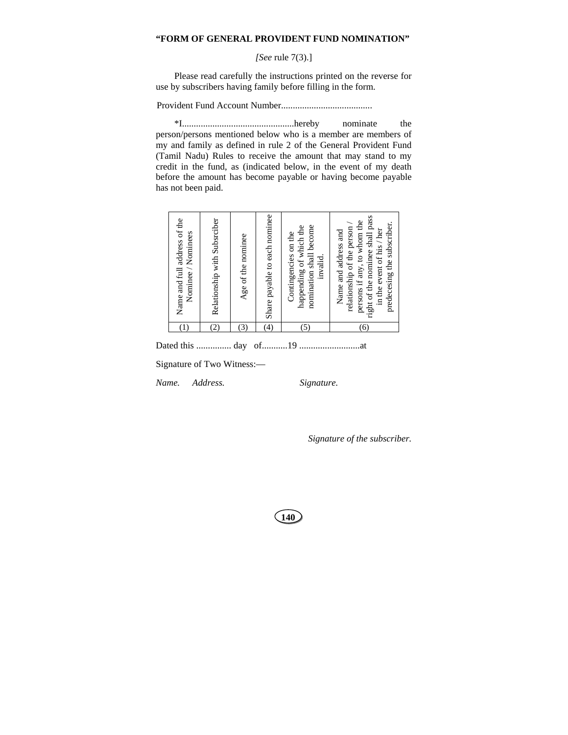### **"FORM OF GENERAL PROVIDENT FUND NOMINATION"**

# *[See* rule 7(3).]

Please read carefully the instructions printed on the reverse for use by subscribers having family before filling in the form.

Provident Fund Account Number.......................................

\*I................................................hereby nominate the person/persons mentioned below who is a member are members of my and family as defined in rule 2 of the General Provident Fund (Tamil Nadu) Rules to receive the amount that may stand to my credit in the fund, as (indicated below, in the event of my death before the amount has become payable or having become payable has not been paid.

Dated this ............... day of...........19 ..........................at

Signature of Two Witness:—

*Name. Address. Signature.* 

*Signature of the subscriber.*

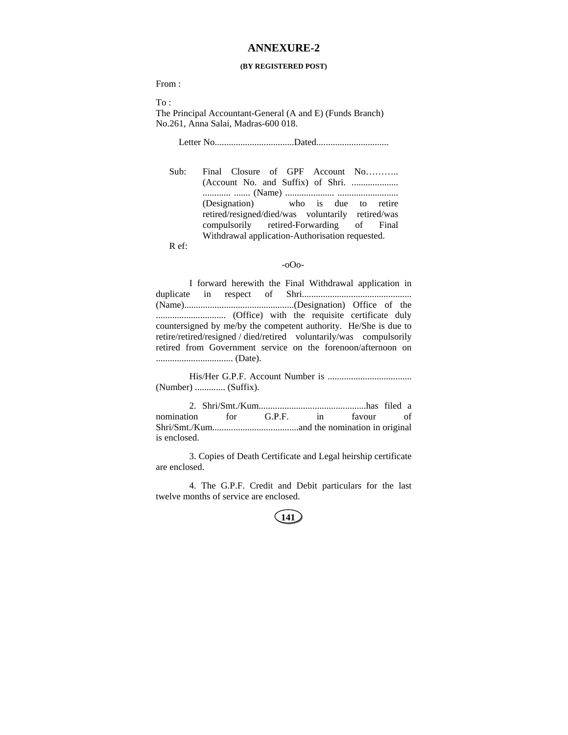# **ANNEXURE-2**

#### **(BY REGISTERED POST)**

From :

To :

The Principal Accountant-General (A and E) (Funds Branch) No.261, Anna Salai, Madras-600 018.

Letter No..................................Dated...............................

Sub: Final Closure of GPF Account No……….. (Account No. and Suffix) of Shri. .................... ............ ....... (Name) ..................... .......................... (Designation) who is due to retire retired/resigned/died/was voluntarily retired/was compulsorily retired-Forwarding of Final Withdrawal application-Authorisation requested.

R ef:

#### -oOo-

I forward herewith the Final Withdrawal application in duplicate in respect of Shri............................................... (Name)...............................................(Designation) Office of the .............................. (Office) with the requisite certificate duly countersigned by me/by the competent authority. He/She is due to retire/retired/resigned / died/retired voluntarily/was compulsorily retired from Government service on the forenoon/afternoon on ................................. (Date).

His/Her G.P.F. Account Number is .................................... (Number) ............. (Suffix).

2. Shri/Smt./Kum..............................................has filed a nomination for G.P.F. in favour of Shri/Smt./Kum.....................................and the nomination in original is enclosed.

3. Copies of Death Certificate and Legal heirship certificate are enclosed.

4. The G.P.F. Credit and Debit particulars for the last twelve months of service are enclosed.

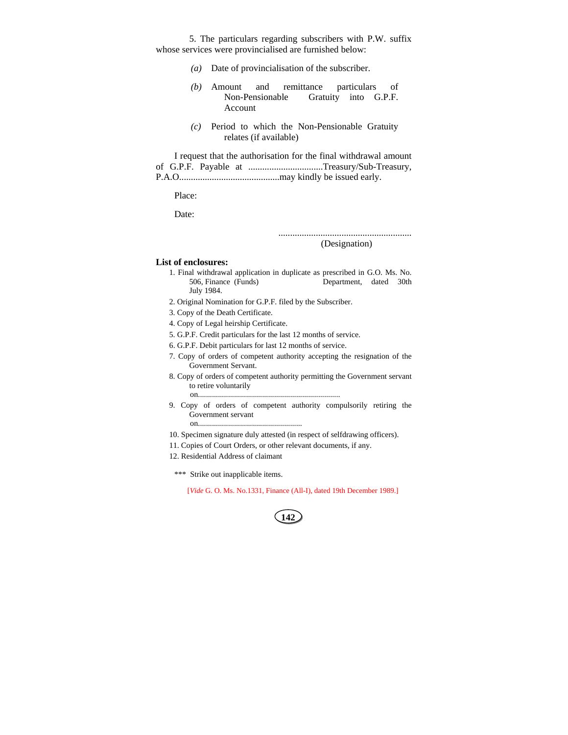5. The particulars regarding subscribers with P.W. suffix whose services were provincialised are furnished below:

- *(a)* Date of provincialisation of the subscriber.
- *(b)* Amount and remittance particulars of Non-Pensionable Gratuity into G.P.F. Account
- *(c)* Period to which the Non-Pensionable Gratuity relates (if available)

I request that the authorisation for the final withdrawal amount of G.P.F. Payable at ................................Treasury/Sub-Treasury, P.A.O...........................................may kindly be issued early.

Place:

Date:

......................................................... (Designation)

#### **List of enclosures:**

- 1. Final withdrawal application in duplicate as prescribed in G.O. Ms. No. 506, Finance (Funds) Department, dated 30th July 1984.
- 2. Original Nomination for G.P.F. filed by the Subscriber.
- 3. Copy of the Death Certificate.
- 4. Copy of Legal heirship Certificate.
- 5. G.P.F. Credit particulars for the last 12 months of service.
- 6. G.P.F. Debit particulars for last 12 months of service.
- 7. Copy of orders of competent authority accepting the resignation of the Government Servant.
- 8. Copy of orders of competent authority permitting the Government servant to retire voluntarily on.......................................................................
- 9. Copy of orders of competent authority compulsorily retiring the Government servant on....................................................
- 10. Specimen signature duly attested (in respect of selfdrawing officers).
- 11. Copies of Court Orders, or other relevant documents, if any.
- 12. Residential Address of claimant
- \*\*\* Strike out inapplicable items.

[*Vide* G. O. Ms. No.1331, Finance (All-I), dated 19th December 1989.]

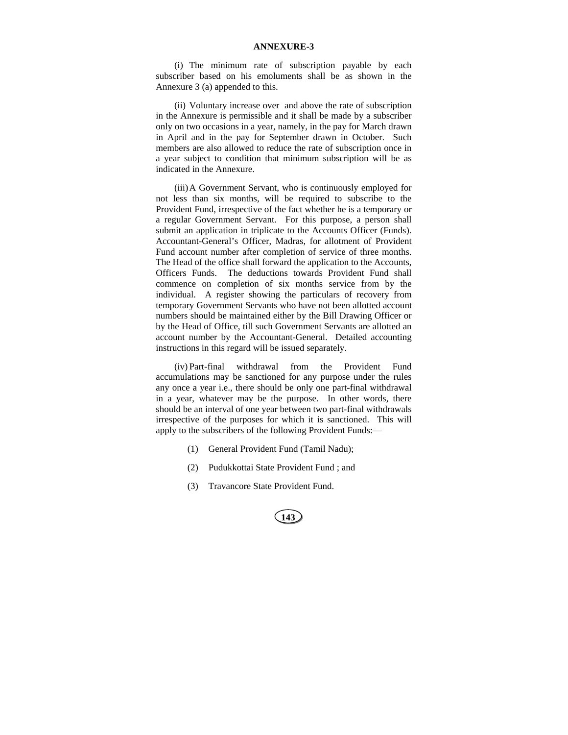### **ANNEXURE-3**

(i) The minimum rate of subscription payable by each subscriber based on his emoluments shall be as shown in the Annexure 3 (a) appended to this.

(ii) Voluntary increase over and above the rate of subscription in the Annexure is permissible and it shall be made by a subscriber only on two occasions in a year, namely, in the pay for March drawn in April and in the pay for September drawn in October. Such members are also allowed to reduce the rate of subscription once in a year subject to condition that minimum subscription will be as indicated in the Annexure.

(iii) A Government Servant, who is continuously employed for not less than six months, will be required to subscribe to the Provident Fund, irrespective of the fact whether he is a temporary or a regular Government Servant. For this purpose, a person shall submit an application in triplicate to the Accounts Officer (Funds). Accountant-General's Officer, Madras, for allotment of Provident Fund account number after completion of service of three months. The Head of the office shall forward the application to the Accounts, Officers Funds. The deductions towards Provident Fund shall commence on completion of six months service from by the individual. A register showing the particulars of recovery from temporary Government Servants who have not been allotted account numbers should be maintained either by the Bill Drawing Officer or by the Head of Office, till such Government Servants are allotted an account number by the Accountant-General. Detailed accounting instructions in this regard will be issued separately.

(iv) Part-final withdrawal from the Provident Fund accumulations may be sanctioned for any purpose under the rules any once a year i.e., there should be only one part-final withdrawal in a year, whatever may be the purpose. In other words, there should be an interval of one year between two part-final withdrawals irrespective of the purposes for which it is sanctioned. This will apply to the subscribers of the following Provident Funds:—

- (1) General Provident Fund (Tamil Nadu);
- (2) Pudukkottai State Provident Fund ; and
- (3) Travancore State Provident Fund.